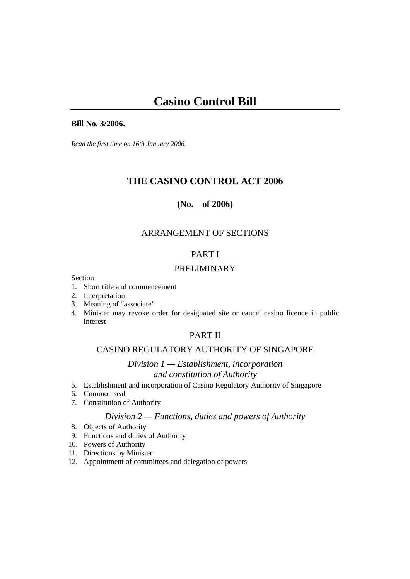#### **Bill No. 3/2006.**

*Read the first time on 16th January 2006.* 

# **THE CASINO CONTROL ACT 2006**

## **(No. of 2006)**

# ARRANGEMENT OF SECTIONS

# PART I

# PRELIMINARY

Section

- 1. Short title and commencement
- 2. Interpretation
- 3. Meaning of "associate"
- 4. Minister may revoke order for designated site or cancel casino licence in public interest

# PART II

# CASINO REGULATORY AUTHORITY OF SINGAPORE

*Division 1 — Establishment, incorporation and constitution of Authority*

- 5. Establishment and incorporation of Casino Regulatory Authority of Singapore
- 6. Common seal
- 7. Constitution of Authority

## *Division 2 — Functions, duties and powers of Authority*

- 8. Objects of Authority
- 9. Functions and duties of Authority
- 10. Powers of Authority
- 11. Directions by Minister
- 12. Appointment of committees and delegation of powers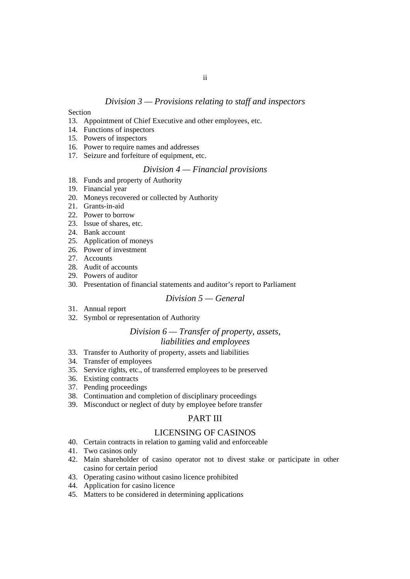# *Division 3 — Provisions relating to staff and inspectors*

#### Section

- 13. Appointment of Chief Executive and other employees, etc.
- 14. Functions of inspectors
- 15. Powers of inspectors
- 16. Power to require names and addresses
- 17. Seizure and forfeiture of equipment, etc.

## *Division 4 — Financial provisions*

- 18. Funds and property of Authority
- 19. Financial year
- 20. Moneys recovered or collected by Authority
- 21. Grants-in-aid
- 22. Power to borrow
- 23. Issue of shares, etc.
- 24. Bank account
- 25. Application of moneys
- 26. Power of investment
- 27. Accounts
- 28. Audit of accounts
- 29. Powers of auditor
- 30. Presentation of financial statements and auditor's report to Parliament

## *Division 5 — General*

- 31. Annual report
- 32. Symbol or representation of Authority

#### *Division 6 — Transfer of property, assets, liabilities and employees*

- 33. Transfer to Authority of property, assets and liabilities
- 34. Transfer of employees
- 35. Service rights, etc., of transferred employees to be preserved
- 36. Existing contracts
- 37. Pending proceedings
- 38. Continuation and completion of disciplinary proceedings
- 39. Misconduct or neglect of duty by employee before transfer

## PART III

#### LICENSING OF CASINOS

- 40. Certain contracts in relation to gaming valid and enforceable
- 41. Two casinos only
- 42. Main shareholder of casino operator not to divest stake or participate in other casino for certain period
- 43. Operating casino without casino licence prohibited
- 44. Application for casino licence
- 45. Matters to be considered in determining applications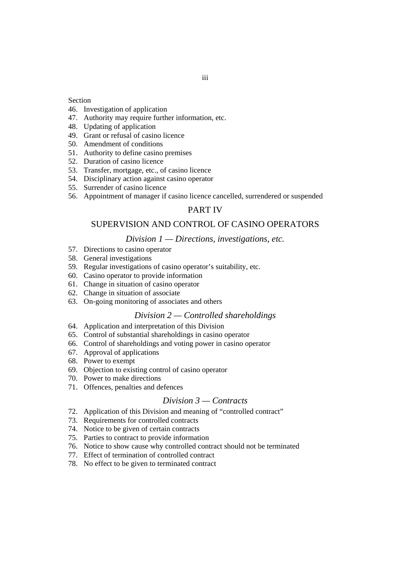#### Section

- 46. Investigation of application
- 47. Authority may require further information, etc.
- 48. Updating of application
- 49. Grant or refusal of casino licence
- 50. Amendment of conditions
- 51. Authority to define casino premises
- 52. Duration of casino licence
- 53. Transfer, mortgage, etc., of casino licence
- 54. Disciplinary action against casino operator
- 55. Surrender of casino licence
- 56. Appointment of manager if casino licence cancelled, surrendered or suspended

## PART IV

#### SUPERVISION AND CONTROL OF CASINO OPERATORS

#### *Division 1 — Directions, investigations, etc.*

- 57. Directions to casino operator
- 58. General investigations
- 59. Regular investigations of casino operator's suitability, etc.
- 60. Casino operator to provide information
- 61. Change in situation of casino operator
- 62. Change in situation of associate
- 63. On-going monitoring of associates and others

#### *Division 2 — Controlled shareholdings*

- 64. Application and interpretation of this Division
- 65. Control of substantial shareholdings in casino operator
- 66. Control of shareholdings and voting power in casino operator
- 67. Approval of applications
- 68. Power to exempt
- 69. Objection to existing control of casino operator
- 70. Power to make directions
- 71. Offences, penalties and defences

## *Division 3 — Contracts*

- 72. Application of this Division and meaning of "controlled contract"
- 73. Requirements for controlled contracts
- 74. Notice to be given of certain contracts
- 75. Parties to contract to provide information
- 76. Notice to show cause why controlled contract should not be terminated
- 77. Effect of termination of controlled contract
- 78. No effect to be given to terminated contract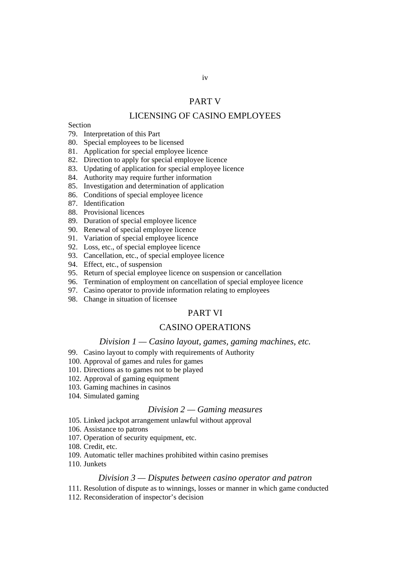#### PART V

## LICENSING OF CASINO EMPLOYEES

#### Section

- 79. Interpretation of this Part
- 80. Special employees to be licensed
- 81. Application for special employee licence
- 82. Direction to apply for special employee licence
- 83. Updating of application for special employee licence
- 84. Authority may require further information
- 85. Investigation and determination of application
- 86. Conditions of special employee licence
- 87. Identification
- 88. Provisional licences
- 89. Duration of special employee licence
- 90. Renewal of special employee licence
- 91. Variation of special employee licence
- 92. Loss, etc., of special employee licence
- 93. Cancellation, etc., of special employee licence
- 94. Effect, etc., of suspension
- 95. Return of special employee licence on suspension or cancellation
- 96. Termination of employment on cancellation of special employee licence
- 97. Casino operator to provide information relating to employees
- 98. Change in situation of licensee

#### PART VI

#### CASINO OPERATIONS

#### *Division 1 — Casino layout, games, gaming machines, etc.*

- 99. Casino layout to comply with requirements of Authority
- 100. Approval of games and rules for games
- 101. Directions as to games not to be played
- 102. Approval of gaming equipment
- 103. Gaming machines in casinos
- 104. Simulated gaming

#### *Division 2 — Gaming measures*

- 105. Linked jackpot arrangement unlawful without approval
- 106. Assistance to patrons
- 107. Operation of security equipment, etc.
- 108. Credit, etc.
- 109. Automatic teller machines prohibited within casino premises
- 110. Junkets

#### *Division 3 — Disputes between casino operator and patron*

- 111. Resolution of dispute as to winnings, losses or manner in which game conducted
- 112. Reconsideration of inspector's decision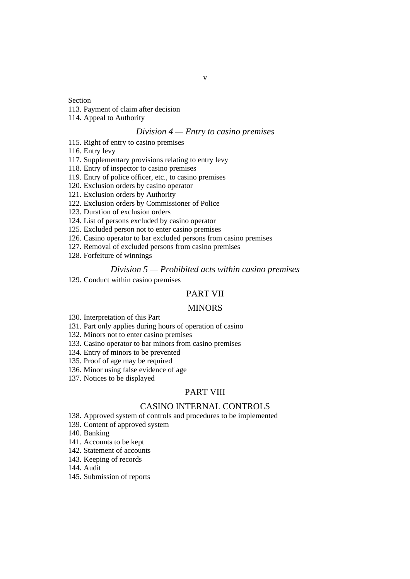#### Section

- 113. Payment of claim after decision
- 114. Appeal to Authority

#### *Division 4 — Entry to casino premises*

- 115. Right of entry to casino premises
- 116. Entry levy
- 117. Supplementary provisions relating to entry levy
- 118. Entry of inspector to casino premises
- 119. Entry of police officer, etc., to casino premises
- 120. Exclusion orders by casino operator
- 121. Exclusion orders by Authority
- 122. Exclusion orders by Commissioner of Police
- 123. Duration of exclusion orders
- 124. List of persons excluded by casino operator
- 125. Excluded person not to enter casino premises
- 126. Casino operator to bar excluded persons from casino premises
- 127. Removal of excluded persons from casino premises
- 128. Forfeiture of winnings

#### *Division 5 — Prohibited acts within casino premises*

129. Conduct within casino premises

## PART VII

#### **MINORS**

- 130. Interpretation of this Part
- 131. Part only applies during hours of operation of casino
- 132. Minors not to enter casino premises
- 133. Casino operator to bar minors from casino premises
- 134. Entry of minors to be prevented
- 135. Proof of age may be required
- 136. Minor using false evidence of age
- 137. Notices to be displayed

#### PART VIII

#### CASINO INTERNAL CONTROLS

- 138. Approved system of controls and procedures to be implemented
- 139. Content of approved system
- 140. Banking
- 141. Accounts to be kept
- 142. Statement of accounts
- 143. Keeping of records
- 144. Audit
- 145. Submission of reports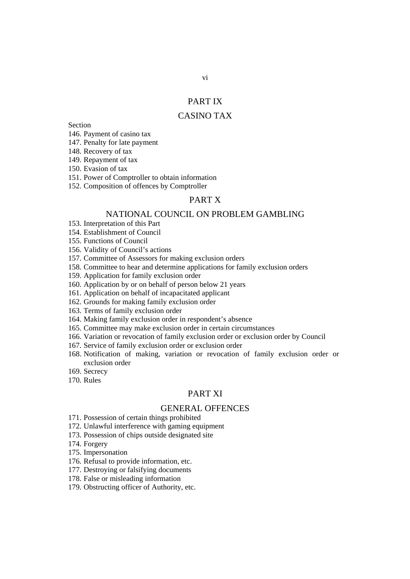#### PART IX

## CASINO TAX

Section

146. Payment of casino tax

147. Penalty for late payment

148. Recovery of tax

149. Repayment of tax

150. Evasion of tax

151. Power of Comptroller to obtain information

152. Composition of offences by Comptroller

# PART X

#### NATIONAL COUNCIL ON PROBLEM GAMBLING

153. Interpretation of this Part

154. Establishment of Council

155. Functions of Council

156. Validity of Council's actions

157. Committee of Assessors for making exclusion orders

158. Committee to hear and determine applications for family exclusion orders

159. Application for family exclusion order

160. Application by or on behalf of person below 21 years

161. Application on behalf of incapacitated applicant

162. Grounds for making family exclusion order

163. Terms of family exclusion order

164. Making family exclusion order in respondent's absence

165. Committee may make exclusion order in certain circumstances

166. Variation or revocation of family exclusion order or exclusion order by Council

167. Service of family exclusion order or exclusion order

168. Notification of making, variation or revocation of family exclusion order or exclusion order

169. Secrecy

170. Rules

#### PART XI

#### GENERAL OFFENCES

171. Possession of certain things prohibited

172. Unlawful interference with gaming equipment

173. Possession of chips outside designated site

174. Forgery

175. Impersonation

176. Refusal to provide information, etc.

177. Destroying or falsifying documents

178. False or misleading information

179. Obstructing officer of Authority, etc.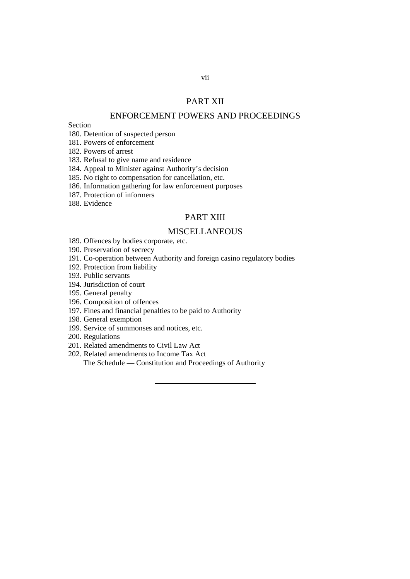## PART XII

# ENFORCEMENT POWERS AND PROCEEDINGS

Section

180. Detention of suspected person

181. Powers of enforcement

182. Powers of arrest

183. Refusal to give name and residence

184. Appeal to Minister against Authority's decision

185. No right to compensation for cancellation, etc.

186. Information gathering for law enforcement purposes

187. Protection of informers

188. Evidence

## PART XIII

## MISCELLANEOUS

189. Offences by bodies corporate, etc.

190. Preservation of secrecy

191. Co-operation between Authority and foreign casino regulatory bodies

192. Protection from liability

193. Public servants

194. Jurisdiction of court

195. General penalty

196. Composition of offences

197. Fines and financial penalties to be paid to Authority

198. General exemption

199. Service of summonses and notices, etc.

200. Regulations

201. Related amendments to Civil Law Act

202. Related amendments to Income Tax Act The Schedule — Constitution and Proceedings of Authority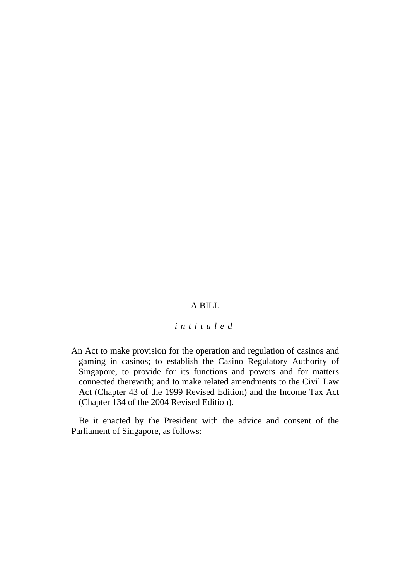# A BILL

## *intituled*

An Act to make provision for the operation and regulation of casinos and gaming in casinos; to establish the Casino Regulatory Authority of Singapore, to provide for its functions and powers and for matters connected therewith; and to make related amendments to the Civil Law Act (Chapter 43 of the 1999 Revised Edition) and the Income Tax Act (Chapter 134 of the 2004 Revised Edition).

Be it enacted by the President with the advice and consent of the Parliament of Singapore, as follows: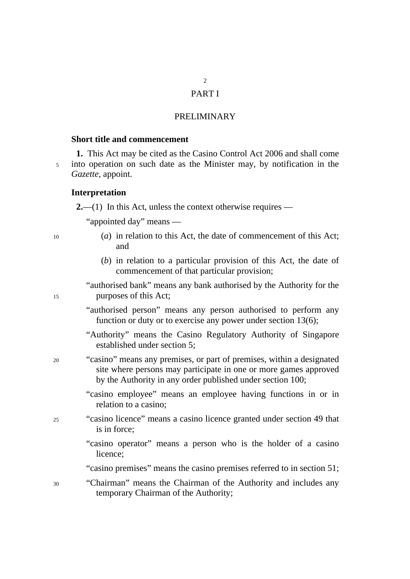# $\overline{2}$

# PART I

# PRELIMINARY

## **Short title and commencement**

**1.** This Act may be cited as the Casino Control Act 2006 and shall come 5 into operation on such date as the Minister may, by notification in the *Gazette*, appoint.

#### **Interpretation**

**2.**—(1) In this Act, unless the context otherwise requires —

"appointed day" means —

| $\overline{5}$ |  |  |
|----------------|--|--|
|                |  |  |

- 10 (*a*) in relation to this Act, the date of commencement of this Act; and
	- (*b*) in relation to a particular provision of this Act, the date of commencement of that particular provision;

"authorised bank" means any bank authorised by the Authority for the purposes of this Act;

"authorised person" means any person authorised to perform any function or duty or to exercise any power under section 13(6);

"Authority" means the Casino Regulatory Authority of Singapore established under section 5;

- 20 "casino" means any premises, or part of premises, within a designated site where persons may participate in one or more games approved by the Authority in any order published under section 100;
	- "casino employee" means an employee having functions in or in relation to a casino;
- 25 "casino licence" means a casino licence granted under section 49 that is in force;
	- "casino operator" means a person who is the holder of a casino licence;

"casino premises" means the casino premises referred to in section 51;

30 "Chairman" means the Chairman of the Authority and includes any temporary Chairman of the Authority;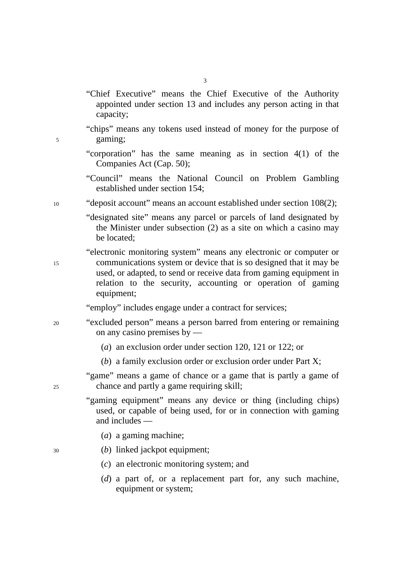- "Chief Executive" means the Chief Executive of the Authority appointed under section 13 and includes any person acting in that capacity;
- "chips" means any tokens used instead of money for the purpose of 5 gaming;
	- "corporation" has the same meaning as in section 4(1) of the Companies Act (Cap. 50);
	- "Council" means the National Council on Problem Gambling established under section 154;
- 10 "deposit account" means an account established under section 108(2);
	- "designated site" means any parcel or parcels of land designated by the Minister under subsection (2) as a site on which a casino may be located;
- "electronic monitoring system" means any electronic or computer or 15 communications system or device that is so designed that it may be used, or adapted, to send or receive data from gaming equipment in relation to the security, accounting or operation of gaming equipment;
	- "employ" includes engage under a contract for services;
- 20 "excluded person" means a person barred from entering or remaining on any casino premises by ––
	- (*a*) an exclusion order under section 120, 121 or 122; or
	- (*b*) a family exclusion order or exclusion order under Part X;
- "game" means a game of chance or a game that is partly a game of 25 chance and partly a game requiring skill;
	- "gaming equipment" means any device or thing (including chips) used, or capable of being used, for or in connection with gaming and includes ––
		- (*a*) a gaming machine;
- 30 (*b*) linked jackpot equipment;
	- (*c*) an electronic monitoring system; and
	- (*d*) a part of, or a replacement part for, any such machine, equipment or system;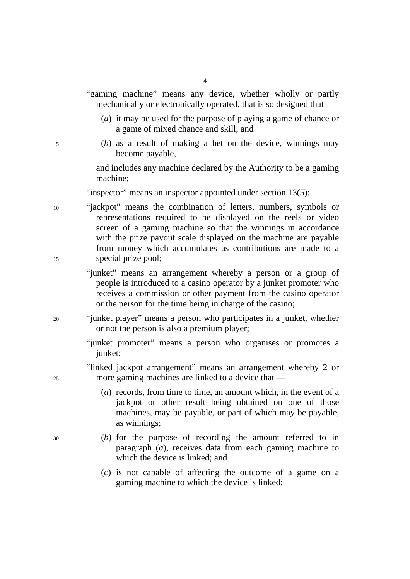|   | "gaming machine" means any device, whether wholly or partly<br>mechanically or electronically operated, that is so designed that — |
|---|------------------------------------------------------------------------------------------------------------------------------------|
|   | (a) it may be used for the purpose of playing a game of chance or<br>a game of mixed chance and skill; and                         |
| 5 | (b) as a result of making a bet on the device, winnings may<br>become payable,                                                     |

and includes any machine declared by the Authority to be a gaming machine;

"inspector" means an inspector appointed under section 13(5);

- 10 "jackpot" means the combination of letters, numbers, symbols or representations required to be displayed on the reels or video screen of a gaming machine so that the winnings in accordance with the prize payout scale displayed on the machine are payable from money which accumulates as contributions are made to a 15 special prize pool;
	- "junket" means an arrangement whereby a person or a group of people is introduced to a casino operator by a junket promoter who receives a commission or other payment from the casino operator or the person for the time being in charge of the casino;
- 20 "junket player" means a person who participates in a junket, whether or not the person is also a premium player;
	- "junket promoter" means a person who organises or promotes a junket;

"linked jackpot arrangement" means an arrangement whereby 2 or 25 more gaming machines are linked to a device that ––

- (*a*) records, from time to time, an amount which, in the event of a jackpot or other result being obtained on one of those machines, may be payable, or part of which may be payable, as winnings;
- 30 (*b*) for the purpose of recording the amount referred to in paragraph (*a*), receives data from each gaming machine to which the device is linked; and
	- (*c*) is not capable of affecting the outcome of a game on a gaming machine to which the device is linked;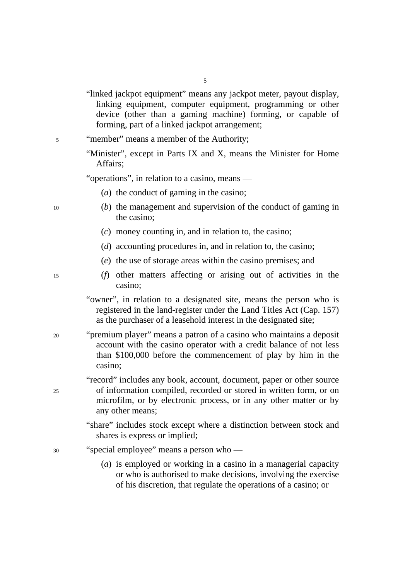"linked jackpot equipment" means any jackpot meter, payout display, linking equipment, computer equipment, programming or other device (other than a gaming machine) forming, or capable of forming, part of a linked jackpot arrangement;

5

- 5 "member" means a member of the Authority;
	- "Minister", except in Parts IX and X, means the Minister for Home Affairs;

"operations", in relation to a casino, means —

- (*a*) the conduct of gaming in the casino;
- 10 (*b*) the management and supervision of the conduct of gaming in the casino;
	- (*c*) money counting in, and in relation to, the casino;
	- (*d*) accounting procedures in, and in relation to, the casino;
	- (*e*) the use of storage areas within the casino premises; and
- 15 (*f*) other matters affecting or arising out of activities in the casino;
	- "owner", in relation to a designated site, means the person who is registered in the land-register under the Land Titles Act (Cap. 157) as the purchaser of a leasehold interest in the designated site;
- 20 "premium player" means a patron of a casino who maintains a deposit account with the casino operator with a credit balance of not less than \$100,000 before the commencement of play by him in the casino;
- "record" includes any book, account, document, paper or other source 25 of information compiled, recorded or stored in written form, or on microfilm, or by electronic process, or in any other matter or by any other means;
	- "share" includes stock except where a distinction between stock and shares is express or implied;
- 30 "special employee" means a person who
	- (*a*) is employed or working in a casino in a managerial capacity or who is authorised to make decisions, involving the exercise of his discretion, that regulate the operations of a casino; or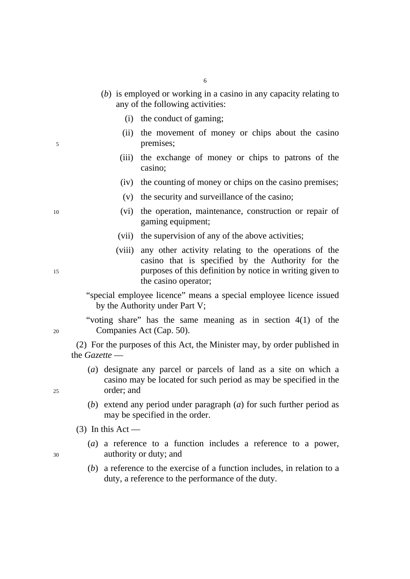- (*b*) is employed or working in a casino in any capacity relating to any of the following activities:
	- (i) the conduct of gaming;
- (ii) the movement of money or chips about the casino 5 premises;
	- (iii) the exchange of money or chips to patrons of the casino;
	- (iv) the counting of money or chips on the casino premises;
	- (v) the security and surveillance of the casino;
- 10 (vi) the operation, maintenance, construction or repair of gaming equipment;
	- (vii) the supervision of any of the above activities;
- (viii) any other activity relating to the operations of the casino that is specified by the Authority for the 15 purposes of this definition by notice in writing given to the casino operator;
	- "special employee licence" means a special employee licence issued by the Authority under Part V;

"voting share" has the same meaning as in section 4(1) of the 20 Companies Act (Cap. 50).

(2) For the purposes of this Act, the Minister may, by order published in the *Gazette* —

- (*a*) designate any parcel or parcels of land as a site on which a casino may be located for such period as may be specified in the 25 order; and
	- (*b*) extend any period under paragraph (*a*) for such further period as may be specified in the order.
	- $(3)$  In this Act —
- (*a*) a reference to a function includes a reference to a power, 30 authority or duty; and
	- (*b*) a reference to the exercise of a function includes, in relation to a duty, a reference to the performance of the duty.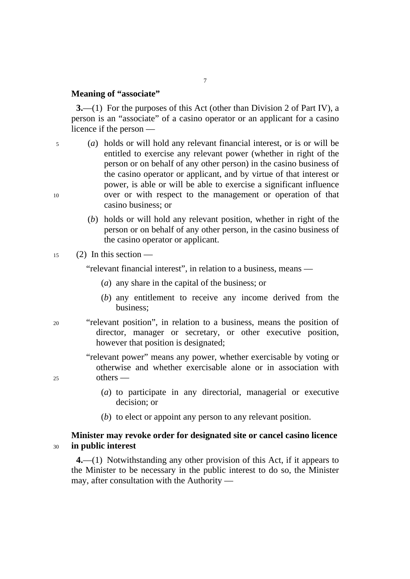## **Meaning of "associate"**

**3.**—(1) For the purposes of this Act (other than Division 2 of Part IV), a person is an "associate" of a casino operator or an applicant for a casino licence if the person —

7

5 (*a*) holds or will hold any relevant financial interest, or is or will be entitled to exercise any relevant power (whether in right of the person or on behalf of any other person) in the casino business of the casino operator or applicant, and by virtue of that interest or power, is able or will be able to exercise a significant influence 10 over or with respect to the management or operation of that casino business; or

> (*b*) holds or will hold any relevant position, whether in right of the person or on behalf of any other person, in the casino business of the casino operator or applicant.

## $15$  (2) In this section —

"relevant financial interest", in relation to a business, means —

- (*a*) any share in the capital of the business; or
- (*b*) any entitlement to receive any income derived from the business;
- 20 "relevant position", in relation to a business, means the position of director, manager or secretary, or other executive position, however that position is designated;

"relevant power" means any power, whether exercisable by voting or otherwise and whether exercisable alone or in association with 25 others —

- (*a*) to participate in any directorial, managerial or executive decision; or
- (*b*) to elect or appoint any person to any relevant position.

# **Minister may revoke order for designated site or cancel casino licence**  <sup>30</sup>**in public interest**

**4.**––(1) Notwithstanding any other provision of this Act, if it appears to the Minister to be necessary in the public interest to do so, the Minister may, after consultation with the Authority ––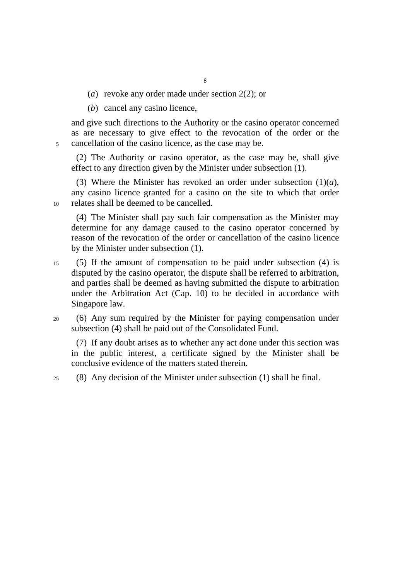- (*a*) revoke any order made under section 2(2); or
- (*b*) cancel any casino licence,

and give such directions to the Authority or the casino operator concerned as are necessary to give effect to the revocation of the order or the 5 cancellation of the casino licence, as the case may be.

(2) The Authority or casino operator, as the case may be, shall give effect to any direction given by the Minister under subsection (1).

(3) Where the Minister has revoked an order under subsection  $(1)(a)$ , any casino licence granted for a casino on the site to which that order 10 relates shall be deemed to be cancelled.

(4) The Minister shall pay such fair compensation as the Minister may determine for any damage caused to the casino operator concerned by reason of the revocation of the order or cancellation of the casino licence by the Minister under subsection (1).

- 15 (5) If the amount of compensation to be paid under subsection (4) is disputed by the casino operator, the dispute shall be referred to arbitration, and parties shall be deemed as having submitted the dispute to arbitration under the Arbitration Act (Cap. 10) to be decided in accordance with Singapore law.
- 20 (6) Any sum required by the Minister for paying compensation under subsection (4) shall be paid out of the Consolidated Fund.

(7) If any doubt arises as to whether any act done under this section was in the public interest, a certificate signed by the Minister shall be conclusive evidence of the matters stated therein.

25 (8) Any decision of the Minister under subsection (1) shall be final.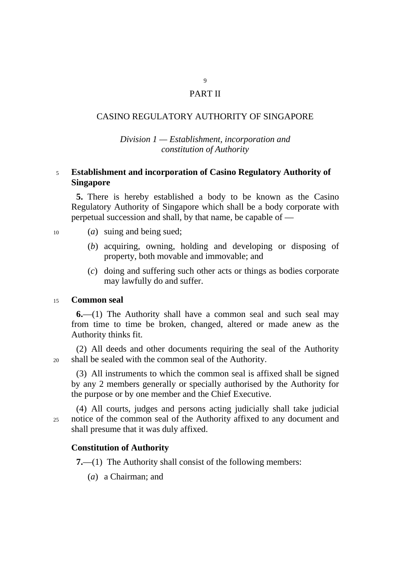# PART II

9

# CASINO REGULATORY AUTHORITY OF SINGAPORE

# *Division 1 — Establishment, incorporation and constitution of Authority*

# <sup>5</sup>**Establishment and incorporation of Casino Regulatory Authority of Singapore**

**5.** There is hereby established a body to be known as the Casino Regulatory Authority of Singapore which shall be a body corporate with perpetual succession and shall, by that name, be capable of —

- 10 (*a*) suing and being sued;
	- (*b*) acquiring, owning, holding and developing or disposing of property, both movable and immovable; and
	- (*c*) doing and suffering such other acts or things as bodies corporate may lawfully do and suffer.

## <sup>15</sup>**Common seal**

**6.**—(1) The Authority shall have a common seal and such seal may from time to time be broken, changed, altered or made anew as the Authority thinks fit.

(2) All deeds and other documents requiring the seal of the Authority 20 shall be sealed with the common seal of the Authority.

(3) All instruments to which the common seal is affixed shall be signed by any 2 members generally or specially authorised by the Authority for the purpose or by one member and the Chief Executive.

(4) All courts, judges and persons acting judicially shall take judicial 25 notice of the common seal of the Authority affixed to any document and shall presume that it was duly affixed.

# **Constitution of Authority**

**7.**—(1) The Authority shall consist of the following members:

(*a*) a Chairman; and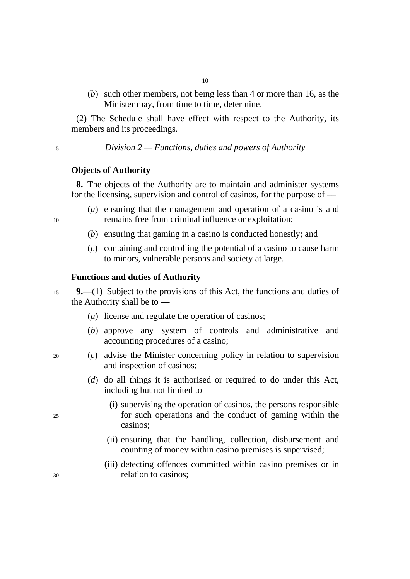(*b*) such other members, not being less than 4 or more than 16, as the Minister may, from time to time, determine.

(2) The Schedule shall have effect with respect to the Authority, its members and its proceedings.

10

<sup>5</sup>*Division 2 — Functions, duties and powers of Authority* 

## **Objects of Authority**

**8.** The objects of the Authority are to maintain and administer systems for the licensing, supervision and control of casinos, for the purpose of  $-$ 

- (*a*) ensuring that the management and operation of a casino is and 10 remains free from criminal influence or exploitation;
	- (*b*) ensuring that gaming in a casino is conducted honestly; and
	- (*c*) containing and controlling the potential of a casino to cause harm to minors, vulnerable persons and society at large.

## **Functions and duties of Authority**

- <sup>15</sup>**9.**—(1) Subject to the provisions of this Act, the functions and duties of the Authority shall be to —
	- (*a*) license and regulate the operation of casinos;
	- (*b*) approve any system of controls and administrative and accounting procedures of a casino;
- 20 (*c*) advise the Minister concerning policy in relation to supervision and inspection of casinos;
	- (*d*) do all things it is authorised or required to do under this Act, including but not limited to —
- (i) supervising the operation of casinos, the persons responsible 25 for such operations and the conduct of gaming within the casinos;
	- (ii) ensuring that the handling, collection, disbursement and counting of money within casino premises is supervised;
- (iii) detecting offences committed within casino premises or in 30 relation to casinos;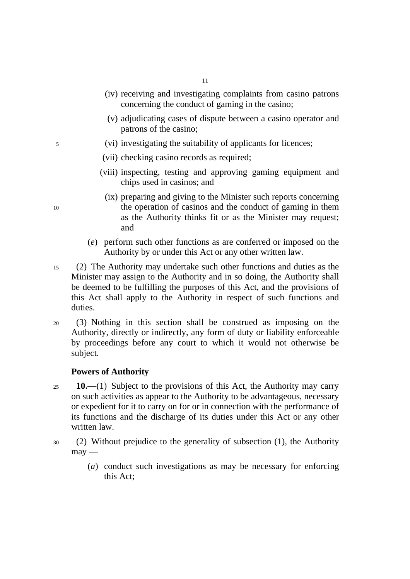- (iv) receiving and investigating complaints from casino patrons concerning the conduct of gaming in the casino;
- (v) adjudicating cases of dispute between a casino operator and patrons of the casino;
- 5 (vi) investigating the suitability of applicants for licences;
	- (vii) checking casino records as required;
	- (viii) inspecting, testing and approving gaming equipment and chips used in casinos; and
- (ix) preparing and giving to the Minister such reports concerning 10 the operation of casinos and the conduct of gaming in them as the Authority thinks fit or as the Minister may request; and
	- (*e*) perform such other functions as are conferred or imposed on the Authority by or under this Act or any other written law.
- 15 (2) The Authority may undertake such other functions and duties as the Minister may assign to the Authority and in so doing, the Authority shall be deemed to be fulfilling the purposes of this Act, and the provisions of this Act shall apply to the Authority in respect of such functions and duties.
- 20 (3) Nothing in this section shall be construed as imposing on the Authority, directly or indirectly, any form of duty or liability enforceable by proceedings before any court to which it would not otherwise be subject.

## **Powers of Authority**

- <sup>25</sup>**10.**—(1) Subject to the provisions of this Act, the Authority may carry on such activities as appear to the Authority to be advantageous, necessary or expedient for it to carry on for or in connection with the performance of its functions and the discharge of its duties under this Act or any other written law.
- 30 (2) Without prejudice to the generality of subsection (1), the Authority  $m$ ay —
	- (*a*) conduct such investigations as may be necessary for enforcing this Act;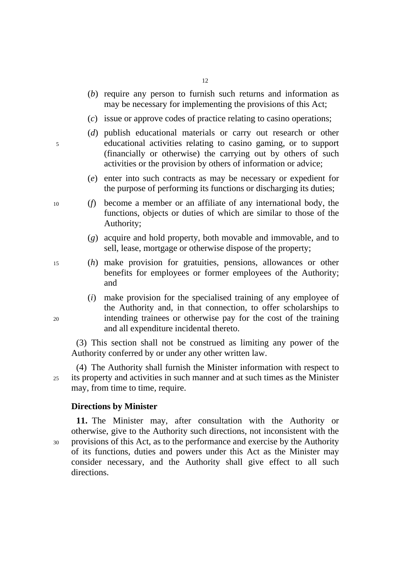- (*b*) require any person to furnish such returns and information as may be necessary for implementing the provisions of this Act;
- (*c*) issue or approve codes of practice relating to casino operations;
- (*d*) publish educational materials or carry out research or other 5 educational activities relating to casino gaming, or to support (financially or otherwise) the carrying out by others of such activities or the provision by others of information or advice;
	- (*e*) enter into such contracts as may be necessary or expedient for the purpose of performing its functions or discharging its duties;
- 10 (*f*) become a member or an affiliate of any international body, the functions, objects or duties of which are similar to those of the Authority;
	- (*g*) acquire and hold property, both movable and immovable, and to sell, lease, mortgage or otherwise dispose of the property;
- 15 (*h*) make provision for gratuities, pensions, allowances or other benefits for employees or former employees of the Authority; and
- (*i*) make provision for the specialised training of any employee of the Authority and, in that connection, to offer scholarships to 20 intending trainees or otherwise pay for the cost of the training and all expenditure incidental thereto.

(3) This section shall not be construed as limiting any power of the Authority conferred by or under any other written law.

(4) The Authority shall furnish the Minister information with respect to 25 its property and activities in such manner and at such times as the Minister may, from time to time, require.

### **Directions by Minister**

**11.** The Minister may, after consultation with the Authority or otherwise, give to the Authority such directions, not inconsistent with the 30 provisions of this Act, as to the performance and exercise by the Authority of its functions, duties and powers under this Act as the Minister may consider necessary, and the Authority shall give effect to all such directions.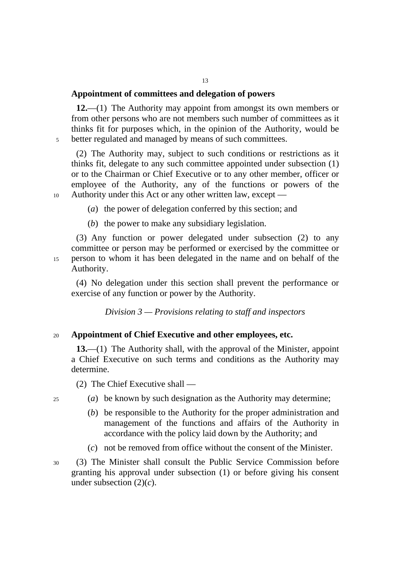# **Appointment of committees and delegation of powers**

**12.**—(1) The Authority may appoint from amongst its own members or from other persons who are not members such number of committees as it thinks fit for purposes which, in the opinion of the Authority, would be 5 better regulated and managed by means of such committees.

(2) The Authority may, subject to such conditions or restrictions as it thinks fit, delegate to any such committee appointed under subsection (1) or to the Chairman or Chief Executive or to any other member, officer or employee of the Authority, any of the functions or powers of the 10 Authority under this Act or any other written law, except —

(*a*) the power of delegation conferred by this section; and

(*b*) the power to make any subsidiary legislation.

(3) Any function or power delegated under subsection (2) to any committee or person may be performed or exercised by the committee or 15 person to whom it has been delegated in the name and on behalf of the Authority.

(4) No delegation under this section shall prevent the performance or exercise of any function or power by the Authority.

*Division 3 — Provisions relating to staff and inspectors* 

## <sup>20</sup>**Appointment of Chief Executive and other employees, etc.**

**13.**—(1) The Authority shall, with the approval of the Minister, appoint a Chief Executive on such terms and conditions as the Authority may determine.

(2) The Chief Executive shall —

- 25 (*a*) be known by such designation as the Authority may determine;
	- (*b*) be responsible to the Authority for the proper administration and management of the functions and affairs of the Authority in accordance with the policy laid down by the Authority; and
	- (*c*) not be removed from office without the consent of the Minister.

30 (3) The Minister shall consult the Public Service Commission before granting his approval under subsection (1) or before giving his consent under subsection (2)(*c*).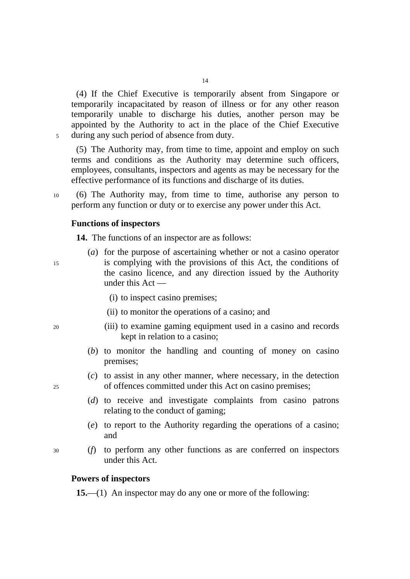(4) If the Chief Executive is temporarily absent from Singapore or temporarily incapacitated by reason of illness or for any other reason temporarily unable to discharge his duties, another person may be appointed by the Authority to act in the place of the Chief Executive 5 during any such period of absence from duty.

(5) The Authority may, from time to time, appoint and employ on such terms and conditions as the Authority may determine such officers, employees, consultants, inspectors and agents as may be necessary for the effective performance of its functions and discharge of its duties.

10 (6) The Authority may, from time to time, authorise any person to perform any function or duty or to exercise any power under this Act.

#### **Functions of inspectors**

**14.** The functions of an inspector are as follows:

- (*a*) for the purpose of ascertaining whether or not a casino operator 15 is complying with the provisions of this Act, the conditions of the casino licence, and any direction issued by the Authority under this Act ––
	- (i) to inspect casino premises;
	- (ii) to monitor the operations of a casino; and
- 20 (iii) to examine gaming equipment used in a casino and records kept in relation to a casino;
	- (*b*) to monitor the handling and counting of money on casino premises;
- (*c*) to assist in any other manner, where necessary, in the detection 25 of offences committed under this Act on casino premises;
	- (*d*) to receive and investigate complaints from casino patrons relating to the conduct of gaming;
	- (*e*) to report to the Authority regarding the operations of a casino; and
- 30 (*f*) to perform any other functions as are conferred on inspectors under this Act.

#### **Powers of inspectors**

**15.**—(1) An inspector may do any one or more of the following: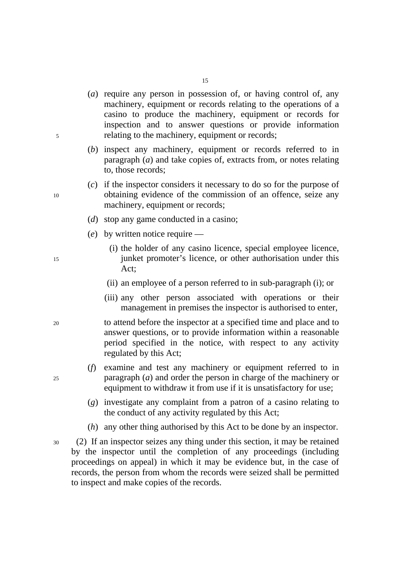- (*a*) require any person in possession of, or having control of, any machinery, equipment or records relating to the operations of a casino to produce the machinery, equipment or records for inspection and to answer questions or provide information 5 relating to the machinery, equipment or records;
	- (*b*) inspect any machinery, equipment or records referred to in paragraph (*a*) and take copies of, extracts from, or notes relating to, those records;
- (*c*) if the inspector considers it necessary to do so for the purpose of 10 obtaining evidence of the commission of an offence, seize any machinery, equipment or records;
	- (*d*) stop any game conducted in a casino;
	- (*e*) by written notice require —
- (i) the holder of any casino licence, special employee licence, 15 junket promoter's licence, or other authorisation under this Act;
	- (ii) an employee of a person referred to in sub-paragraph (i); or
	- (iii) any other person associated with operations or their management in premises the inspector is authorised to enter,
- 20 to attend before the inspector at a specified time and place and to answer questions, or to provide information within a reasonable period specified in the notice, with respect to any activity regulated by this Act;
- (*f*) examine and test any machinery or equipment referred to in 25 paragraph (*a*) and order the person in charge of the machinery or equipment to withdraw it from use if it is unsatisfactory for use;
	- (*g*) investigate any complaint from a patron of a casino relating to the conduct of any activity regulated by this Act;
	- (*h*) any other thing authorised by this Act to be done by an inspector.
- 30 (2) If an inspector seizes any thing under this section, it may be retained by the inspector until the completion of any proceedings (including proceedings on appeal) in which it may be evidence but, in the case of records, the person from whom the records were seized shall be permitted to inspect and make copies of the records.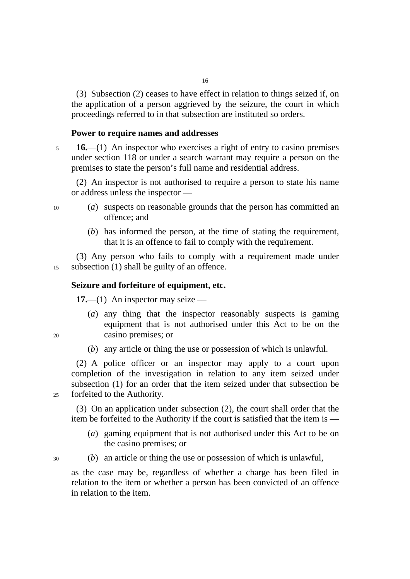(3) Subsection (2) ceases to have effect in relation to things seized if, on the application of a person aggrieved by the seizure, the court in which proceedings referred to in that subsection are instituted so orders.

## **Power to require names and addresses**

<sup>5</sup>**16.**—(1) An inspector who exercises a right of entry to casino premises under section 118 or under a search warrant may require a person on the premises to state the person's full name and residential address.

(2) An inspector is not authorised to require a person to state his name or address unless the inspector —

- 10 (*a*) suspects on reasonable grounds that the person has committed an offence; and
	- (*b*) has informed the person, at the time of stating the requirement, that it is an offence to fail to comply with the requirement.

(3) Any person who fails to comply with a requirement made under 15 subsection (1) shall be guilty of an offence.

# **Seizure and forfeiture of equipment, etc.**

**17.**—(1) An inspector may seize ––

- (*a*) any thing that the inspector reasonably suspects is gaming equipment that is not authorised under this Act to be on the 20 casino premises; or
	- (*b*) any article or thing the use or possession of which is unlawful.

(2) A police officer or an inspector may apply to a court upon completion of the investigation in relation to any item seized under subsection (1) for an order that the item seized under that subsection be 25 forfeited to the Authority.

(3) On an application under subsection (2), the court shall order that the item be forfeited to the Authority if the court is satisfied that the item is ––

- (*a*) gaming equipment that is not authorised under this Act to be on the casino premises; or
- 30 (*b*) an article or thing the use or possession of which is unlawful,

as the case may be, regardless of whether a charge has been filed in relation to the item or whether a person has been convicted of an offence in relation to the item.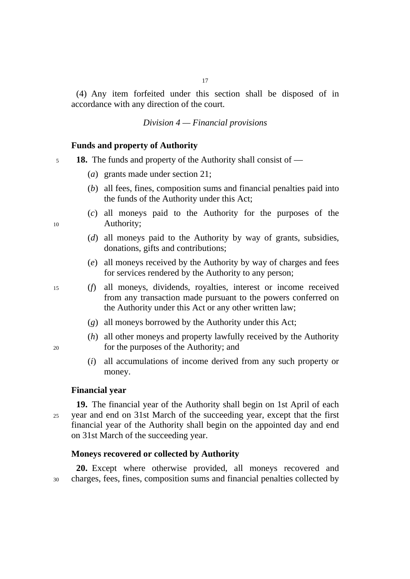(4) Any item forfeited under this section shall be disposed of in accordance with any direction of the court.

## *Division 4 — Financial provisions*

## **Funds and property of Authority**

<sup>5</sup>**18.** The funds and property of the Authority shall consist of —

- (*a*) grants made under section 21;
- (*b*) all fees, fines, composition sums and financial penalties paid into the funds of the Authority under this Act;
- (*c*) all moneys paid to the Authority for the purposes of the 10 Authority;
	- (*d*) all moneys paid to the Authority by way of grants, subsidies, donations, gifts and contributions;
	- (*e*) all moneys received by the Authority by way of charges and fees for services rendered by the Authority to any person;
- 15 (*f*) all moneys, dividends, royalties, interest or income received from any transaction made pursuant to the powers conferred on the Authority under this Act or any other written law;
	- (*g*) all moneys borrowed by the Authority under this Act;
- (*h*) all other moneys and property lawfully received by the Authority 20 for the purposes of the Authority; and
	- (*i*) all accumulations of income derived from any such property or money.

#### **Financial year**

**19.** The financial year of the Authority shall begin on 1st April of each 25 year and end on 31st March of the succeeding year, except that the first financial year of the Authority shall begin on the appointed day and end on 31st March of the succeeding year.

#### **Moneys recovered or collected by Authority**

**20.** Except where otherwise provided, all moneys recovered and 30 charges, fees, fines, composition sums and financial penalties collected by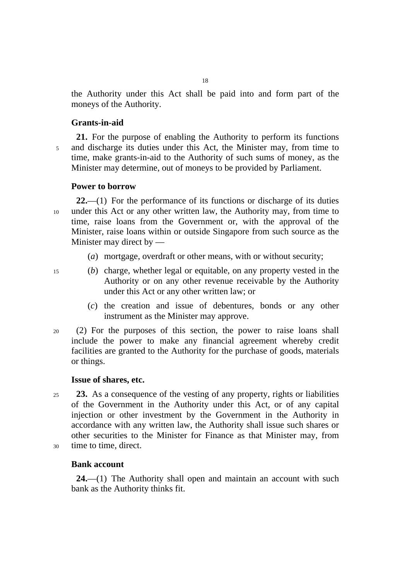the Authority under this Act shall be paid into and form part of the moneys of the Authority.

## **Grants-in-aid**

**21.** For the purpose of enabling the Authority to perform its functions 5 and discharge its duties under this Act, the Minister may, from time to time, make grants-in-aid to the Authority of such sums of money, as the Minister may determine, out of moneys to be provided by Parliament.

## **Power to borrow**

**22.**—(1) For the performance of its functions or discharge of its duties 10 under this Act or any other written law, the Authority may, from time to time, raise loans from the Government or, with the approval of the Minister, raise loans within or outside Singapore from such source as the Minister may direct by —

- (*a*) mortgage, overdraft or other means, with or without security;
- 

15 (*b*) charge, whether legal or equitable, on any property vested in the Authority or on any other revenue receivable by the Authority under this Act or any other written law; or

- (*c*) the creation and issue of debentures, bonds or any other instrument as the Minister may approve.
- 20 (2) For the purposes of this section, the power to raise loans shall include the power to make any financial agreement whereby credit facilities are granted to the Authority for the purchase of goods, materials or things.

## **Issue of shares, etc.**

- <sup>25</sup>**23.** As a consequence of the vesting of any property, rights or liabilities of the Government in the Authority under this Act, or of any capital injection or other investment by the Government in the Authority in accordance with any written law, the Authority shall issue such shares or other securities to the Minister for Finance as that Minister may, from 30 time to time, direct.
- 

# **Bank account**

**24.**—(1) The Authority shall open and maintain an account with such bank as the Authority thinks fit.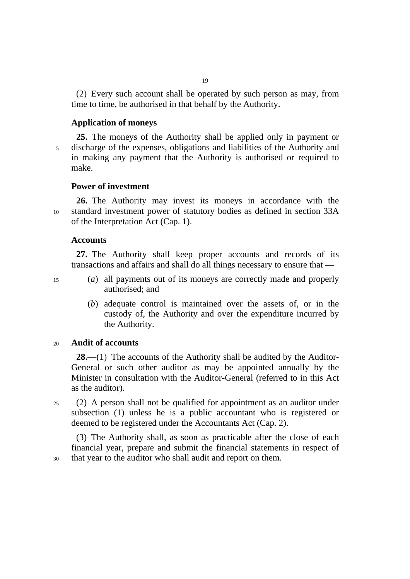(2) Every such account shall be operated by such person as may, from time to time, be authorised in that behalf by the Authority.

## **Application of moneys**

**25.** The moneys of the Authority shall be applied only in payment or 5 discharge of the expenses, obligations and liabilities of the Authority and in making any payment that the Authority is authorised or required to make.

## **Power of investment**

**26.** The Authority may invest its moneys in accordance with the 10 standard investment power of statutory bodies as defined in section 33A of the Interpretation Act (Cap. 1).

#### **Accounts**

**27.** The Authority shall keep proper accounts and records of its transactions and affairs and shall do all things necessary to ensure that —

- 
- 15 (*a*) all payments out of its moneys are correctly made and properly authorised; and
	- (*b*) adequate control is maintained over the assets of, or in the custody of, the Authority and over the expenditure incurred by the Authority.

## <sup>20</sup>**Audit of accounts**

**28.**—(1) The accounts of the Authority shall be audited by the Auditor-General or such other auditor as may be appointed annually by the Minister in consultation with the Auditor-General (referred to in this Act as the auditor).

25 (2) A person shall not be qualified for appointment as an auditor under subsection (1) unless he is a public accountant who is registered or deemed to be registered under the Accountants Act (Cap. 2).

(3) The Authority shall, as soon as practicable after the close of each financial year, prepare and submit the financial statements in respect of 30 that year to the auditor who shall audit and report on them.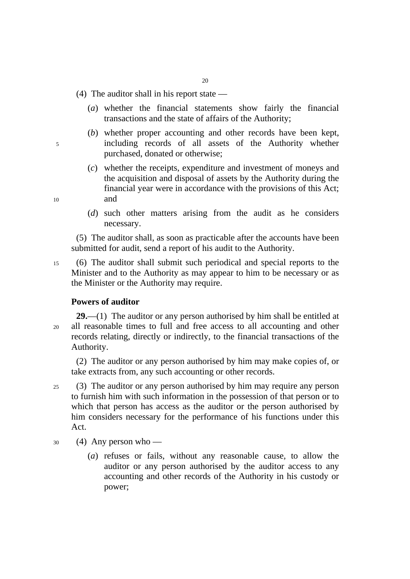- (4) The auditor shall in his report state
	- (*a*) whether the financial statements show fairly the financial transactions and the state of affairs of the Authority;
- (*b*) whether proper accounting and other records have been kept, 5 including records of all assets of the Authority whether purchased, donated or otherwise;
- (*c*) whether the receipts, expenditure and investment of moneys and the acquisition and disposal of assets by the Authority during the financial year were in accordance with the provisions of this Act; 10 and
	- (*d*) such other matters arising from the audit as he considers necessary.

(5) The auditor shall, as soon as practicable after the accounts have been submitted for audit, send a report of his audit to the Authority.

15 (6) The auditor shall submit such periodical and special reports to the Minister and to the Authority as may appear to him to be necessary or as the Minister or the Authority may require.

#### **Powers of auditor**

**29.**—(1) The auditor or any person authorised by him shall be entitled at 20 all reasonable times to full and free access to all accounting and other records relating, directly or indirectly, to the financial transactions of the Authority.

(2) The auditor or any person authorised by him may make copies of, or take extracts from, any such accounting or other records.

- 25 (3) The auditor or any person authorised by him may require any person to furnish him with such information in the possession of that person or to which that person has access as the auditor or the person authorised by him considers necessary for the performance of his functions under this Act.
- $30 \qquad (4)$  Any person who
	- (*a*) refuses or fails, without any reasonable cause, to allow the auditor or any person authorised by the auditor access to any accounting and other records of the Authority in his custody or power;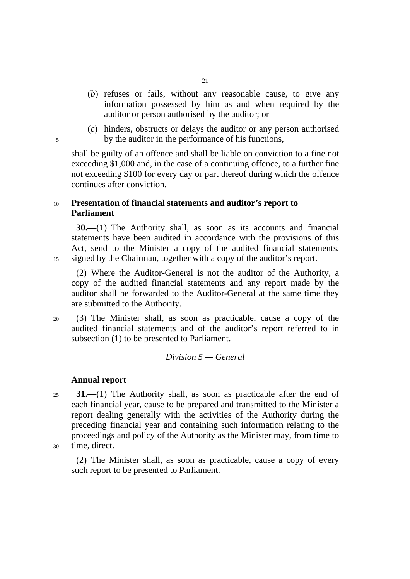- (*b*) refuses or fails, without any reasonable cause, to give any information possessed by him as and when required by the auditor or person authorised by the auditor; or
- (*c*) hinders, obstructs or delays the auditor or any person authorised 5 by the auditor in the performance of his functions,

shall be guilty of an offence and shall be liable on conviction to a fine not exceeding \$1,000 and, in the case of a continuing offence, to a further fine not exceeding \$100 for every day or part thereof during which the offence continues after conviction.

# <sup>10</sup>**Presentation of financial statements and auditor's report to Parliament**

**30.**—(1) The Authority shall, as soon as its accounts and financial statements have been audited in accordance with the provisions of this Act, send to the Minister a copy of the audited financial statements, 15 signed by the Chairman, together with a copy of the auditor's report.

(2) Where the Auditor-General is not the auditor of the Authority, a copy of the audited financial statements and any report made by the auditor shall be forwarded to the Auditor-General at the same time they are submitted to the Authority.

20 (3) The Minister shall, as soon as practicable, cause a copy of the audited financial statements and of the auditor's report referred to in subsection (1) to be presented to Parliament.

# *Division 5 — General*

## **Annual report**

<sup>25</sup>**31.**—(1) The Authority shall, as soon as practicable after the end of each financial year, cause to be prepared and transmitted to the Minister a report dealing generally with the activities of the Authority during the preceding financial year and containing such information relating to the proceedings and policy of the Authority as the Minister may, from time to 30 time, direct.

(2) The Minister shall, as soon as practicable, cause a copy of every such report to be presented to Parliament.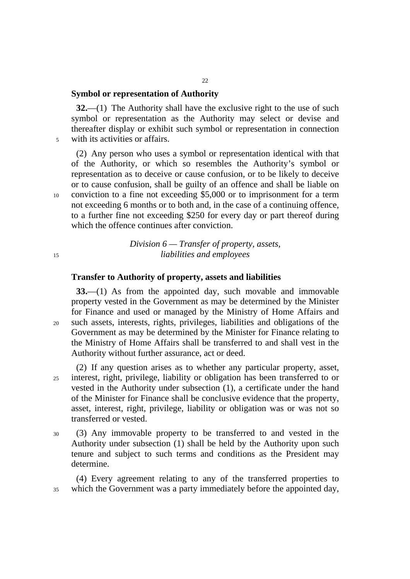## **Symbol or representation of Authority**

**32.**—(1) The Authority shall have the exclusive right to the use of such symbol or representation as the Authority may select or devise and thereafter display or exhibit such symbol or representation in connection 5 with its activities or affairs.

22

(2) Any person who uses a symbol or representation identical with that of the Authority, or which so resembles the Authority's symbol or representation as to deceive or cause confusion, or to be likely to deceive or to cause confusion, shall be guilty of an offence and shall be liable on 10 conviction to a fine not exceeding \$5,000 or to imprisonment for a term not exceeding 6 months or to both and, in the case of a continuing offence, to a further fine not exceeding \$250 for every day or part thereof during which the offence continues after conviction.

*Division 6 — Transfer of property, assets,*  <sup>15</sup>*liabilities and employees* 

#### **Transfer to Authority of property, assets and liabilities**

**33.**—(1) As from the appointed day, such movable and immovable property vested in the Government as may be determined by the Minister for Finance and used or managed by the Ministry of Home Affairs and 20 such assets, interests, rights, privileges, liabilities and obligations of the Government as may be determined by the Minister for Finance relating to the Ministry of Home Affairs shall be transferred to and shall vest in the Authority without further assurance, act or deed.

(2) If any question arises as to whether any particular property, asset, 25 interest, right, privilege, liability or obligation has been transferred to or vested in the Authority under subsection (1), a certificate under the hand of the Minister for Finance shall be conclusive evidence that the property, asset, interest, right, privilege, liability or obligation was or was not so transferred or vested.

30 (3) Any immovable property to be transferred to and vested in the Authority under subsection (1) shall be held by the Authority upon such tenure and subject to such terms and conditions as the President may determine.

(4) Every agreement relating to any of the transferred properties to 35 which the Government was a party immediately before the appointed day,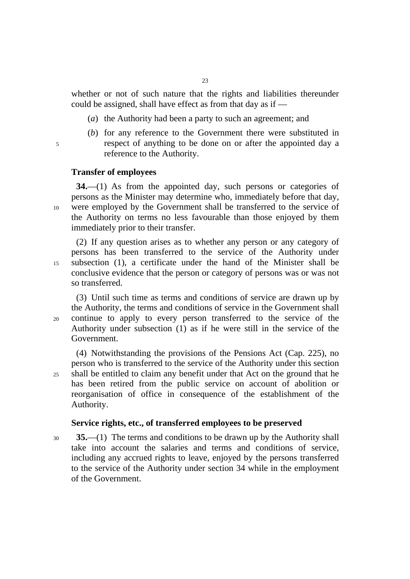whether or not of such nature that the rights and liabilities thereunder could be assigned, shall have effect as from that day as if —

- (*a*) the Authority had been a party to such an agreement; and
- (*b*) for any reference to the Government there were substituted in 5 respect of anything to be done on or after the appointed day a reference to the Authority.

#### **Transfer of employees**

**34.**—(1) As from the appointed day, such persons or categories of persons as the Minister may determine who, immediately before that day, 10 were employed by the Government shall be transferred to the service of the Authority on terms no less favourable than those enjoyed by them immediately prior to their transfer.

(2) If any question arises as to whether any person or any category of persons has been transferred to the service of the Authority under 15 subsection (1), a certificate under the hand of the Minister shall be conclusive evidence that the person or category of persons was or was not so transferred.

(3) Until such time as terms and conditions of service are drawn up by the Authority, the terms and conditions of service in the Government shall 20 continue to apply to every person transferred to the service of the Authority under subsection (1) as if he were still in the service of the Government.

(4) Notwithstanding the provisions of the Pensions Act (Cap. 225), no person who is transferred to the service of the Authority under this section 25 shall be entitled to claim any benefit under that Act on the ground that he has been retired from the public service on account of abolition or reorganisation of office in consequence of the establishment of the Authority.

#### **Service rights, etc., of transferred employees to be preserved**

<sup>30</sup>**35.**—(1) The terms and conditions to be drawn up by the Authority shall take into account the salaries and terms and conditions of service, including any accrued rights to leave, enjoyed by the persons transferred to the service of the Authority under section 34 while in the employment of the Government.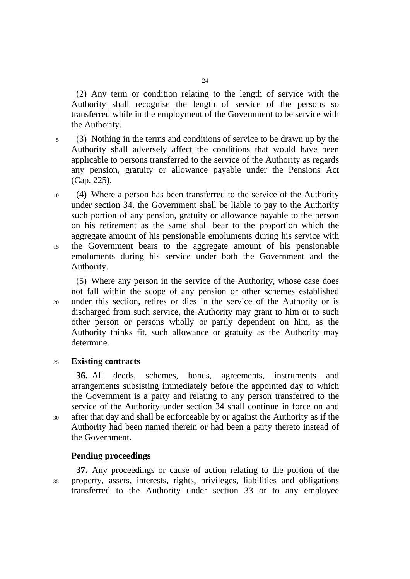(2) Any term or condition relating to the length of service with the Authority shall recognise the length of service of the persons so transferred while in the employment of the Government to be service with the Authority.

5 (3) Nothing in the terms and conditions of service to be drawn up by the Authority shall adversely affect the conditions that would have been applicable to persons transferred to the service of the Authority as regards any pension, gratuity or allowance payable under the Pensions Act (Cap. 225).

10 (4) Where a person has been transferred to the service of the Authority under section 34, the Government shall be liable to pay to the Authority such portion of any pension, gratuity or allowance payable to the person on his retirement as the same shall bear to the proportion which the aggregate amount of his pensionable emoluments during his service with 15 the Government bears to the aggregate amount of his pensionable emoluments during his service under both the Government and the Authority.

(5) Where any person in the service of the Authority, whose case does not fall within the scope of any pension or other schemes established 20 under this section, retires or dies in the service of the Authority or is discharged from such service, the Authority may grant to him or to such other person or persons wholly or partly dependent on him, as the Authority thinks fit, such allowance or gratuity as the Authority may determine.

#### <sup>25</sup>**Existing contracts**

**36.** All deeds, schemes, bonds, agreements, instruments and arrangements subsisting immediately before the appointed day to which the Government is a party and relating to any person transferred to the service of the Authority under section 34 shall continue in force on and 30 after that day and shall be enforceable by or against the Authority as if the Authority had been named therein or had been a party thereto instead of the Government.

## **Pending proceedings**

**37.** Any proceedings or cause of action relating to the portion of the 35 property, assets, interests, rights, privileges, liabilities and obligations transferred to the Authority under section 33 or to any employee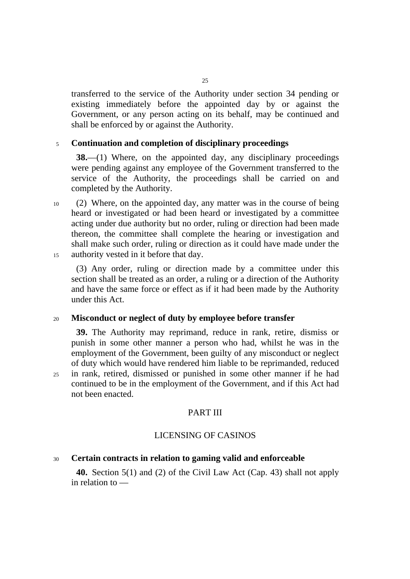transferred to the service of the Authority under section 34 pending or existing immediately before the appointed day by or against the Government, or any person acting on its behalf, may be continued and shall be enforced by or against the Authority.

## <sup>5</sup>**Continuation and completion of disciplinary proceedings**

**38.**—(1) Where, on the appointed day, any disciplinary proceedings were pending against any employee of the Government transferred to the service of the Authority, the proceedings shall be carried on and completed by the Authority.

10 (2) Where, on the appointed day, any matter was in the course of being heard or investigated or had been heard or investigated by a committee acting under due authority but no order, ruling or direction had been made thereon, the committee shall complete the hearing or investigation and shall make such order, ruling or direction as it could have made under the 15 authority vested in it before that day.

(3) Any order, ruling or direction made by a committee under this section shall be treated as an order, a ruling or a direction of the Authority and have the same force or effect as if it had been made by the Authority under this Act.

#### <sup>20</sup>**Misconduct or neglect of duty by employee before transfer**

**39.** The Authority may reprimand, reduce in rank, retire, dismiss or punish in some other manner a person who had, whilst he was in the employment of the Government, been guilty of any misconduct or neglect of duty which would have rendered him liable to be reprimanded, reduced 25 in rank, retired, dismissed or punished in some other manner if he had continued to be in the employment of the Government, and if this Act had not been enacted.

# PART III

# LICENSING OF CASINOS

## <sup>30</sup>**Certain contracts in relation to gaming valid and enforceable**

**40.** Section 5(1) and (2) of the Civil Law Act (Cap. 43) shall not apply in relation to —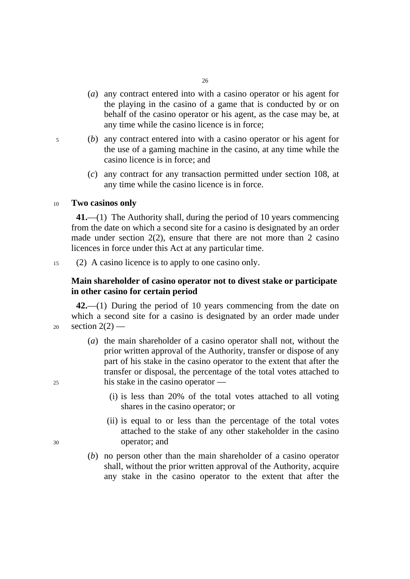- (*a*) any contract entered into with a casino operator or his agent for the playing in the casino of a game that is conducted by or on behalf of the casino operator or his agent, as the case may be, at any time while the casino licence is in force;
- 5 (*b*) any contract entered into with a casino operator or his agent for the use of a gaming machine in the casino, at any time while the casino licence is in force; and
	- (*c*) any contract for any transaction permitted under section 108, at any time while the casino licence is in force.

#### <sup>10</sup>**Two casinos only**

**41.**––(1) The Authority shall, during the period of 10 years commencing from the date on which a second site for a casino is designated by an order made under section 2(2), ensure that there are not more than 2 casino licences in force under this Act at any particular time.

15 (2) A casino licence is to apply to one casino only.

# **Main shareholder of casino operator not to divest stake or participate in other casino for certain period**

**42.**––(1) During the period of 10 years commencing from the date on which a second site for a casino is designated by an order made under  $_{20}$  section  $2(2)$  —

- (*a*) the main shareholder of a casino operator shall not, without the prior written approval of the Authority, transfer or dispose of any part of his stake in the casino operator to the extent that after the transfer or disposal, the percentage of the total votes attached to 25 his stake in the casino operator ––
	- (i) is less than 20% of the total votes attached to all voting shares in the casino operator; or
- (ii) is equal to or less than the percentage of the total votes attached to the stake of any other stakeholder in the casino 30 operator; and
	- (*b*) no person other than the main shareholder of a casino operator shall, without the prior written approval of the Authority, acquire any stake in the casino operator to the extent that after the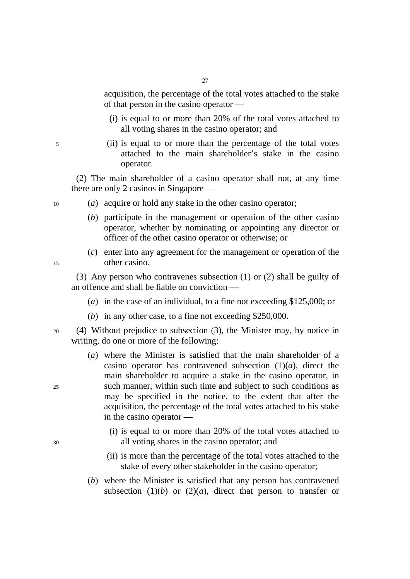acquisition, the percentage of the total votes attached to the stake of that person in the casino operator ––

- (i) is equal to or more than 20% of the total votes attached to all voting shares in the casino operator; and
- 5 (ii) is equal to or more than the percentage of the total votes attached to the main shareholder's stake in the casino operator.

(2) The main shareholder of a casino operator shall not, at any time there are only 2 casinos in Singapore ––

- 10 (*a*) acquire or hold any stake in the other casino operator;
	- (*b*) participate in the management or operation of the other casino operator, whether by nominating or appointing any director or officer of the other casino operator or otherwise; or
- (*c*) enter into any agreement for the management or operation of the 15 other casino.

(3) Any person who contravenes subsection (1) or (2) shall be guilty of an offence and shall be liable on conviction ––

- (*a*) in the case of an individual, to a fine not exceeding \$125,000; or
- (*b*) in any other case, to a fine not exceeding \$250,000.

20 (4) Without prejudice to subsection (3), the Minister may, by notice in writing, do one or more of the following:

- (*a*) where the Minister is satisfied that the main shareholder of a casino operator has contravened subsection  $(1)(a)$ , direct the main shareholder to acquire a stake in the casino operator, in 25 such manner, within such time and subject to such conditions as may be specified in the notice, to the extent that after the acquisition, the percentage of the total votes attached to his stake in the casino operator ––
- (i) is equal to or more than 20% of the total votes attached to 30 all voting shares in the casino operator; and
	- (ii) is more than the percentage of the total votes attached to the stake of every other stakeholder in the casino operator;
	- (*b*) where the Minister is satisfied that any person has contravened subsection  $(1)(b)$  or  $(2)(a)$ , direct that person to transfer or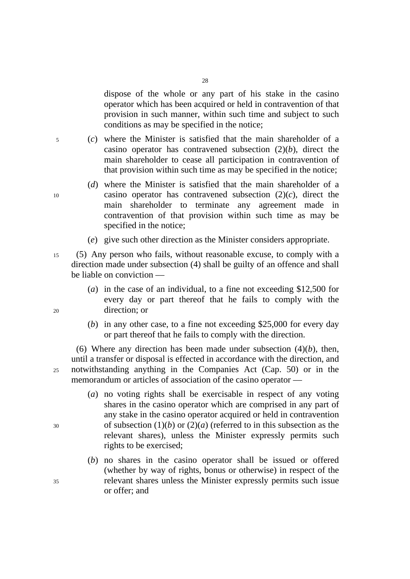dispose of the whole or any part of his stake in the casino operator which has been acquired or held in contravention of that provision in such manner, within such time and subject to such conditions as may be specified in the notice;

5 (*c*) where the Minister is satisfied that the main shareholder of a casino operator has contravened subsection (2)(*b*), direct the main shareholder to cease all participation in contravention of that provision within such time as may be specified in the notice;

28

- (*d*) where the Minister is satisfied that the main shareholder of a 10 casino operator has contravened subsection (2)(*c*), direct the main shareholder to terminate any agreement made in contravention of that provision within such time as may be specified in the notice;
	- (*e*) give such other direction as the Minister considers appropriate.

15 (5) Any person who fails, without reasonable excuse, to comply with a direction made under subsection (4) shall be guilty of an offence and shall be liable on conviction ––

- (*a*) in the case of an individual, to a fine not exceeding \$12,500 for every day or part thereof that he fails to comply with the 20 direction; or
	- (*b*) in any other case, to a fine not exceeding \$25,000 for every day or part thereof that he fails to comply with the direction.

(6) Where any direction has been made under subsection  $(4)(b)$ , then, until a transfer or disposal is effected in accordance with the direction, and 25 notwithstanding anything in the Companies Act (Cap. 50) or in the memorandum or articles of association of the casino operator —

- (*a*) no voting rights shall be exercisable in respect of any voting shares in the casino operator which are comprised in any part of any stake in the casino operator acquired or held in contravention 30 of subsection (1)(*b*) or (2)(*a*) (referred to in this subsection as the relevant shares), unless the Minister expressly permits such rights to be exercised;
- (*b*) no shares in the casino operator shall be issued or offered (whether by way of rights, bonus or otherwise) in respect of the 35 relevant shares unless the Minister expressly permits such issue or offer; and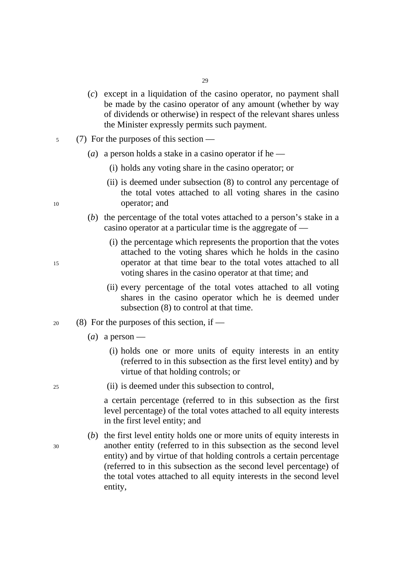- (*c*) except in a liquidation of the casino operator, no payment shall be made by the casino operator of any amount (whether by way of dividends or otherwise) in respect of the relevant shares unless the Minister expressly permits such payment.
- 5 (7) For the purposes of this section
	- (*a*) a person holds a stake in a casino operator if he
		- (i) holds any voting share in the casino operator; or
- (ii) is deemed under subsection (8) to control any percentage of the total votes attached to all voting shares in the casino 10 operator; and
	- (*b*) the percentage of the total votes attached to a person's stake in a casino operator at a particular time is the aggregate of —
- (i) the percentage which represents the proportion that the votes attached to the voting shares which he holds in the casino 15 operator at that time bear to the total votes attached to all voting shares in the casino operator at that time; and
	- (ii) every percentage of the total votes attached to all voting shares in the casino operator which he is deemed under subsection (8) to control at that time.
- 20 (8) For the purposes of this section, if
	- (*a*) a person
		- (i) holds one or more units of equity interests in an entity (referred to in this subsection as the first level entity) and by virtue of that holding controls; or
- 25 (ii) is deemed under this subsection to control,

a certain percentage (referred to in this subsection as the first level percentage) of the total votes attached to all equity interests in the first level entity; and

(*b*) the first level entity holds one or more units of equity interests in 30 another entity (referred to in this subsection as the second level entity) and by virtue of that holding controls a certain percentage (referred to in this subsection as the second level percentage) of the total votes attached to all equity interests in the second level entity,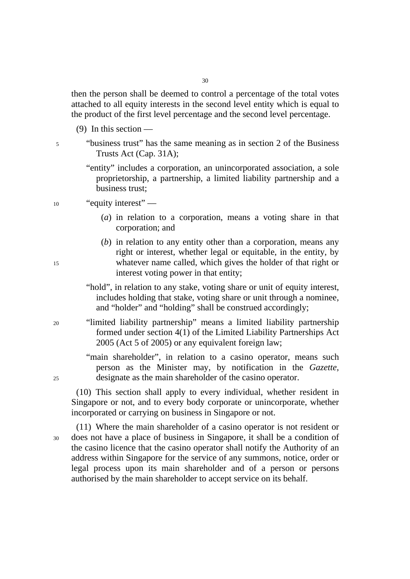then the person shall be deemed to control a percentage of the total votes attached to all equity interests in the second level entity which is equal to the product of the first level percentage and the second level percentage.

- $(9)$  In this section —
- 5 "business trust" has the same meaning as in section 2 of the Business Trusts Act (Cap. 31A);
	- "entity" includes a corporation, an unincorporated association, a sole proprietorship, a partnership, a limited liability partnership and a business trust;
- 10 "equity interest" ––
	- (*a*) in relation to a corporation, means a voting share in that corporation; and
- (*b*) in relation to any entity other than a corporation, means any right or interest, whether legal or equitable, in the entity, by 15 whatever name called, which gives the holder of that right or interest voting power in that entity;
	- "hold", in relation to any stake, voting share or unit of equity interest, includes holding that stake, voting share or unit through a nominee, and "holder" and "holding" shall be construed accordingly;
- 20 "limited liability partnership" means a limited liability partnership formed under section 4(1) of the Limited Liability Partnerships Act 2005 (Act 5 of 2005) or any equivalent foreign law;

"main shareholder", in relation to a casino operator, means such person as the Minister may, by notification in the *Gazette*, 25 designate as the main shareholder of the casino operator.

(10) This section shall apply to every individual, whether resident in Singapore or not, and to every body corporate or unincorporate, whether incorporated or carrying on business in Singapore or not.

(11) Where the main shareholder of a casino operator is not resident or 30 does not have a place of business in Singapore, it shall be a condition of the casino licence that the casino operator shall notify the Authority of an address within Singapore for the service of any summons, notice, order or legal process upon its main shareholder and of a person or persons authorised by the main shareholder to accept service on its behalf.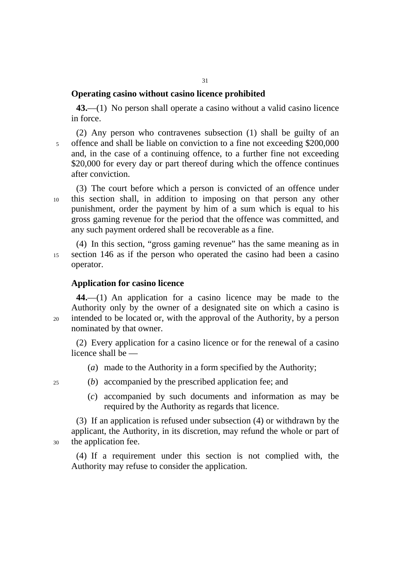# **Operating casino without casino licence prohibited**

43.—(1) No person shall operate a casino without a valid casino licence in force.

(2) Any person who contravenes subsection (1) shall be guilty of an 5 offence and shall be liable on conviction to a fine not exceeding \$200,000 and, in the case of a continuing offence, to a further fine not exceeding \$20,000 for every day or part thereof during which the offence continues after conviction.

(3) The court before which a person is convicted of an offence under 10 this section shall, in addition to imposing on that person any other punishment, order the payment by him of a sum which is equal to his gross gaming revenue for the period that the offence was committed, and any such payment ordered shall be recoverable as a fine.

(4) In this section, "gross gaming revenue" has the same meaning as in 15 section 146 as if the person who operated the casino had been a casino operator.

### **Application for casino licence**

**44.**—(1) An application for a casino licence may be made to the Authority only by the owner of a designated site on which a casino is 20 intended to be located or, with the approval of the Authority, by a person nominated by that owner.

(2) Every application for a casino licence or for the renewal of a casino licence shall be —

(*a*) made to the Authority in a form specified by the Authority;

- 25 (*b*) accompanied by the prescribed application fee; and
	- (*c*) accompanied by such documents and information as may be required by the Authority as regards that licence.

(3) If an application is refused under subsection (4) or withdrawn by the applicant, the Authority, in its discretion, may refund the whole or part of 30 the application fee.

(4) If a requirement under this section is not complied with, the Authority may refuse to consider the application.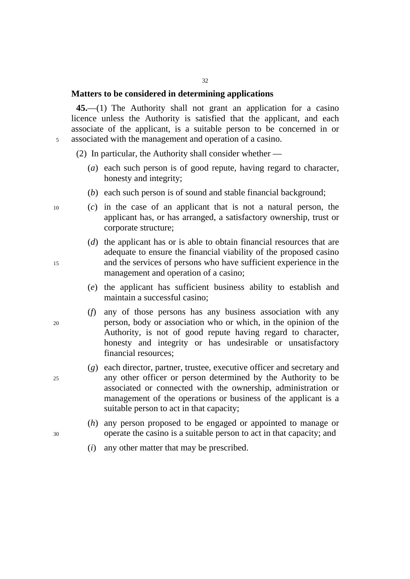## **Matters to be considered in determining applications**

**45.**—(1) The Authority shall not grant an application for a casino licence unless the Authority is satisfied that the applicant, and each associate of the applicant, is a suitable person to be concerned in or 5 associated with the management and operation of a casino.

32

(2) In particular, the Authority shall consider whether —

- (*a*) each such person is of good repute, having regard to character, honesty and integrity;
- (*b*) each such person is of sound and stable financial background;

- 10 (*c*) in the case of an applicant that is not a natural person, the applicant has, or has arranged, a satisfactory ownership, trust or corporate structure;
- (*d*) the applicant has or is able to obtain financial resources that are adequate to ensure the financial viability of the proposed casino 15 and the services of persons who have sufficient experience in the management and operation of a casino;
	- (*e*) the applicant has sufficient business ability to establish and maintain a successful casino;
- (*f*) any of those persons has any business association with any 20 person, body or association who or which, in the opinion of the Authority, is not of good repute having regard to character, honesty and integrity or has undesirable or unsatisfactory financial resources;
- (*g*) each director, partner, trustee, executive officer and secretary and 25 any other officer or person determined by the Authority to be associated or connected with the ownership, administration or management of the operations or business of the applicant is a suitable person to act in that capacity;
- (*h*) any person proposed to be engaged or appointed to manage or 30 operate the casino is a suitable person to act in that capacity; and
	- (*i*) any other matter that may be prescribed.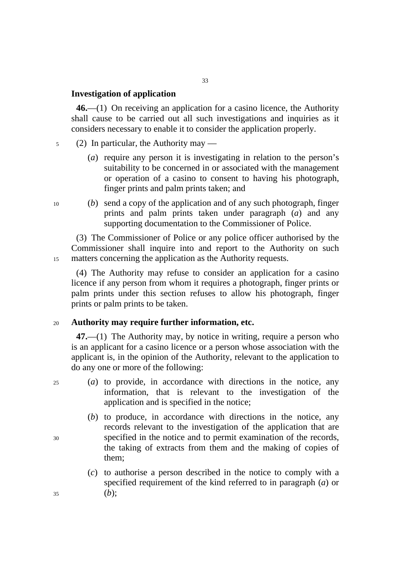### **Investigation of application**

**46.**—(1) On receiving an application for a casino licence, the Authority shall cause to be carried out all such investigations and inquiries as it considers necessary to enable it to consider the application properly.

- 5 (2) In particular, the Authority may
	- (*a*) require any person it is investigating in relation to the person's suitability to be concerned in or associated with the management or operation of a casino to consent to having his photograph, finger prints and palm prints taken; and
- 10 (*b*) send a copy of the application and of any such photograph, finger prints and palm prints taken under paragraph (*a*) and any supporting documentation to the Commissioner of Police.

(3) The Commissioner of Police or any police officer authorised by the Commissioner shall inquire into and report to the Authority on such 15 matters concerning the application as the Authority requests.

(4) The Authority may refuse to consider an application for a casino licence if any person from whom it requires a photograph, finger prints or palm prints under this section refuses to allow his photograph, finger prints or palm prints to be taken.

#### <sup>20</sup>**Authority may require further information, etc.**

**47.**—(1) The Authority may, by notice in writing, require a person who is an applicant for a casino licence or a person whose association with the applicant is, in the opinion of the Authority, relevant to the application to do any one or more of the following:

25 (*a*) to provide, in accordance with directions in the notice, any information, that is relevant to the investigation of the application and is specified in the notice;

- (*b*) to produce, in accordance with directions in the notice, any records relevant to the investigation of the application that are 30 specified in the notice and to permit examination of the records, the taking of extracts from them and the making of copies of them;
- (*c*) to authorise a person described in the notice to comply with a specified requirement of the kind referred to in paragraph (*a*) or  $35$  (*b*);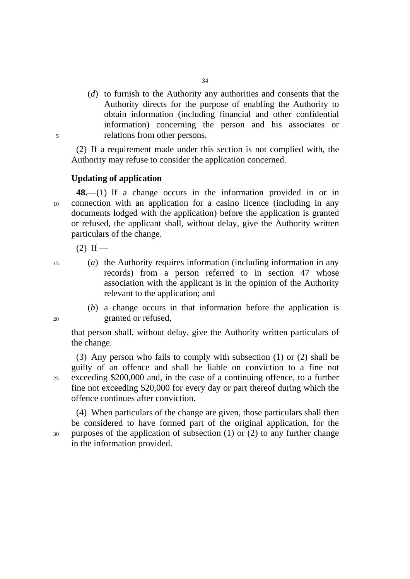(*d*) to furnish to the Authority any authorities and consents that the Authority directs for the purpose of enabling the Authority to obtain information (including financial and other confidential information) concerning the person and his associates or 5 relations from other persons.

(2) If a requirement made under this section is not complied with, the Authority may refuse to consider the application concerned.

## **Updating of application**

**48.**—(1) If a change occurs in the information provided in or in 10 connection with an application for a casino licence (including in any documents lodged with the application) before the application is granted or refused, the applicant shall, without delay, give the Authority written particulars of the change.

 $(2)$  If —

15 (*a*) the Authority requires information (including information in any records) from a person referred to in section 47 whose association with the applicant is in the opinion of the Authority relevant to the application; and

(*b*) a change occurs in that information before the application is 20 granted or refused,

that person shall, without delay, give the Authority written particulars of the change.

(3) Any person who fails to comply with subsection (1) or (2) shall be guilty of an offence and shall be liable on conviction to a fine not 25 exceeding \$200,000 and, in the case of a continuing offence, to a further fine not exceeding \$20,000 for every day or part thereof during which the offence continues after conviction.

(4) When particulars of the change are given, those particulars shall then be considered to have formed part of the original application, for the 30 purposes of the application of subsection (1) or (2) to any further change in the information provided.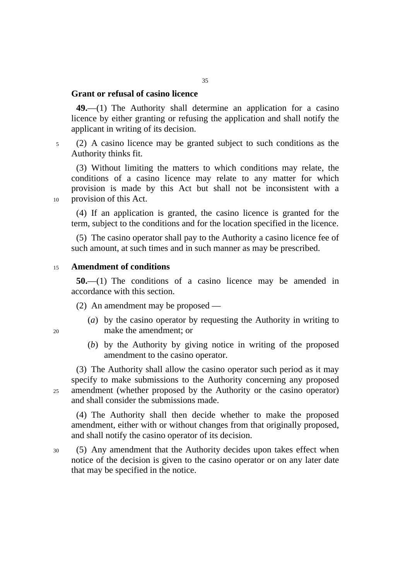# **Grant or refusal of casino licence**

**49.**—(1) The Authority shall determine an application for a casino licence by either granting or refusing the application and shall notify the applicant in writing of its decision.

5 (2) A casino licence may be granted subject to such conditions as the Authority thinks fit.

(3) Without limiting the matters to which conditions may relate, the conditions of a casino licence may relate to any matter for which provision is made by this Act but shall not be inconsistent with a 10 provision of this Act.

(4) If an application is granted, the casino licence is granted for the term, subject to the conditions and for the location specified in the licence.

(5) The casino operator shall pay to the Authority a casino licence fee of such amount, at such times and in such manner as may be prescribed.

#### <sup>15</sup>**Amendment of conditions**

**50.**—(1) The conditions of a casino licence may be amended in accordance with this section.

(2) An amendment may be proposed —

- (*a*) by the casino operator by requesting the Authority in writing to 20 make the amendment; or
	- (*b*) by the Authority by giving notice in writing of the proposed amendment to the casino operator.

(3) The Authority shall allow the casino operator such period as it may specify to make submissions to the Authority concerning any proposed 25 amendment (whether proposed by the Authority or the casino operator) and shall consider the submissions made.

(4) The Authority shall then decide whether to make the proposed amendment, either with or without changes from that originally proposed, and shall notify the casino operator of its decision.

30 (5) Any amendment that the Authority decides upon takes effect when notice of the decision is given to the casino operator or on any later date that may be specified in the notice.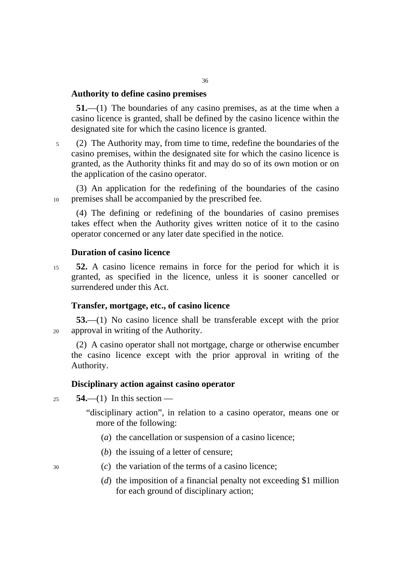#### **Authority to define casino premises**

**51.**—(1) The boundaries of any casino premises, as at the time when a casino licence is granted, shall be defined by the casino licence within the designated site for which the casino licence is granted.

5 (2) The Authority may, from time to time, redefine the boundaries of the casino premises, within the designated site for which the casino licence is granted, as the Authority thinks fit and may do so of its own motion or on the application of the casino operator.

(3) An application for the redefining of the boundaries of the casino 10 premises shall be accompanied by the prescribed fee.

(4) The defining or redefining of the boundaries of casino premises takes effect when the Authority gives written notice of it to the casino operator concerned or any later date specified in the notice.

# **Duration of casino licence**

<sup>15</sup>**52.** A casino licence remains in force for the period for which it is granted, as specified in the licence, unless it is sooner cancelled or surrendered under this Act.

#### **Transfer, mortgage, etc., of casino licence**

**53.**—(1) No casino licence shall be transferable except with the prior 20 approval in writing of the Authority.

(2) A casino operator shall not mortgage, charge or otherwise encumber the casino licence except with the prior approval in writing of the Authority.

#### **Disciplinary action against casino operator**

<sup>25</sup>**54.**—(1) In this section —

"disciplinary action", in relation to a casino operator, means one or more of the following:

- (*a*) the cancellation or suspension of a casino licence;
- (*b*) the issuing of a letter of censure;
- 30 (*c*) the variation of the terms of a casino licence;
	- (*d*) the imposition of a financial penalty not exceeding \$1 million for each ground of disciplinary action;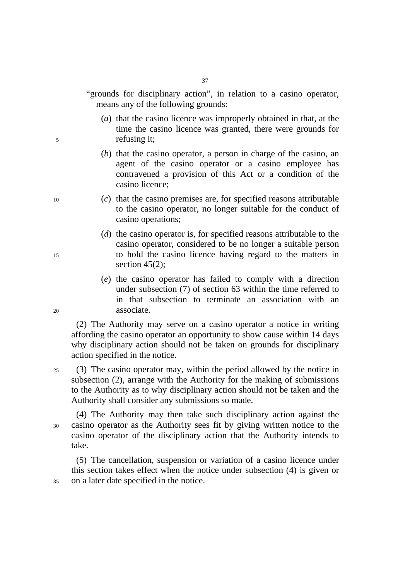"grounds for disciplinary action", in relation to a casino operator, means any of the following grounds:

- (*a*) that the casino licence was improperly obtained in that, at the time the casino licence was granted, there were grounds for 5 refusing it;
	- (*b*) that the casino operator, a person in charge of the casino, an agent of the casino operator or a casino employee has contravened a provision of this Act or a condition of the casino licence;
- 10 (*c*) that the casino premises are, for specified reasons attributable to the casino operator, no longer suitable for the conduct of casino operations;
- (*d*) the casino operator is, for specified reasons attributable to the casino operator, considered to be no longer a suitable person 15 to hold the casino licence having regard to the matters in section 45(2):
- (*e*) the casino operator has failed to comply with a direction under subsection (7) of section 63 within the time referred to in that subsection to terminate an association with an 20 associate.

(2) The Authority may serve on a casino operator a notice in writing affording the casino operator an opportunity to show cause within 14 days why disciplinary action should not be taken on grounds for disciplinary action specified in the notice.

25 (3) The casino operator may, within the period allowed by the notice in subsection (2), arrange with the Authority for the making of submissions to the Authority as to why disciplinary action should not be taken and the Authority shall consider any submissions so made.

(4) The Authority may then take such disciplinary action against the 30 casino operator as the Authority sees fit by giving written notice to the casino operator of the disciplinary action that the Authority intends to take.

(5) The cancellation, suspension or variation of a casino licence under this section takes effect when the notice under subsection (4) is given or 35 on a later date specified in the notice.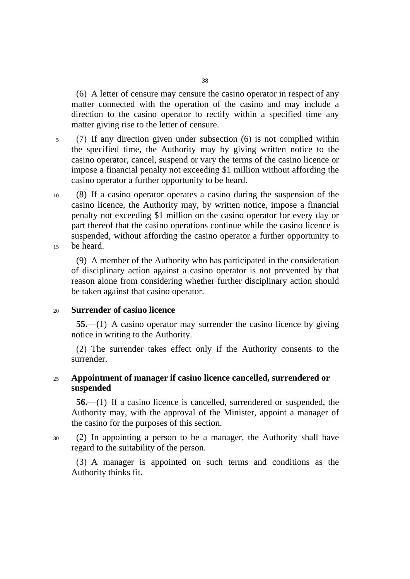(6) A letter of censure may censure the casino operator in respect of any matter connected with the operation of the casino and may include a direction to the casino operator to rectify within a specified time any matter giving rise to the letter of censure.

- 5 (7) If any direction given under subsection (6) is not complied within the specified time, the Authority may by giving written notice to the casino operator, cancel, suspend or vary the terms of the casino licence or impose a financial penalty not exceeding \$1 million without affording the casino operator a further opportunity to be heard.
- 10 (8) If a casino operator operates a casino during the suspension of the casino licence, the Authority may, by written notice, impose a financial penalty not exceeding \$1 million on the casino operator for every day or part thereof that the casino operations continue while the casino licence is suspended, without affording the casino operator a further opportunity to 15 be heard.

(9) A member of the Authority who has participated in the consideration of disciplinary action against a casino operator is not prevented by that reason alone from considering whether further disciplinary action should be taken against that casino operator.

# <sup>20</sup>**Surrender of casino licence**

**55.**—(1) A casino operator may surrender the casino licence by giving notice in writing to the Authority.

(2) The surrender takes effect only if the Authority consents to the surrender.

# <sup>25</sup>**Appointment of manager if casino licence cancelled, surrendered or suspended**

**56.**—(1) If a casino licence is cancelled, surrendered or suspended, the Authority may, with the approval of the Minister, appoint a manager of the casino for the purposes of this section.

30 (2) In appointing a person to be a manager, the Authority shall have regard to the suitability of the person.

(3) A manager is appointed on such terms and conditions as the Authority thinks fit.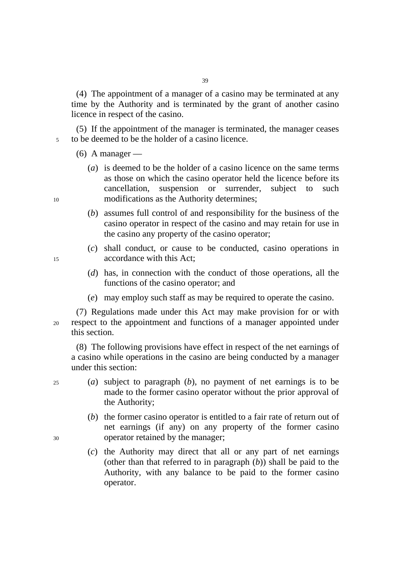(4) The appointment of a manager of a casino may be terminated at any time by the Authority and is terminated by the grant of another casino licence in respect of the casino.

(5) If the appointment of the manager is terminated, the manager ceases 5 to be deemed to be the holder of a casino licence.

 $(6)$  A manager —

- (*a*) is deemed to be the holder of a casino licence on the same terms as those on which the casino operator held the licence before its cancellation, suspension or surrender, subject to such 10 modifications as the Authority determines;
	- (*b*) assumes full control of and responsibility for the business of the casino operator in respect of the casino and may retain for use in the casino any property of the casino operator;
- (*c*) shall conduct, or cause to be conducted, casino operations in 15 accordance with this Act;
	- (*d*) has, in connection with the conduct of those operations, all the functions of the casino operator; and
	- (*e*) may employ such staff as may be required to operate the casino.

(7) Regulations made under this Act may make provision for or with 20 respect to the appointment and functions of a manager appointed under this section.

(8) The following provisions have effect in respect of the net earnings of a casino while operations in the casino are being conducted by a manager under this section:

- 25 (*a*) subject to paragraph (*b*), no payment of net earnings is to be made to the former casino operator without the prior approval of the Authority;
- (*b*) the former casino operator is entitled to a fair rate of return out of net earnings (if any) on any property of the former casino 30 operator retained by the manager;
	- (*c*) the Authority may direct that all or any part of net earnings (other than that referred to in paragraph (*b*)) shall be paid to the Authority, with any balance to be paid to the former casino operator.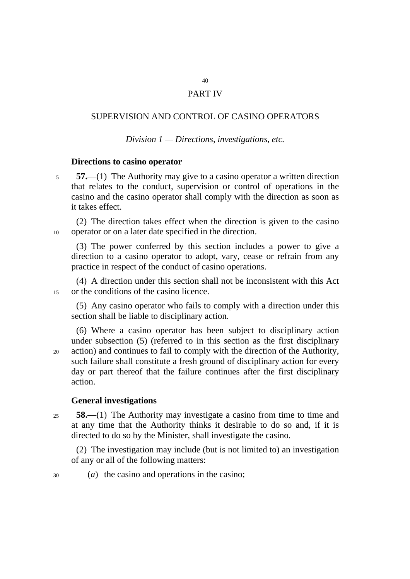# PART IV

# SUPERVISION AND CONTROL OF CASINO OPERATORS

*Division 1 — Directions, investigations, etc.* 

## **Directions to casino operator**

<sup>5</sup>**57.**—(1) The Authority may give to a casino operator a written direction that relates to the conduct, supervision or control of operations in the casino and the casino operator shall comply with the direction as soon as it takes effect.

(2) The direction takes effect when the direction is given to the casino 10 operator or on a later date specified in the direction.

(3) The power conferred by this section includes a power to give a direction to a casino operator to adopt, vary, cease or refrain from any practice in respect of the conduct of casino operations.

(4) A direction under this section shall not be inconsistent with this Act 15 or the conditions of the casino licence.

(5) Any casino operator who fails to comply with a direction under this section shall be liable to disciplinary action.

(6) Where a casino operator has been subject to disciplinary action under subsection (5) (referred to in this section as the first disciplinary 20 action) and continues to fail to comply with the direction of the Authority, such failure shall constitute a fresh ground of disciplinary action for every day or part thereof that the failure continues after the first disciplinary action.

# **General investigations**

<sup>25</sup>**58.**—(1) The Authority may investigate a casino from time to time and at any time that the Authority thinks it desirable to do so and, if it is directed to do so by the Minister, shall investigate the casino.

(2) The investigation may include (but is not limited to) an investigation of any or all of the following matters:

30 (*a*) the casino and operations in the casino;

40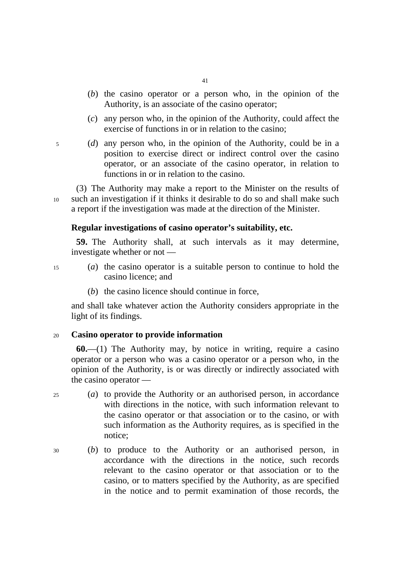- 41
- (*b*) the casino operator or a person who, in the opinion of the Authority, is an associate of the casino operator;
- (*c*) any person who, in the opinion of the Authority, could affect the exercise of functions in or in relation to the casino;
- 5 (*d*) any person who, in the opinion of the Authority, could be in a position to exercise direct or indirect control over the casino operator, or an associate of the casino operator, in relation to functions in or in relation to the casino.

(3) The Authority may make a report to the Minister on the results of 10 such an investigation if it thinks it desirable to do so and shall make such a report if the investigation was made at the direction of the Minister.

### **Regular investigations of casino operator's suitability, etc.**

**59.** The Authority shall, at such intervals as it may determine, investigate whether or not —

- 15 (*a*) the casino operator is a suitable person to continue to hold the casino licence; and
	- (*b*) the casino licence should continue in force,

and shall take whatever action the Authority considers appropriate in the light of its findings.

### <sup>20</sup>**Casino operator to provide information**

**60.**—(1) The Authority may, by notice in writing, require a casino operator or a person who was a casino operator or a person who, in the opinion of the Authority, is or was directly or indirectly associated with the casino operator —

- 25 (*a*) to provide the Authority or an authorised person, in accordance with directions in the notice, with such information relevant to the casino operator or that association or to the casino, or with such information as the Authority requires, as is specified in the notice;
- 30 (*b*) to produce to the Authority or an authorised person, in accordance with the directions in the notice, such records relevant to the casino operator or that association or to the casino, or to matters specified by the Authority, as are specified in the notice and to permit examination of those records, the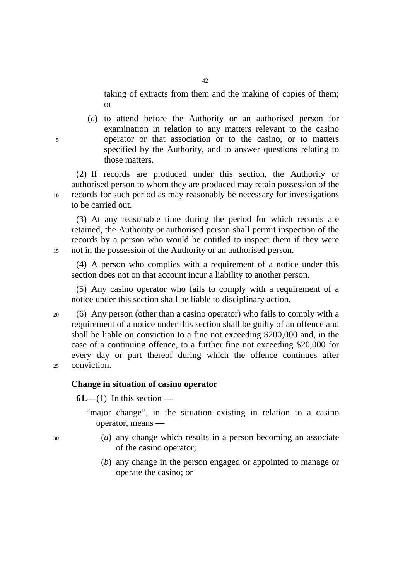taking of extracts from them and the making of copies of them; or

(*c*) to attend before the Authority or an authorised person for examination in relation to any matters relevant to the casino 5 operator or that association or to the casino, or to matters specified by the Authority, and to answer questions relating to those matters.

(2) If records are produced under this section, the Authority or authorised person to whom they are produced may retain possession of the 10 records for such period as may reasonably be necessary for investigations to be carried out.

(3) At any reasonable time during the period for which records are retained, the Authority or authorised person shall permit inspection of the records by a person who would be entitled to inspect them if they were 15 not in the possession of the Authority or an authorised person.

(4) A person who complies with a requirement of a notice under this section does not on that account incur a liability to another person.

(5) Any casino operator who fails to comply with a requirement of a notice under this section shall be liable to disciplinary action.

20 (6) Any person (other than a casino operator) who fails to comply with a requirement of a notice under this section shall be guilty of an offence and shall be liable on conviction to a fine not exceeding \$200,000 and, in the case of a continuing offence, to a further fine not exceeding \$20,000 for every day or part thereof during which the offence continues after 25 conviction.

## **Change in situation of casino operator**

 $61$ —(1) In this section —

"major change", in the situation existing in relation to a casino operator, means —

- 30 (*a*) any change which results in a person becoming an associate of the casino operator;
	- (*b*) any change in the person engaged or appointed to manage or operate the casino; or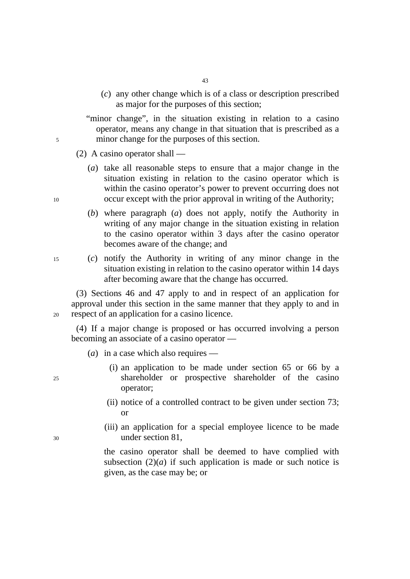(*c*) any other change which is of a class or description prescribed as major for the purposes of this section;

"minor change", in the situation existing in relation to a casino operator, means any change in that situation that is prescribed as a 5 minor change for the purposes of this section.

(2) A casino operator shall —

- (*a*) take all reasonable steps to ensure that a major change in the situation existing in relation to the casino operator which is within the casino operator's power to prevent occurring does not 10 occur except with the prior approval in writing of the Authority;
	- (*b*) where paragraph (*a*) does not apply, notify the Authority in writing of any major change in the situation existing in relation to the casino operator within 3 days after the casino operator becomes aware of the change; and
- 15 (*c*) notify the Authority in writing of any minor change in the situation existing in relation to the casino operator within 14 days after becoming aware that the change has occurred.

(3) Sections 46 and 47 apply to and in respect of an application for approval under this section in the same manner that they apply to and in 20 respect of an application for a casino licence.

(4) If a major change is proposed or has occurred involving a person becoming an associate of a casino operator ––

- $(a)$  in a case which also requires  $-$
- (i) an application to be made under section 65 or 66 by a 25 shareholder or prospective shareholder of the casino operator;
	- (ii) notice of a controlled contract to be given under section 73; or
- (iii) an application for a special employee licence to be made 30 under section 81,

the casino operator shall be deemed to have complied with subsection  $(2)(a)$  if such application is made or such notice is given, as the case may be; or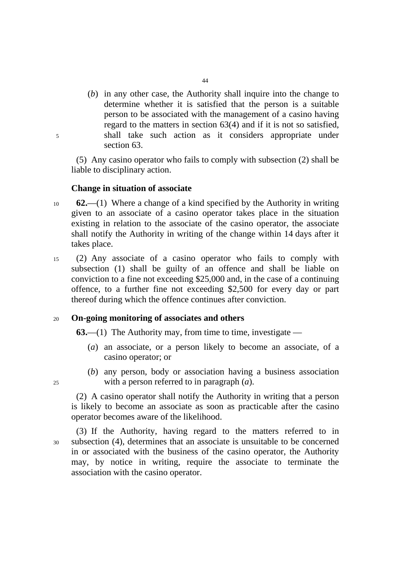(*b*) in any other case, the Authority shall inquire into the change to determine whether it is satisfied that the person is a suitable person to be associated with the management of a casino having regard to the matters in section 63(4) and if it is not so satisfied, 5 shall take such action as it considers appropriate under section 63.

(5) Any casino operator who fails to comply with subsection (2) shall be liable to disciplinary action.

# **Change in situation of associate**

- <sup>10</sup>**62.**—(1) Where a change of a kind specified by the Authority in writing given to an associate of a casino operator takes place in the situation existing in relation to the associate of the casino operator, the associate shall notify the Authority in writing of the change within 14 days after it takes place.
- 15 (2) Any associate of a casino operator who fails to comply with subsection (1) shall be guilty of an offence and shall be liable on conviction to a fine not exceeding \$25,000 and, in the case of a continuing offence, to a further fine not exceeding \$2,500 for every day or part thereof during which the offence continues after conviction.

### <sup>20</sup>**On-going monitoring of associates and others**

**63.**—(1) The Authority may, from time to time, investigate —

- (*a*) an associate, or a person likely to become an associate, of a casino operator; or
- (*b*) any person, body or association having a business association 25 with a person referred to in paragraph (*a*).

(2) A casino operator shall notify the Authority in writing that a person is likely to become an associate as soon as practicable after the casino operator becomes aware of the likelihood.

(3) If the Authority, having regard to the matters referred to in 30 subsection (4), determines that an associate is unsuitable to be concerned in or associated with the business of the casino operator, the Authority may, by notice in writing, require the associate to terminate the association with the casino operator.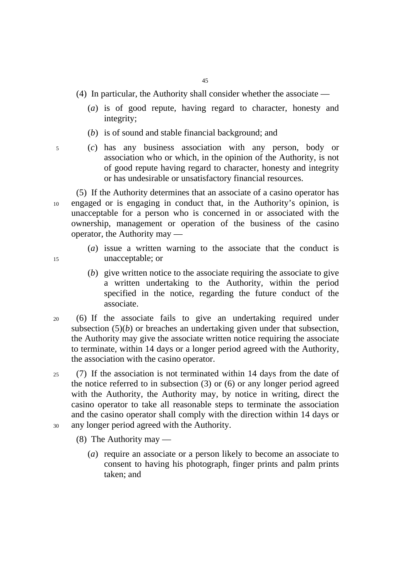- (4) In particular, the Authority shall consider whether the associate
	- (*a*) is of good repute, having regard to character, honesty and integrity;
	- (*b*) is of sound and stable financial background; and
- 
- 5 (*c*) has any business association with any person, body or association who or which, in the opinion of the Authority, is not of good repute having regard to character, honesty and integrity or has undesirable or unsatisfactory financial resources.

(5) If the Authority determines that an associate of a casino operator has 10 engaged or is engaging in conduct that, in the Authority's opinion, is unacceptable for a person who is concerned in or associated with the ownership, management or operation of the business of the casino operator, the Authority may —

- (*a*) issue a written warning to the associate that the conduct is 15 unacceptable; or
	- (*b*) give written notice to the associate requiring the associate to give a written undertaking to the Authority, within the period specified in the notice, regarding the future conduct of the associate.
- 20 (6) If the associate fails to give an undertaking required under subsection  $(5)(b)$  or breaches an undertaking given under that subsection, the Authority may give the associate written notice requiring the associate to terminate, within 14 days or a longer period agreed with the Authority, the association with the casino operator.
- 25 (7) If the association is not terminated within 14 days from the date of the notice referred to in subsection (3) or (6) or any longer period agreed with the Authority, the Authority may, by notice in writing, direct the casino operator to take all reasonable steps to terminate the association and the casino operator shall comply with the direction within 14 days or 30 any longer period agreed with the Authority.
	- (8) The Authority may
		- (*a*) require an associate or a person likely to become an associate to consent to having his photograph, finger prints and palm prints taken; and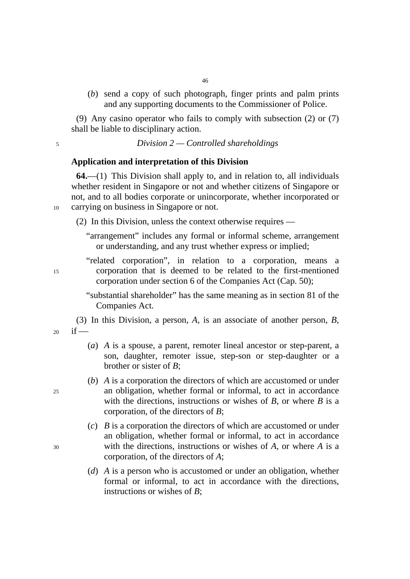(*b*) send a copy of such photograph, finger prints and palm prints and any supporting documents to the Commissioner of Police.

(9) Any casino operator who fails to comply with subsection (2) or (7) shall be liable to disciplinary action.

<sup>5</sup>*Division 2 — Controlled shareholdings* 

### **Application and interpretation of this Division**

**64.**—(1) This Division shall apply to, and in relation to, all individuals whether resident in Singapore or not and whether citizens of Singapore or not, and to all bodies corporate or unincorporate, whether incorporated or 10 carrying on business in Singapore or not.

(2) In this Division, unless the context otherwise requires —

"arrangement" includes any formal or informal scheme, arrangement or understanding, and any trust whether express or implied;

"related corporation", in relation to a corporation, means a 15 corporation that is deemed to be related to the first-mentioned corporation under section 6 of the Companies Act (Cap. 50);

> "substantial shareholder" has the same meaning as in section 81 of the Companies Act.

(3) In this Division, a person, *A*, is an associate of another person, *B*,  $20$  if —

- (*a*) *A* is a spouse, a parent, remoter lineal ancestor or step-parent, a son, daughter, remoter issue, step-son or step-daughter or a brother or sister of *B*;
- (*b*) *A* is a corporation the directors of which are accustomed or under 25 an obligation, whether formal or informal, to act in accordance with the directions, instructions or wishes of *B*, or where *B* is a corporation, of the directors of *B*;
- (*c*) *B* is a corporation the directors of which are accustomed or under an obligation, whether formal or informal, to act in accordance 30 with the directions, instructions or wishes of *A*, or where *A* is a corporation, of the directors of *A*;
	- (*d*) *A* is a person who is accustomed or under an obligation, whether formal or informal, to act in accordance with the directions, instructions or wishes of *B*;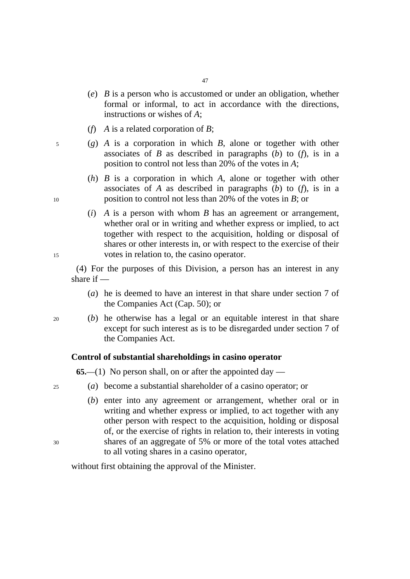(*e*) *B* is a person who is accustomed or under an obligation, whether formal or informal, to act in accordance with the directions, instructions or wishes of *A*;

47

- (*f*) *A* is a related corporation of *B*;
- 5 (*g*) *A* is a corporation in which *B*, alone or together with other associates of *B* as described in paragraphs (*b*) to (*f*), is in a position to control not less than 20% of the votes in *A*;
- (*h*) *B* is a corporation in which *A*, alone or together with other associates of *A* as described in paragraphs (*b*) to (*f*), is in a 10 position to control not less than 20% of the votes in *B*; or
- (*i*) *A* is a person with whom *B* has an agreement or arrangement, whether oral or in writing and whether express or implied, to act together with respect to the acquisition, holding or disposal of shares or other interests in, or with respect to the exercise of their 15 votes in relation to, the casino operator.

(4) For the purposes of this Division, a person has an interest in any share if —

- (*a*) he is deemed to have an interest in that share under section 7 of the Companies Act (Cap. 50); or
- 20 (*b*) he otherwise has a legal or an equitable interest in that share except for such interest as is to be disregarded under section 7 of the Companies Act.

### **Control of substantial shareholdings in casino operator**

**65.**—(1) No person shall, on or after the appointed day —

- 25 (*a*) become a substantial shareholder of a casino operator; or
- (*b*) enter into any agreement or arrangement, whether oral or in writing and whether express or implied, to act together with any other person with respect to the acquisition, holding or disposal of, or the exercise of rights in relation to, their interests in voting 30 shares of an aggregate of 5% or more of the total votes attached to all voting shares in a casino operator,

without first obtaining the approval of the Minister.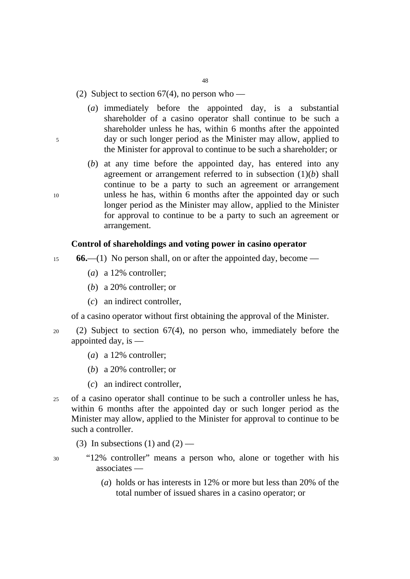48

# (2) Subject to section  $67(4)$ , no person who —

- (*a*) immediately before the appointed day, is a substantial shareholder of a casino operator shall continue to be such a shareholder unless he has, within 6 months after the appointed 5 day or such longer period as the Minister may allow, applied to the Minister for approval to continue to be such a shareholder; or
- (*b*) at any time before the appointed day, has entered into any agreement or arrangement referred to in subsection (1)(*b*) shall continue to be a party to such an agreement or arrangement 10 unless he has, within 6 months after the appointed day or such longer period as the Minister may allow, applied to the Minister for approval to continue to be a party to such an agreement or arrangement.

## **Control of shareholdings and voting power in casino operator**

- <sup>15</sup>**66.**—(1) No person shall, on or after the appointed day, become
	- (*a*) a 12% controller;
	- (*b*) a 20% controller; or
	- (*c*) an indirect controller,

of a casino operator without first obtaining the approval of the Minister.

- 20 (2) Subject to section 67(4), no person who, immediately before the appointed day, is —
	- (*a*) a 12% controller;
	- (*b*) a 20% controller; or
	- (*c*) an indirect controller,
- 25 of a casino operator shall continue to be such a controller unless he has, within 6 months after the appointed day or such longer period as the Minister may allow, applied to the Minister for approval to continue to be such a controller.
	- (3) In subsections (1) and  $(2)$  —
- 
- 30 "12% controller" means a person who, alone or together with his associates —
	- (*a*) holds or has interests in 12% or more but less than 20% of the total number of issued shares in a casino operator; or

- 
-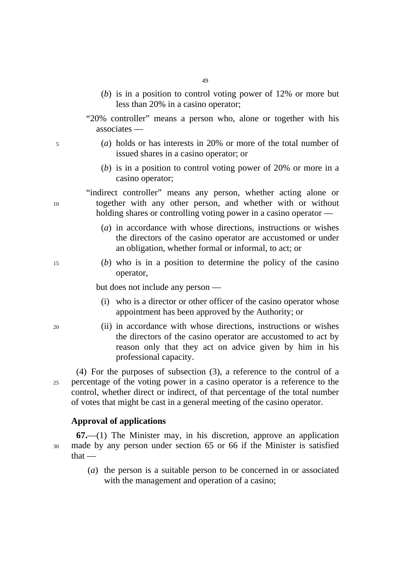- (*b*) is in a position to control voting power of 12% or more but less than 20% in a casino operator;
- "20% controller" means a person who, alone or together with his associates —
- 5 (*a*) holds or has interests in 20% or more of the total number of issued shares in a casino operator; or
	- (*b*) is in a position to control voting power of 20% or more in a casino operator;

"indirect controller" means any person, whether acting alone or 10 together with any other person, and whether with or without holding shares or controlling voting power in a casino operator —

- (*a*) in accordance with whose directions, instructions or wishes the directors of the casino operator are accustomed or under an obligation, whether formal or informal, to act; or
- 15 (*b*) who is in a position to determine the policy of the casino operator,

but does not include any person —

- (i) who is a director or other officer of the casino operator whose appointment has been approved by the Authority; or
- 20 (ii) in accordance with whose directions, instructions or wishes the directors of the casino operator are accustomed to act by reason only that they act on advice given by him in his professional capacity.

(4) For the purposes of subsection (3), a reference to the control of a 25 percentage of the voting power in a casino operator is a reference to the control, whether direct or indirect, of that percentage of the total number of votes that might be cast in a general meeting of the casino operator.

#### **Approval of applications**

**67.**—(1) The Minister may, in his discretion, approve an application 30 made by any person under section 65 or 66 if the Minister is satisfied that —

> (*a*) the person is a suitable person to be concerned in or associated with the management and operation of a casino;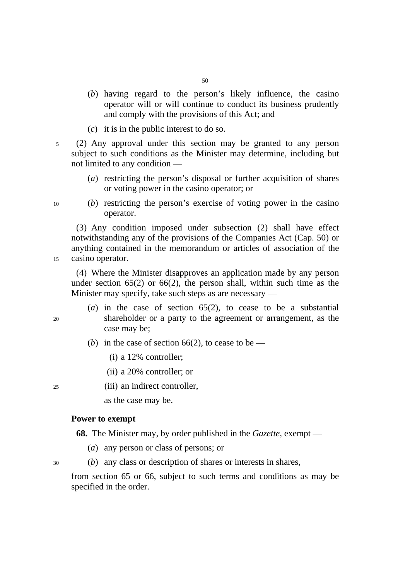(*b*) having regard to the person's likely influence, the casino operator will or will continue to conduct its business prudently and comply with the provisions of this Act; and

50

- (*c*) it is in the public interest to do so.
- 5 (2) Any approval under this section may be granted to any person subject to such conditions as the Minister may determine, including but not limited to any condition —
	- (*a*) restricting the person's disposal or further acquisition of shares or voting power in the casino operator; or

10 (*b*) restricting the person's exercise of voting power in the casino operator.

(3) Any condition imposed under subsection (2) shall have effect notwithstanding any of the provisions of the Companies Act (Cap. 50) or anything contained in the memorandum or articles of association of the 15 casino operator.

(4) Where the Minister disapproves an application made by any person under section  $65(2)$  or  $66(2)$ , the person shall, within such time as the Minister may specify, take such steps as are necessary —

- (*a*) in the case of section 65(2), to cease to be a substantial 20 shareholder or a party to the agreement or arrangement, as the case may be;
	- (*b*) in the case of section 66(2), to cease to be
		- (i) a 12% controller;
		- (ii) a 20% controller; or

25 (iii) an indirect controller,

as the case may be.

### **Power to exempt**

**68.** The Minister may, by order published in the *Gazette*, exempt —

- (*a*) any person or class of persons; or
- 30 (*b*) any class or description of shares or interests in shares,

from section 65 or 66, subject to such terms and conditions as may be specified in the order.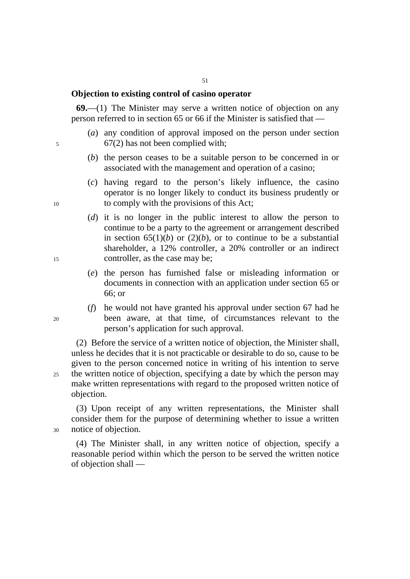# **Objection to existing control of casino operator**

**69.**—(1) The Minister may serve a written notice of objection on any person referred to in section 65 or 66 if the Minister is satisfied that —

- (*a*) any condition of approval imposed on the person under section 5 67(2) has not been complied with;
	- (*b*) the person ceases to be a suitable person to be concerned in or associated with the management and operation of a casino;
- (*c*) having regard to the person's likely influence, the casino operator is no longer likely to conduct its business prudently or 10 to comply with the provisions of this Act;
- (*d*) it is no longer in the public interest to allow the person to continue to be a party to the agreement or arrangement described in section  $65(1)(b)$  or  $(2)(b)$ , or to continue to be a substantial shareholder, a 12% controller, a 20% controller or an indirect 15 controller, as the case may be;
	- (*e*) the person has furnished false or misleading information or documents in connection with an application under section 65 or 66; or
- (*f*) he would not have granted his approval under section 67 had he 20 been aware, at that time, of circumstances relevant to the person's application for such approval.

(2) Before the service of a written notice of objection, the Minister shall, unless he decides that it is not practicable or desirable to do so, cause to be given to the person concerned notice in writing of his intention to serve 25 the written notice of objection, specifying a date by which the person may make written representations with regard to the proposed written notice of objection.

(3) Upon receipt of any written representations, the Minister shall consider them for the purpose of determining whether to issue a written 30 notice of objection.

(4) The Minister shall, in any written notice of objection, specify a reasonable period within which the person to be served the written notice of objection shall —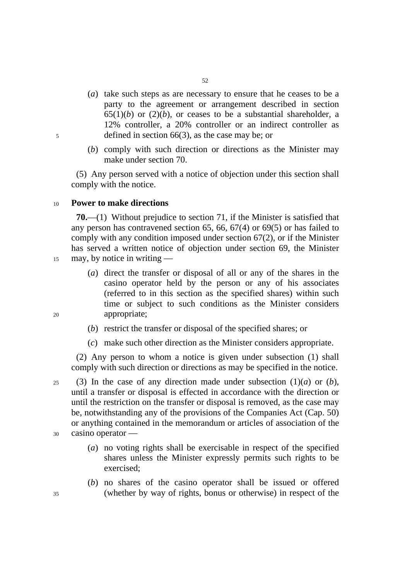- (*a*) take such steps as are necessary to ensure that he ceases to be a party to the agreement or arrangement described in section  $65(1)(b)$  or  $(2)(b)$ , or ceases to be a substantial shareholder, a 12% controller, a 20% controller or an indirect controller as 5 defined in section 66(3), as the case may be; or
	- (*b*) comply with such direction or directions as the Minister may make under section 70.

(5) Any person served with a notice of objection under this section shall comply with the notice.

### <sup>10</sup>**Power to make directions**

**70.**—(1) Without prejudice to section 71, if the Minister is satisfied that any person has contravened section 65, 66, 67(4) or 69(5) or has failed to comply with any condition imposed under section 67(2), or if the Minister has served a written notice of objection under section 69, the Minister

- 15 may, by notice in writing —
- (*a*) direct the transfer or disposal of all or any of the shares in the casino operator held by the person or any of his associates (referred to in this section as the specified shares) within such time or subject to such conditions as the Minister considers 20 appropriate;

- (*b*) restrict the transfer or disposal of the specified shares; or
- (*c*) make such other direction as the Minister considers appropriate.

(2) Any person to whom a notice is given under subsection (1) shall comply with such direction or directions as may be specified in the notice.

25 (3) In the case of any direction made under subsection  $(1)(a)$  or  $(b)$ , until a transfer or disposal is effected in accordance with the direction or until the restriction on the transfer or disposal is removed, as the case may be, notwithstanding any of the provisions of the Companies Act (Cap. 50) or anything contained in the memorandum or articles of association of the 30 casino operator —

- - (*a*) no voting rights shall be exercisable in respect of the specified shares unless the Minister expressly permits such rights to be exercised;
- (*b*) no shares of the casino operator shall be issued or offered 35 (whether by way of rights, bonus or otherwise) in respect of the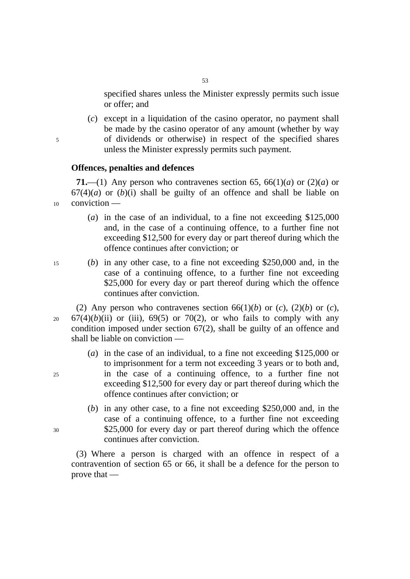specified shares unless the Minister expressly permits such issue or offer; and

(*c*) except in a liquidation of the casino operator, no payment shall be made by the casino operator of any amount (whether by way 5 of dividends or otherwise) in respect of the specified shares unless the Minister expressly permits such payment.

#### **Offences, penalties and defences**

**71.**—(1) Any person who contravenes section 65, 66(1)(*a*) or (2)(*a*) or  $67(4)(a)$  or  $(b)(i)$  shall be guilty of an offence and shall be liable on 10 conviction —

- (*a*) in the case of an individual, to a fine not exceeding \$125,000 and, in the case of a continuing offence, to a further fine not exceeding \$12,500 for every day or part thereof during which the offence continues after conviction; or
- 
- 15 (*b*) in any other case, to a fine not exceeding \$250,000 and, in the case of a continuing offence, to a further fine not exceeding \$25,000 for every day or part thereof during which the offence continues after conviction.

(2) Any person who contravenes section  $66(1)(b)$  or  $(c)$ ,  $(2)(b)$  or  $(c)$ ,  $20$  67(4)(*b*)(ii) or (iii), 69(5) or 70(2), or who fails to comply with any condition imposed under section 67(2), shall be guilty of an offence and shall be liable on conviction —

- (*a*) in the case of an individual, to a fine not exceeding \$125,000 or to imprisonment for a term not exceeding 3 years or to both and, 25 in the case of a continuing offence, to a further fine not exceeding \$12,500 for every day or part thereof during which the offence continues after conviction; or
- (*b*) in any other case, to a fine not exceeding \$250,000 and, in the case of a continuing offence, to a further fine not exceeding 30 \$25,000 for every day or part thereof during which the offence continues after conviction.

(3) Where a person is charged with an offence in respect of a contravention of section 65 or 66, it shall be a defence for the person to prove that —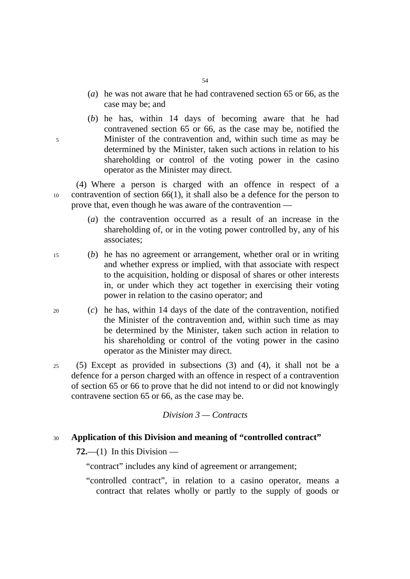- (*a*) he was not aware that he had contravened section 65 or 66, as the case may be; and
- (*b*) he has, within 14 days of becoming aware that he had contravened section 65 or 66, as the case may be, notified the 5 Minister of the contravention and, within such time as may be determined by the Minister, taken such actions in relation to his shareholding or control of the voting power in the casino operator as the Minister may direct.

(4) Where a person is charged with an offence in respect of a 10 contravention of section 66(1), it shall also be a defence for the person to prove that, even though he was aware of the contravention —

- (*a*) the contravention occurred as a result of an increase in the shareholding of, or in the voting power controlled by, any of his associates;
- 15 (*b*) he has no agreement or arrangement, whether oral or in writing and whether express or implied, with that associate with respect to the acquisition, holding or disposal of shares or other interests in, or under which they act together in exercising their voting power in relation to the casino operator; and
- 20 (*c*) he has, within 14 days of the date of the contravention, notified the Minister of the contravention and, within such time as may be determined by the Minister, taken such action in relation to his shareholding or control of the voting power in the casino operator as the Minister may direct.
- 25 (5) Except as provided in subsections (3) and (4), it shall not be a defence for a person charged with an offence in respect of a contravention of section 65 or 66 to prove that he did not intend to or did not knowingly contravene section 65 or 66, as the case may be.

*Division 3 — Contracts* 

### <sup>30</sup>**Application of this Division and meaning of "controlled contract"**

 $72$ ,—(1) In this Division —

"contract" includes any kind of agreement or arrangement;

"controlled contract", in relation to a casino operator, means a contract that relates wholly or partly to the supply of goods or

- 
- 
-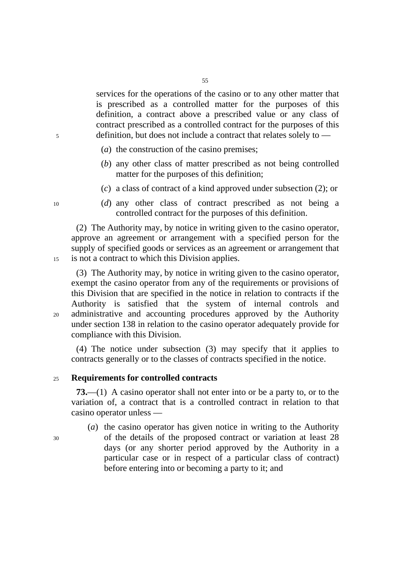55

services for the operations of the casino or to any other matter that is prescribed as a controlled matter for the purposes of this definition, a contract above a prescribed value or any class of contract prescribed as a controlled contract for the purposes of this 5 definition, but does not include a contract that relates solely to —

- (*a*) the construction of the casino premises;
- (*b*) any other class of matter prescribed as not being controlled matter for the purposes of this definition;
- (*c*) a class of contract of a kind approved under subsection (2); or
- 10 (*d*) any other class of contract prescribed as not being a controlled contract for the purposes of this definition.

(2) The Authority may, by notice in writing given to the casino operator, approve an agreement or arrangement with a specified person for the supply of specified goods or services as an agreement or arrangement that 15 is not a contract to which this Division applies.

(3) The Authority may, by notice in writing given to the casino operator, exempt the casino operator from any of the requirements or provisions of this Division that are specified in the notice in relation to contracts if the Authority is satisfied that the system of internal controls and 20 administrative and accounting procedures approved by the Authority under section 138 in relation to the casino operator adequately provide for compliance with this Division.

(4) The notice under subsection (3) may specify that it applies to contracts generally or to the classes of contracts specified in the notice.

### <sup>25</sup>**Requirements for controlled contracts**

**73.**—(1) A casino operator shall not enter into or be a party to, or to the variation of, a contract that is a controlled contract in relation to that casino operator unless —

(*a*) the casino operator has given notice in writing to the Authority 30 of the details of the proposed contract or variation at least 28 days (or any shorter period approved by the Authority in a particular case or in respect of a particular class of contract) before entering into or becoming a party to it; and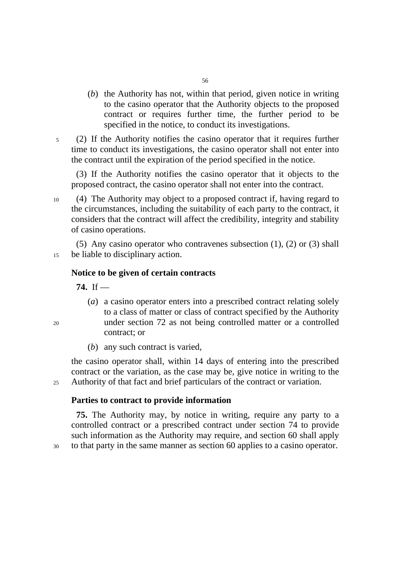- (*b*) the Authority has not, within that period, given notice in writing to the casino operator that the Authority objects to the proposed contract or requires further time, the further period to be specified in the notice, to conduct its investigations.
- 5 (2) If the Authority notifies the casino operator that it requires further time to conduct its investigations, the casino operator shall not enter into the contract until the expiration of the period specified in the notice.

(3) If the Authority notifies the casino operator that it objects to the proposed contract, the casino operator shall not enter into the contract.

10 (4) The Authority may object to a proposed contract if, having regard to the circumstances, including the suitability of each party to the contract, it considers that the contract will affect the credibility, integrity and stability of casino operations.

(5) Any casino operator who contravenes subsection (1), (2) or (3) shall 15 be liable to disciplinary action.

#### **Notice to be given of certain contracts**

**74.** If —

- (*a*) a casino operator enters into a prescribed contract relating solely to a class of matter or class of contract specified by the Authority 20 under section 72 as not being controlled matter or a controlled contract; or
	- (*b*) any such contract is varied,

the casino operator shall, within 14 days of entering into the prescribed contract or the variation, as the case may be, give notice in writing to the 25 Authority of that fact and brief particulars of the contract or variation.

### **Parties to contract to provide information**

**75.** The Authority may, by notice in writing, require any party to a controlled contract or a prescribed contract under section 74 to provide such information as the Authority may require, and section 60 shall apply 30 to that party in the same manner as section 60 applies to a casino operator.

56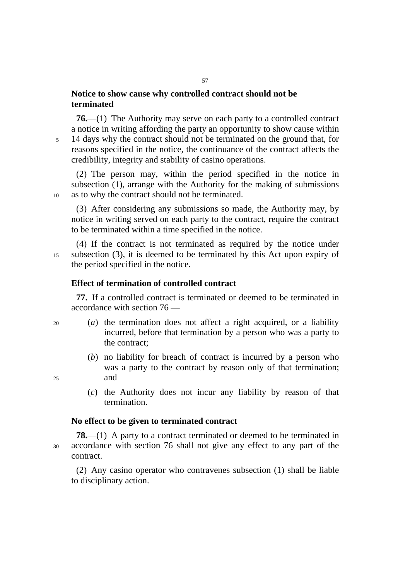# **Notice to show cause why controlled contract should not be terminated**

**76.**—(1) The Authority may serve on each party to a controlled contract a notice in writing affording the party an opportunity to show cause within 5 14 days why the contract should not be terminated on the ground that, for reasons specified in the notice, the continuance of the contract affects the credibility, integrity and stability of casino operations.

57

(2) The person may, within the period specified in the notice in subsection (1), arrange with the Authority for the making of submissions 10 as to why the contract should not be terminated.

(3) After considering any submissions so made, the Authority may, by notice in writing served on each party to the contract, require the contract to be terminated within a time specified in the notice.

(4) If the contract is not terminated as required by the notice under 15 subsection (3), it is deemed to be terminated by this Act upon expiry of the period specified in the notice.

# **Effect of termination of controlled contract**

**77.** If a controlled contract is terminated or deemed to be terminated in accordance with section 76 —

- 20 (*a*) the termination does not affect a right acquired, or a liability incurred, before that termination by a person who was a party to the contract;
- (*b*) no liability for breach of contract is incurred by a person who was a party to the contract by reason only of that termination; 25 and
	- (*c*) the Authority does not incur any liability by reason of that termination.

#### **No effect to be given to terminated contract**

**78.**—(1) A party to a contract terminated or deemed to be terminated in 30 accordance with section 76 shall not give any effect to any part of the contract.

(2) Any casino operator who contravenes subsection (1) shall be liable to disciplinary action.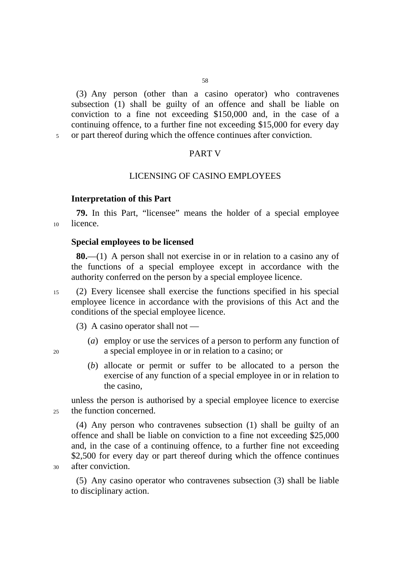(3) Any person (other than a casino operator) who contravenes subsection (1) shall be guilty of an offence and shall be liable on conviction to a fine not exceeding \$150,000 and, in the case of a continuing offence, to a further fine not exceeding \$15,000 for every day 5 or part thereof during which the offence continues after conviction.

#### PART V

## LICENSING OF CASINO EMPLOYEES

# **Interpretation of this Part**

**79.** In this Part, "licensee" means the holder of a special employee 10 licence.

#### **Special employees to be licensed**

**80.**—(1) A person shall not exercise in or in relation to a casino any of the functions of a special employee except in accordance with the authority conferred on the person by a special employee licence.

15 (2) Every licensee shall exercise the functions specified in his special employee licence in accordance with the provisions of this Act and the conditions of the special employee licence.

(3) A casino operator shall not —

- (*a*) employ or use the services of a person to perform any function of 20 a special employee in or in relation to a casino; or
	- (*b*) allocate or permit or suffer to be allocated to a person the exercise of any function of a special employee in or in relation to the casino,

unless the person is authorised by a special employee licence to exercise 25 the function concerned.

(4) Any person who contravenes subsection (1) shall be guilty of an offence and shall be liable on conviction to a fine not exceeding \$25,000 and, in the case of a continuing offence, to a further fine not exceeding \$2,500 for every day or part thereof during which the offence continues 30 after conviction.

(5) Any casino operator who contravenes subsection (3) shall be liable to disciplinary action.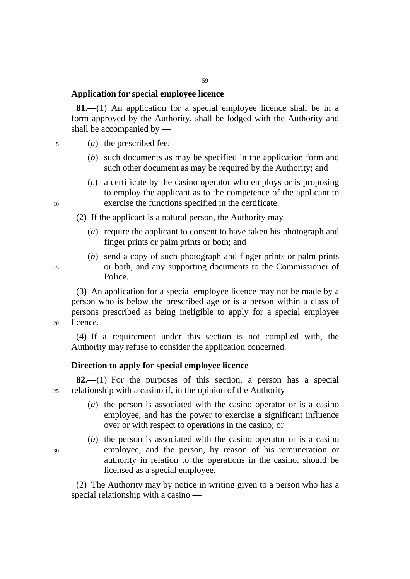# **Application for special employee licence**

**81.**—(1) An application for a special employee licence shall be in a form approved by the Authority, shall be lodged with the Authority and shall be accompanied by —

- 5 (*a*) the prescribed fee;
	- (*b*) such documents as may be specified in the application form and such other document as may be required by the Authority; and
- (*c*) a certificate by the casino operator who employs or is proposing to employ the applicant as to the competence of the applicant to 10 exercise the functions specified in the certificate.

(2) If the applicant is a natural person, the Authority may —

- (*a*) require the applicant to consent to have taken his photograph and finger prints or palm prints or both; and
- (*b*) send a copy of such photograph and finger prints or palm prints 15 or both, and any supporting documents to the Commissioner of Police.

(3) An application for a special employee licence may not be made by a person who is below the prescribed age or is a person within a class of persons prescribed as being ineligible to apply for a special employee 20 licence.

(4) If a requirement under this section is not complied with, the Authority may refuse to consider the application concerned.

#### **Direction to apply for special employee licence**

**82.**—(1) For the purposes of this section, a person has a special  $25$  relationship with a casino if, in the opinion of the Authority —

- (*a*) the person is associated with the casino operator or is a casino employee, and has the power to exercise a significant influence over or with respect to operations in the casino; or
- (*b*) the person is associated with the casino operator or is a casino 30 employee, and the person, by reason of his remuneration or authority in relation to the operations in the casino, should be licensed as a special employee.

(2) The Authority may by notice in writing given to a person who has a special relationship with a casino —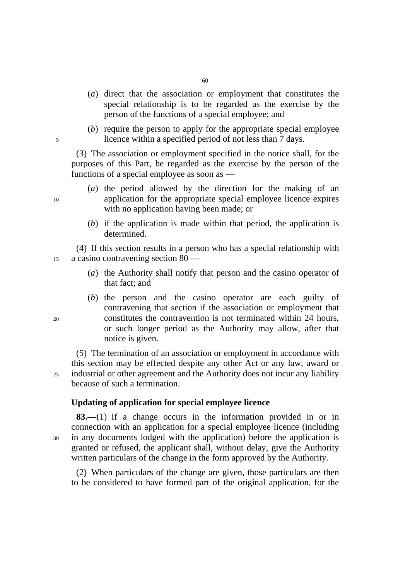- (*a*) direct that the association or employment that constitutes the special relationship is to be regarded as the exercise by the person of the functions of a special employee; and
- (*b*) require the person to apply for the appropriate special employee 5 licence within a specified period of not less than 7 days.

(3) The association or employment specified in the notice shall, for the purposes of this Part, be regarded as the exercise by the person of the functions of a special employee as soon as —

- (*a*) the period allowed by the direction for the making of an 10 application for the appropriate special employee licence expires with no application having been made; or
	- (*b*) if the application is made within that period, the application is determined.

(4) If this section results in a person who has a special relationship with 15 a casino contravening section 80 —

- (*a*) the Authority shall notify that person and the casino operator of that fact; and
- (*b*) the person and the casino operator are each guilty of contravening that section if the association or employment that 20 constitutes the contravention is not terminated within 24 hours, or such longer period as the Authority may allow, after that notice is given.

(5) The termination of an association or employment in accordance with this section may be effected despite any other Act or any law, award or 25 industrial or other agreement and the Authority does not incur any liability because of such a termination.

# **Updating of application for special employee licence**

**83.**—(1) If a change occurs in the information provided in or in connection with an application for a special employee licence (including 30 in any documents lodged with the application) before the application is granted or refused, the applicant shall, without delay, give the Authority written particulars of the change in the form approved by the Authority.

(2) When particulars of the change are given, those particulars are then to be considered to have formed part of the original application, for the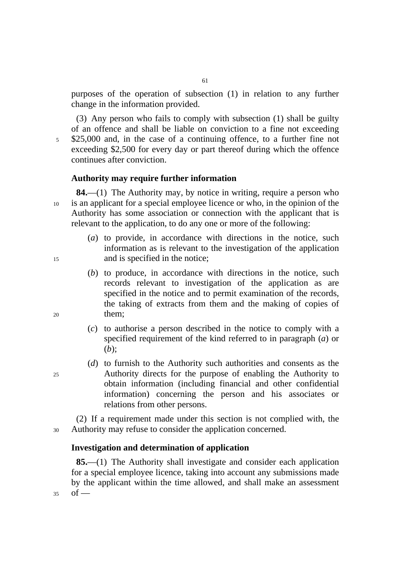purposes of the operation of subsection (1) in relation to any further change in the information provided.

(3) Any person who fails to comply with subsection (1) shall be guilty of an offence and shall be liable on conviction to a fine not exceeding 5 \$25,000 and, in the case of a continuing offence, to a further fine not exceeding \$2,500 for every day or part thereof during which the offence continues after conviction.

### **Authority may require further information**

**84.**—(1) The Authority may, by notice in writing, require a person who 10 is an applicant for a special employee licence or who, in the opinion of the Authority has some association or connection with the applicant that is relevant to the application, to do any one or more of the following:

- (*a*) to provide, in accordance with directions in the notice, such information as is relevant to the investigation of the application 15 and is specified in the notice;
- (*b*) to produce, in accordance with directions in the notice, such records relevant to investigation of the application as are specified in the notice and to permit examination of the records, the taking of extracts from them and the making of copies of 20 them;
	- (*c*) to authorise a person described in the notice to comply with a specified requirement of the kind referred to in paragraph (*a*) or (*b*);
- (*d*) to furnish to the Authority such authorities and consents as the 25 Authority directs for the purpose of enabling the Authority to obtain information (including financial and other confidential information) concerning the person and his associates or relations from other persons.

(2) If a requirement made under this section is not complied with, the 30 Authority may refuse to consider the application concerned.

### **Investigation and determination of application**

**85.**—(1) The Authority shall investigate and consider each application for a special employee licence, taking into account any submissions made by the applicant within the time allowed, and shall make an assessment  $35$  of —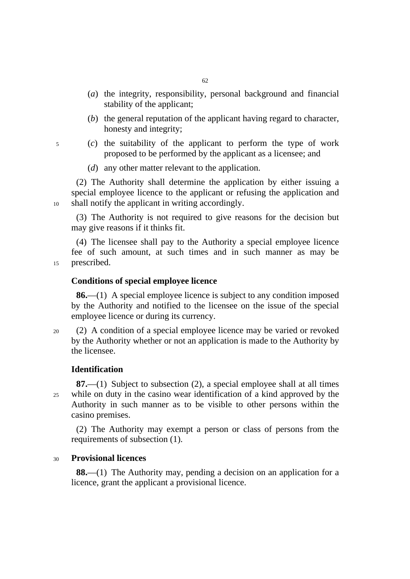- (*a*) the integrity, responsibility, personal background and financial stability of the applicant;
- (*b*) the general reputation of the applicant having regard to character, honesty and integrity;
- 5 (*c*) the suitability of the applicant to perform the type of work proposed to be performed by the applicant as a licensee; and
	- (*d*) any other matter relevant to the application.

(2) The Authority shall determine the application by either issuing a special employee licence to the applicant or refusing the application and 10 shall notify the applicant in writing accordingly.

(3) The Authority is not required to give reasons for the decision but may give reasons if it thinks fit.

(4) The licensee shall pay to the Authority a special employee licence fee of such amount, at such times and in such manner as may be 15 prescribed.

**Conditions of special employee licence** 

**86.**—(1) A special employee licence is subject to any condition imposed by the Authority and notified to the licensee on the issue of the special employee licence or during its currency.

20 (2) A condition of a special employee licence may be varied or revoked by the Authority whether or not an application is made to the Authority by the licensee.

### **Identification**

**87.**—(1) Subject to subsection (2), a special employee shall at all times 25 while on duty in the casino wear identification of a kind approved by the Authority in such manner as to be visible to other persons within the casino premises.

(2) The Authority may exempt a person or class of persons from the requirements of subsection (1).

### <sup>30</sup>**Provisional licences**

**88.**—(1) The Authority may, pending a decision on an application for a licence, grant the applicant a provisional licence.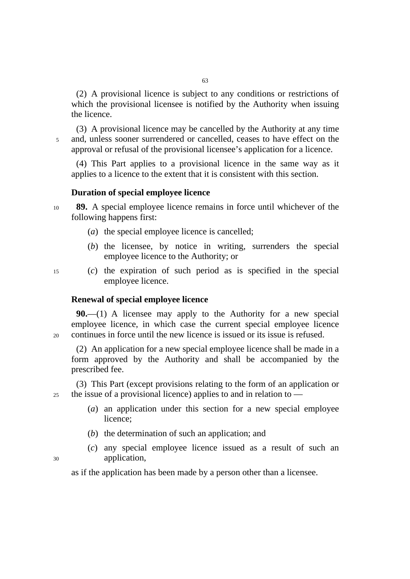(2) A provisional licence is subject to any conditions or restrictions of which the provisional licensee is notified by the Authority when issuing the licence.

(3) A provisional licence may be cancelled by the Authority at any time 5 and, unless sooner surrendered or cancelled, ceases to have effect on the approval or refusal of the provisional licensee's application for a licence.

(4) This Part applies to a provisional licence in the same way as it applies to a licence to the extent that it is consistent with this section.

#### **Duration of special employee licence**

<sup>10</sup>**89.** A special employee licence remains in force until whichever of the following happens first:

- (*a*) the special employee licence is cancelled;
- (*b*) the licensee, by notice in writing, surrenders the special employee licence to the Authority; or
- 15 (*c*) the expiration of such period as is specified in the special employee licence.

#### **Renewal of special employee licence**

**90.**—(1) A licensee may apply to the Authority for a new special employee licence, in which case the current special employee licence 20 continues in force until the new licence is issued or its issue is refused.

(2) An application for a new special employee licence shall be made in a form approved by the Authority and shall be accompanied by the prescribed fee.

(3) This Part (except provisions relating to the form of an application or 25 the issue of a provisional licence) applies to and in relation to —

- (*a*) an application under this section for a new special employee licence;
- (*b*) the determination of such an application; and
- (*c*) any special employee licence issued as a result of such an 30 application,

as if the application has been made by a person other than a licensee.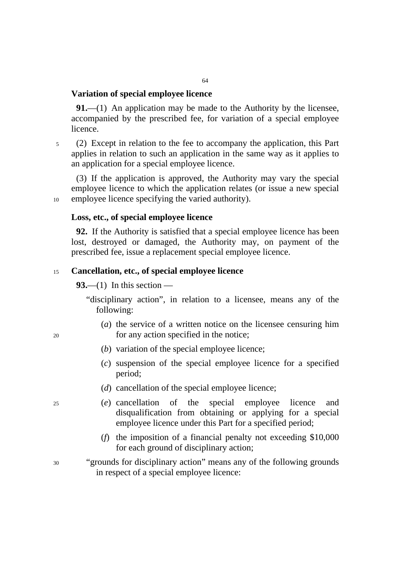#### **Variation of special employee licence**

**91.**—(1) An application may be made to the Authority by the licensee, accompanied by the prescribed fee, for variation of a special employee licence.

5 (2) Except in relation to the fee to accompany the application, this Part applies in relation to such an application in the same way as it applies to an application for a special employee licence.

(3) If the application is approved, the Authority may vary the special employee licence to which the application relates (or issue a new special 10 employee licence specifying the varied authority).

#### **Loss, etc., of special employee licence**

**92.** If the Authority is satisfied that a special employee licence has been lost, destroyed or damaged, the Authority may, on payment of the prescribed fee, issue a replacement special employee licence.

#### <sup>15</sup>**Cancellation, etc., of special employee licence**

**93.**—(1) In this section —

"disciplinary action", in relation to a licensee, means any of the following:

- (*a*) the service of a written notice on the licensee censuring him 20 for any action specified in the notice;
	- (*b*) variation of the special employee licence;
	- (*c*) suspension of the special employee licence for a specified period;
	- (*d*) cancellation of the special employee licence;
- 25 (*e*) cancellation of the special employee licence and disqualification from obtaining or applying for a special employee licence under this Part for a specified period;
	- (*f*) the imposition of a financial penalty not exceeding \$10,000 for each ground of disciplinary action;
- 30 "grounds for disciplinary action" means any of the following grounds in respect of a special employee licence: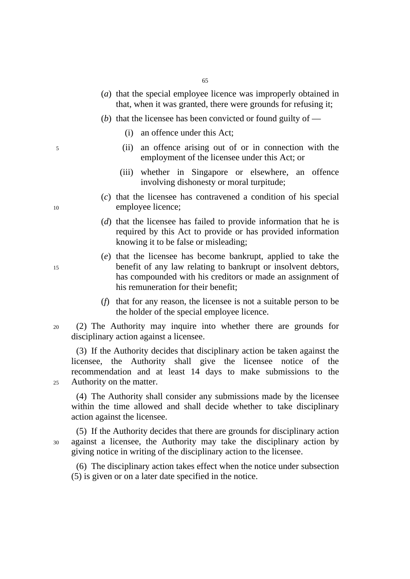- (*a*) that the special employee licence was improperly obtained in that, when it was granted, there were grounds for refusing it;
- (*b*) that the licensee has been convicted or found guilty of
	- (i) an offence under this Act;
- 5 (ii) an offence arising out of or in connection with the employment of the licensee under this Act; or
	- (iii) whether in Singapore or elsewhere, an offence involving dishonesty or moral turpitude;
- (*c*) that the licensee has contravened a condition of his special 10 employee licence;
	- (*d*) that the licensee has failed to provide information that he is required by this Act to provide or has provided information knowing it to be false or misleading;
- (*e*) that the licensee has become bankrupt, applied to take the 15 benefit of any law relating to bankrupt or insolvent debtors, has compounded with his creditors or made an assignment of his remuneration for their benefit;
	- (*f*) that for any reason, the licensee is not a suitable person to be the holder of the special employee licence.
- 20 (2) The Authority may inquire into whether there are grounds for disciplinary action against a licensee.

(3) If the Authority decides that disciplinary action be taken against the licensee, the Authority shall give the licensee notice of the recommendation and at least 14 days to make submissions to the 25 Authority on the matter.

(4) The Authority shall consider any submissions made by the licensee within the time allowed and shall decide whether to take disciplinary action against the licensee.

(5) If the Authority decides that there are grounds for disciplinary action 30 against a licensee, the Authority may take the disciplinary action by giving notice in writing of the disciplinary action to the licensee.

(6) The disciplinary action takes effect when the notice under subsection (5) is given or on a later date specified in the notice.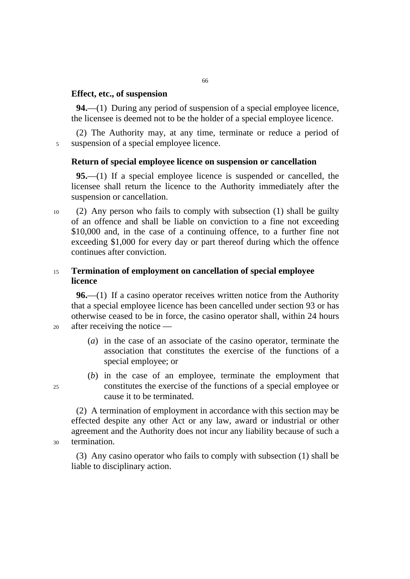# **Effect, etc., of suspension**

**94.**—(1) During any period of suspension of a special employee licence, the licensee is deemed not to be the holder of a special employee licence.

(2) The Authority may, at any time, terminate or reduce a period of 5 suspension of a special employee licence.

## **Return of special employee licence on suspension or cancellation**

**95.**—(1) If a special employee licence is suspended or cancelled, the licensee shall return the licence to the Authority immediately after the suspension or cancellation.

10 (2) Any person who fails to comply with subsection (1) shall be guilty of an offence and shall be liable on conviction to a fine not exceeding \$10,000 and, in the case of a continuing offence, to a further fine not exceeding \$1,000 for every day or part thereof during which the offence continues after conviction.

# <sup>15</sup>**Termination of employment on cancellation of special employee licence**

**96.**—(1) If a casino operator receives written notice from the Authority that a special employee licence has been cancelled under section 93 or has otherwise ceased to be in force, the casino operator shall, within 24 hours 20 after receiving the notice —

- (*a*) in the case of an associate of the casino operator, terminate the association that constitutes the exercise of the functions of a special employee; or
- (*b*) in the case of an employee, terminate the employment that 25 constitutes the exercise of the functions of a special employee or cause it to be terminated.

(2) A termination of employment in accordance with this section may be effected despite any other Act or any law, award or industrial or other agreement and the Authority does not incur any liability because of such a 30 termination.

(3) Any casino operator who fails to comply with subsection (1) shall be liable to disciplinary action.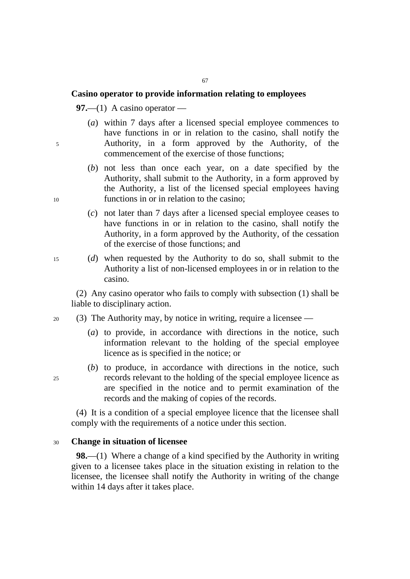# **Casino operator to provide information relating to employees**

**97.**—(1) A casino operator —

- (*a*) within 7 days after a licensed special employee commences to have functions in or in relation to the casino, shall notify the 5 Authority, in a form approved by the Authority, of the commencement of the exercise of those functions;
- (*b*) not less than once each year, on a date specified by the Authority, shall submit to the Authority, in a form approved by the Authority, a list of the licensed special employees having 10 functions in or in relation to the casino;
	- (*c*) not later than 7 days after a licensed special employee ceases to have functions in or in relation to the casino, shall notify the Authority, in a form approved by the Authority, of the cessation of the exercise of those functions; and
- 15 (*d*) when requested by the Authority to do so, shall submit to the Authority a list of non-licensed employees in or in relation to the casino.

(2) Any casino operator who fails to comply with subsection (1) shall be liable to disciplinary action.

- 20 (3) The Authority may, by notice in writing, require a licensee
	- (*a*) to provide, in accordance with directions in the notice, such information relevant to the holding of the special employee licence as is specified in the notice; or
- (*b*) to produce, in accordance with directions in the notice, such 25 records relevant to the holding of the special employee licence as are specified in the notice and to permit examination of the records and the making of copies of the records.

(4) It is a condition of a special employee licence that the licensee shall comply with the requirements of a notice under this section.

## <sup>30</sup>**Change in situation of licensee**

**98.**—(1) Where a change of a kind specified by the Authority in writing given to a licensee takes place in the situation existing in relation to the licensee, the licensee shall notify the Authority in writing of the change within 14 days after it takes place.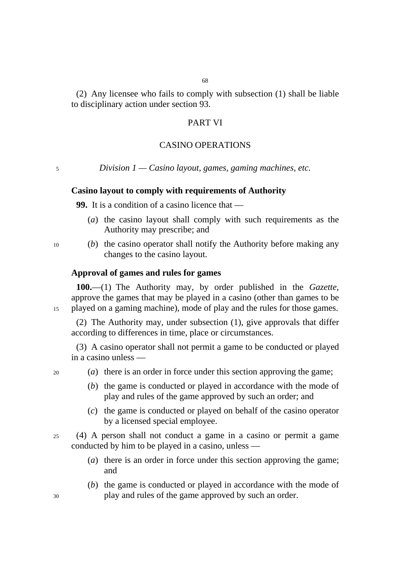(2) Any licensee who fails to comply with subsection (1) shall be liable to disciplinary action under section 93.

# PART VI

### CASINO OPERATIONS

<sup>5</sup>*Division 1 — Casino layout, games, gaming machines, etc.* 

### **Casino layout to comply with requirements of Authority**

**99.** It is a condition of a casino licence that —

- (*a*) the casino layout shall comply with such requirements as the Authority may prescribe; and
- 10 (*b*) the casino operator shall notify the Authority before making any changes to the casino layout.

## **Approval of games and rules for games**

**100.**—(1) The Authority may, by order published in the *Gazette*, approve the games that may be played in a casino (other than games to be 15 played on a gaming machine), mode of play and the rules for those games.

(2) The Authority may, under subsection (1), give approvals that differ according to differences in time, place or circumstances.

(3) A casino operator shall not permit a game to be conducted or played in a casino unless —

- 20 (*a*) there is an order in force under this section approving the game;
	- (*b*) the game is conducted or played in accordance with the mode of play and rules of the game approved by such an order; and
	- (*c*) the game is conducted or played on behalf of the casino operator by a licensed special employee.
- 25 (4) A person shall not conduct a game in a casino or permit a game conducted by him to be played in a casino, unless —
	- (*a*) there is an order in force under this section approving the game; and
- (*b*) the game is conducted or played in accordance with the mode of 30 play and rules of the game approved by such an order.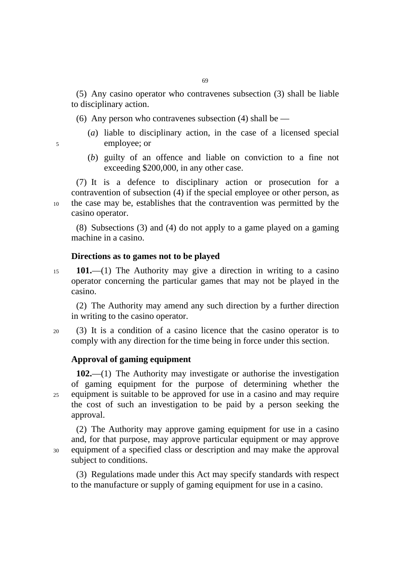(5) Any casino operator who contravenes subsection (3) shall be liable to disciplinary action.

(6) Any person who contravenes subsection (4) shall be  $-$ 

- (*a*) liable to disciplinary action, in the case of a licensed special 5 employee; or
- 
- (*b*) guilty of an offence and liable on conviction to a fine not exceeding \$200,000, in any other case.

(7) It is a defence to disciplinary action or prosecution for a contravention of subsection (4) if the special employee or other person, as 10 the case may be, establishes that the contravention was permitted by the casino operator.

(8) Subsections (3) and (4) do not apply to a game played on a gaming machine in a casino.

### **Directions as to games not to be played**

<sup>15</sup>**101.**—(1) The Authority may give a direction in writing to a casino operator concerning the particular games that may not be played in the casino.

(2) The Authority may amend any such direction by a further direction in writing to the casino operator.

20 (3) It is a condition of a casino licence that the casino operator is to comply with any direction for the time being in force under this section.

# **Approval of gaming equipment**

**102.**—(1) The Authority may investigate or authorise the investigation of gaming equipment for the purpose of determining whether the 25 equipment is suitable to be approved for use in a casino and may require the cost of such an investigation to be paid by a person seeking the approval.

(2) The Authority may approve gaming equipment for use in a casino and, for that purpose, may approve particular equipment or may approve 30 equipment of a specified class or description and may make the approval subject to conditions.

(3) Regulations made under this Act may specify standards with respect to the manufacture or supply of gaming equipment for use in a casino.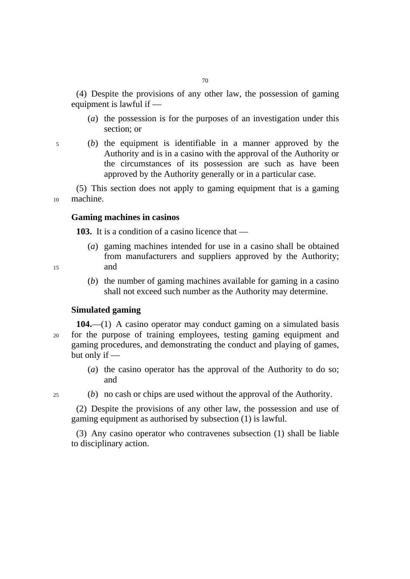(4) Despite the provisions of any other law, the possession of gaming equipment is lawful if —

(*a*) the possession is for the purposes of an investigation under this section; or

5 (*b*) the equipment is identifiable in a manner approved by the Authority and is in a casino with the approval of the Authority or the circumstances of its possession are such as have been approved by the Authority generally or in a particular case.

(5) This section does not apply to gaming equipment that is a gaming 10 machine.

# **Gaming machines in casinos**

**103.** It is a condition of a casino licence that —

- (*a*) gaming machines intended for use in a casino shall be obtained from manufacturers and suppliers approved by the Authority; 15 and
- 
- (*b*) the number of gaming machines available for gaming in a casino shall not exceed such number as the Authority may determine.

### **Simulated gaming**

- **104.**—(1) A casino operator may conduct gaming on a simulated basis 20 for the purpose of training employees, testing gaming equipment and gaming procedures, and demonstrating the conduct and playing of games, but only if —
	- (*a*) the casino operator has the approval of the Authority to do so; and
- 
- 25 (*b*) no cash or chips are used without the approval of the Authority.

(2) Despite the provisions of any other law, the possession and use of gaming equipment as authorised by subsection (1) is lawful.

(3) Any casino operator who contravenes subsection (1) shall be liable to disciplinary action.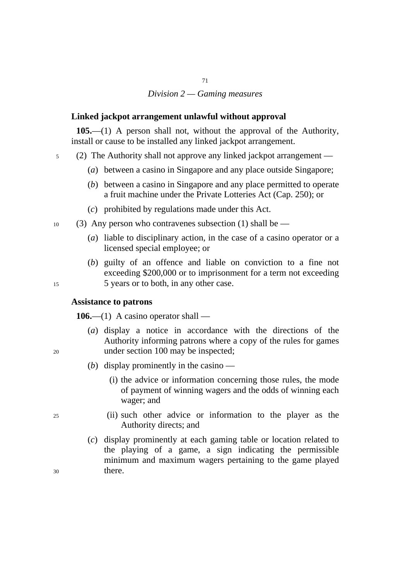# *Division 2 — Gaming measures*

71

## **Linked jackpot arrangement unlawful without approval**

**105.**—(1) A person shall not, without the approval of the Authority, install or cause to be installed any linked jackpot arrangement.

- 5 (2) The Authority shall not approve any linked jackpot arrangement ––
	- (*a*) between a casino in Singapore and any place outside Singapore;
	- (*b*) between a casino in Singapore and any place permitted to operate a fruit machine under the Private Lotteries Act (Cap. 250); or
	- (*c*) prohibited by regulations made under this Act.
- $10$  (3) Any person who contravenes subsection (1) shall be  $-$ 
	- (*a*) liable to disciplinary action, in the case of a casino operator or a licensed special employee; or
- (*b*) guilty of an offence and liable on conviction to a fine not exceeding \$200,000 or to imprisonment for a term not exceeding 15 5 years or to both, in any other case.

## **Assistance to patrons**

**106.**—(1) A casino operator shall —

- (*a*) display a notice in accordance with the directions of the Authority informing patrons where a copy of the rules for games 20 under section 100 may be inspected;
	- (*b*) display prominently in the casino
		- (i) the advice or information concerning those rules, the mode of payment of winning wagers and the odds of winning each wager; and
- 25 (ii) such other advice or information to the player as the Authority directs; and
- (*c*) display prominently at each gaming table or location related to the playing of a game, a sign indicating the permissible minimum and maximum wagers pertaining to the game played 30 there.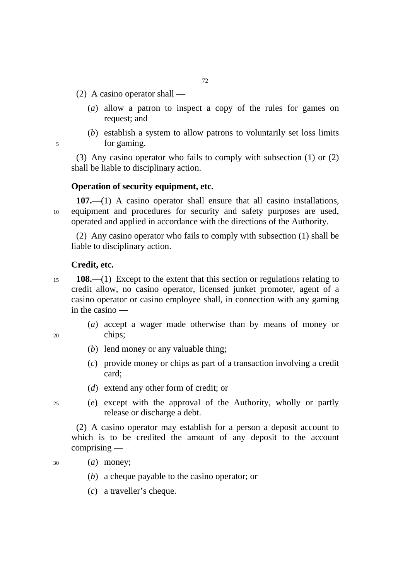- $(2)$  A casino operator shall
	- (*a*) allow a patron to inspect a copy of the rules for games on request; and
- (*b*) establish a system to allow patrons to voluntarily set loss limits 5 for gaming.

(3) Any casino operator who fails to comply with subsection (1) or (2) shall be liable to disciplinary action.

# **Operation of security equipment, etc.**

**107.**—(1) A casino operator shall ensure that all casino installations, 10 equipment and procedures for security and safety purposes are used, operated and applied in accordance with the directions of the Authority.

(2) Any casino operator who fails to comply with subsection (1) shall be liable to disciplinary action.

### **Credit, etc.**

- <sup>15</sup>**108.**—(1) Except to the extent that this section or regulations relating to credit allow, no casino operator, licensed junket promoter, agent of a casino operator or casino employee shall, in connection with any gaming in the casino —
- (*a*) accept a wager made otherwise than by means of money or 20 chips;
- 
- (*b*) lend money or any valuable thing;
- (*c*) provide money or chips as part of a transaction involving a credit card;
- (*d*) extend any other form of credit; or
- 25 (*e*) except with the approval of the Authority, wholly or partly release or discharge a debt.

(2) A casino operator may establish for a person a deposit account to which is to be credited the amount of any deposit to the account comprising —

- 30 (*a*) money;
	- (*b*) a cheque payable to the casino operator; or
	- (*c*) a traveller's cheque.

 $72$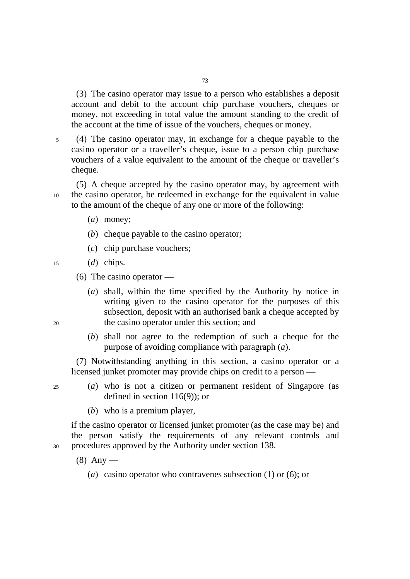(3) The casino operator may issue to a person who establishes a deposit account and debit to the account chip purchase vouchers, cheques or money, not exceeding in total value the amount standing to the credit of the account at the time of issue of the vouchers, cheques or money.

5 (4) The casino operator may, in exchange for a cheque payable to the casino operator or a traveller's cheque, issue to a person chip purchase vouchers of a value equivalent to the amount of the cheque or traveller's cheque.

(5) A cheque accepted by the casino operator may, by agreement with 10 the casino operator, be redeemed in exchange for the equivalent in value to the amount of the cheque of any one or more of the following:

- (*a*) money;
- (*b*) cheque payable to the casino operator;
- (*c*) chip purchase vouchers;
- 15 (*d*) chips.
	- (6) The casino operator —
- (*a*) shall, within the time specified by the Authority by notice in writing given to the casino operator for the purposes of this subsection, deposit with an authorised bank a cheque accepted by 20 the casino operator under this section; and
	- (*b*) shall not agree to the redemption of such a cheque for the purpose of avoiding compliance with paragraph (*a*).

(7) Notwithstanding anything in this section, a casino operator or a licensed junket promoter may provide chips on credit to a person —

- 25 (*a*) who is not a citizen or permanent resident of Singapore (as defined in section 116(9)); or
	- (*b*) who is a premium player,

if the casino operator or licensed junket promoter (as the case may be) and the person satisfy the requirements of any relevant controls and 30 procedures approved by the Authority under section 138.

- $(8)$  Any
	- (*a*) casino operator who contravenes subsection (1) or (6); or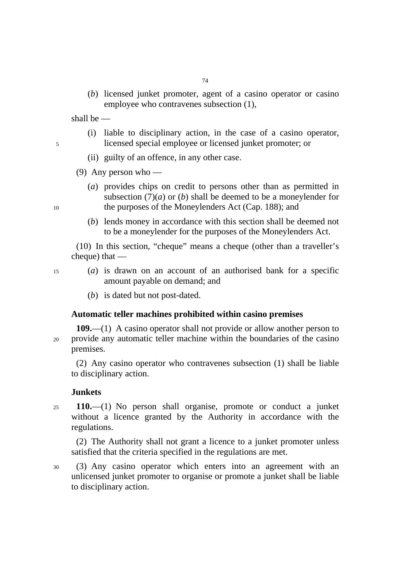(*b*) licensed junket promoter, agent of a casino operator or casino employee who contravenes subsection (1),

shall be ––

- (i) liable to disciplinary action, in the case of a casino operator, 5 licensed special employee or licensed junket promoter; or
	- (ii) guilty of an offence, in any other case.
	- (9) Any person who —
- (*a*) provides chips on credit to persons other than as permitted in subsection  $(7)(a)$  or  $(b)$  shall be deemed to be a moneylender for 10 the purposes of the Moneylenders Act (Cap. 188); and
	- (*b*) lends money in accordance with this section shall be deemed not to be a moneylender for the purposes of the Moneylenders Act.

(10) In this section, "cheque" means a cheque (other than a traveller's cheque) that —

- 15 (*a*) is drawn on an account of an authorised bank for a specific amount payable on demand; and
	- (*b*) is dated but not post-dated.

# **Automatic teller machines prohibited within casino premises**

**109.**—(1) A casino operator shall not provide or allow another person to 20 provide any automatic teller machine within the boundaries of the casino premises.

(2) Any casino operator who contravenes subsection (1) shall be liable to disciplinary action.

## **Junkets**

<sup>25</sup>**110.**—(1) No person shall organise, promote or conduct a junket without a licence granted by the Authority in accordance with the regulations.

(2) The Authority shall not grant a licence to a junket promoter unless satisfied that the criteria specified in the regulations are met.

30 (3) Any casino operator which enters into an agreement with an unlicensed junket promoter to organise or promote a junket shall be liable to disciplinary action.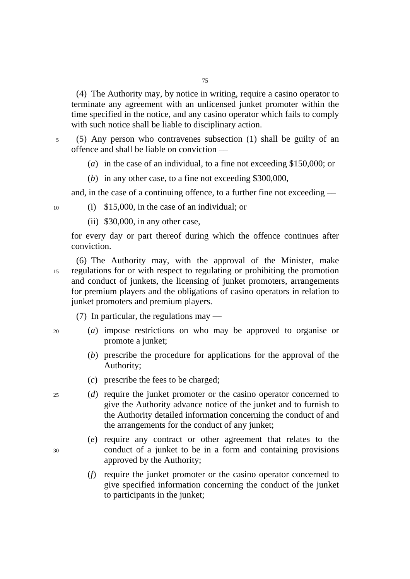(4) The Authority may, by notice in writing, require a casino operator to terminate any agreement with an unlicensed junket promoter within the time specified in the notice, and any casino operator which fails to comply with such notice shall be liable to disciplinary action.

5 (5) Any person who contravenes subsection (1) shall be guilty of an offence and shall be liable on conviction ––

(*a*) in the case of an individual, to a fine not exceeding \$150,000; or

(*b*) in any other case, to a fine not exceeding \$300,000,

and, in the case of a continuing offence, to a further fine not exceeding —

10 (i) \$15,000, in the case of an individual; or

(ii) \$30,000, in any other case,

for every day or part thereof during which the offence continues after conviction.

(6) The Authority may, with the approval of the Minister, make 15 regulations for or with respect to regulating or prohibiting the promotion and conduct of junkets, the licensing of junket promoters, arrangements for premium players and the obligations of casino operators in relation to junket promoters and premium players.

(7) In particular, the regulations may  $-$ 

- 20 (*a*) impose restrictions on who may be approved to organise or promote a junket;
	- (*b*) prescribe the procedure for applications for the approval of the Authority;
	- (*c*) prescribe the fees to be charged;

25 (*d*) require the junket promoter or the casino operator concerned to give the Authority advance notice of the junket and to furnish to the Authority detailed information concerning the conduct of and the arrangements for the conduct of any junket;

- (*e*) require any contract or other agreement that relates to the 30 conduct of a junket to be in a form and containing provisions approved by the Authority;
	- (*f*) require the junket promoter or the casino operator concerned to give specified information concerning the conduct of the junket to participants in the junket;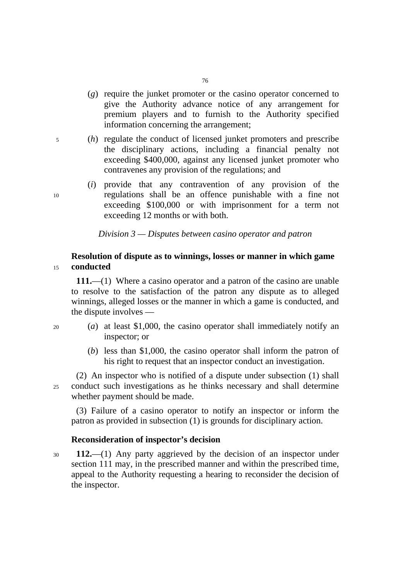- (*g*) require the junket promoter or the casino operator concerned to give the Authority advance notice of any arrangement for premium players and to furnish to the Authority specified information concerning the arrangement;
- 5 (*h*) regulate the conduct of licensed junket promoters and prescribe the disciplinary actions, including a financial penalty not exceeding \$400,000, against any licensed junket promoter who contravenes any provision of the regulations; and
- (*i*) provide that any contravention of any provision of the 10 regulations shall be an offence punishable with a fine not exceeding \$100,000 or with imprisonment for a term not exceeding 12 months or with both.

*Division 3 — Disputes between casino operator and patron* 

# **Resolution of dispute as to winnings, losses or manner in which game**  <sup>15</sup>**conducted**

**111.**––(1) Where a casino operator and a patron of the casino are unable to resolve to the satisfaction of the patron any dispute as to alleged winnings, alleged losses or the manner in which a game is conducted, and the dispute involves ––

- 20 (*a*) at least \$1,000, the casino operator shall immediately notify an inspector; or
	- (*b*) less than \$1,000, the casino operator shall inform the patron of his right to request that an inspector conduct an investigation.

(2) An inspector who is notified of a dispute under subsection (1) shall 25 conduct such investigations as he thinks necessary and shall determine whether payment should be made.

(3) Failure of a casino operator to notify an inspector or inform the patron as provided in subsection (1) is grounds for disciplinary action.

## **Reconsideration of inspector's decision**

<sup>30</sup>**112.**––(1) Any party aggrieved by the decision of an inspector under section 111 may, in the prescribed manner and within the prescribed time, appeal to the Authority requesting a hearing to reconsider the decision of the inspector.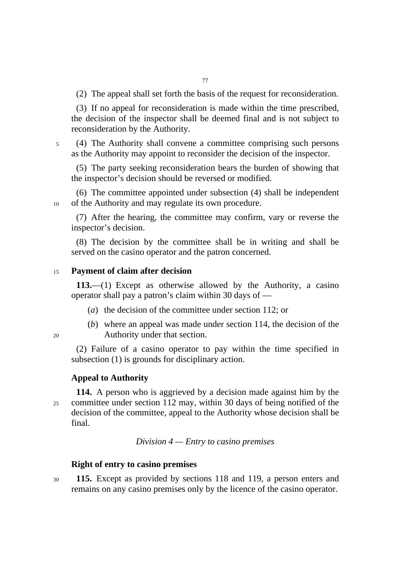(2) The appeal shall set forth the basis of the request for reconsideration.

(3) If no appeal for reconsideration is made within the time prescribed, the decision of the inspector shall be deemed final and is not subject to reconsideration by the Authority.

5 (4) The Authority shall convene a committee comprising such persons as the Authority may appoint to reconsider the decision of the inspector.

(5) The party seeking reconsideration bears the burden of showing that the inspector's decision should be reversed or modified.

(6) The committee appointed under subsection (4) shall be independent 10 of the Authority and may regulate its own procedure.

(7) After the hearing, the committee may confirm, vary or reverse the inspector's decision.

(8) The decision by the committee shall be in writing and shall be served on the casino operator and the patron concerned.

## <sup>15</sup>**Payment of claim after decision**

**113.**—(1) Except as otherwise allowed by the Authority, a casino operator shall pay a patron's claim within 30 days of ––

- (*a*) the decision of the committee under section 112; or
- (*b*) where an appeal was made under section 114, the decision of the 20 Authority under that section.

(2) Failure of a casino operator to pay within the time specified in subsection (1) is grounds for disciplinary action.

### **Appeal to Authority**

**114.** A person who is aggrieved by a decision made against him by the 25 committee under section 112 may, within 30 days of being notified of the decision of the committee, appeal to the Authority whose decision shall be final.

*Division 4 — Entry to casino premises* 

# **Right of entry to casino premises**

<sup>30</sup>**115.** Except as provided by sections 118 and 119, a person enters and remains on any casino premises only by the licence of the casino operator.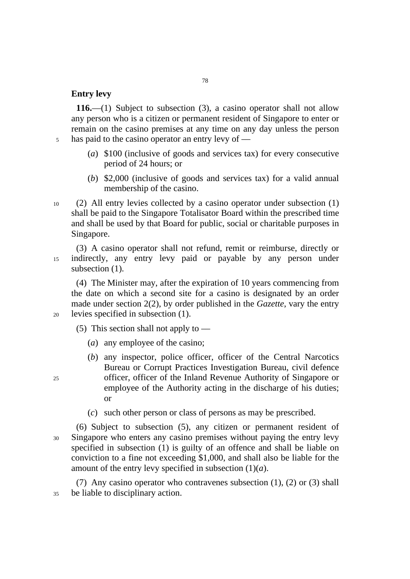# **Entry levy**

**116.**—(1) Subject to subsection (3), a casino operator shall not allow any person who is a citizen or permanent resident of Singapore to enter or remain on the casino premises at any time on any day unless the person 5 has paid to the casino operator an entry levy of ––

- (*a*) \$100 (inclusive of goods and services tax) for every consecutive period of 24 hours; or
- (*b*) \$2,000 (inclusive of goods and services tax) for a valid annual membership of the casino.
- 10 (2) All entry levies collected by a casino operator under subsection (1) shall be paid to the Singapore Totalisator Board within the prescribed time and shall be used by that Board for public, social or charitable purposes in Singapore.

(3) A casino operator shall not refund, remit or reimburse, directly or 15 indirectly, any entry levy paid or payable by any person under subsection  $(1)$ .

(4) The Minister may, after the expiration of 10 years commencing from the date on which a second site for a casino is designated by an order made under section 2(2), by order published in the *Gazette*, vary the entry 20 levies specified in subsection (1).

(5) This section shall not apply to  $-$ 

- (*a*) any employee of the casino;
- (*b*) any inspector, police officer, officer of the Central Narcotics Bureau or Corrupt Practices Investigation Bureau, civil defence 25 officer, officer of the Inland Revenue Authority of Singapore or employee of the Authority acting in the discharge of his duties; or
	- (*c*) such other person or class of persons as may be prescribed.
- (6) Subject to subsection (5), any citizen or permanent resident of 30 Singapore who enters any casino premises without paying the entry levy specified in subsection (1) is guilty of an offence and shall be liable on conviction to a fine not exceeding \$1,000, and shall also be liable for the amount of the entry levy specified in subsection (1)(*a*).

(7) Any casino operator who contravenes subsection (1), (2) or (3) shall 35 be liable to disciplinary action.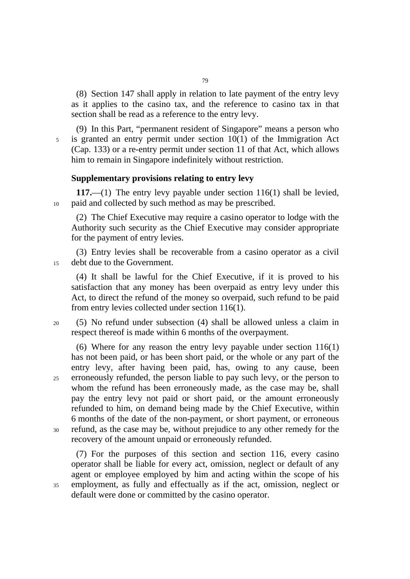(8) Section 147 shall apply in relation to late payment of the entry levy as it applies to the casino tax, and the reference to casino tax in that section shall be read as a reference to the entry levy.

(9) In this Part, "permanent resident of Singapore" means a person who 5 is granted an entry permit under section 10(1) of the Immigration Act (Cap. 133) or a re-entry permit under section 11 of that Act, which allows him to remain in Singapore indefinitely without restriction.

## **Supplementary provisions relating to entry levy**

**117.**—(1) The entry levy payable under section 116(1) shall be levied, 10 paid and collected by such method as may be prescribed.

(2) The Chief Executive may require a casino operator to lodge with the Authority such security as the Chief Executive may consider appropriate for the payment of entry levies.

(3) Entry levies shall be recoverable from a casino operator as a civil 15 debt due to the Government.

(4) It shall be lawful for the Chief Executive, if it is proved to his satisfaction that any money has been overpaid as entry levy under this Act, to direct the refund of the money so overpaid, such refund to be paid from entry levies collected under section 116(1).

20 (5) No refund under subsection (4) shall be allowed unless a claim in respect thereof is made within 6 months of the overpayment.

(6) Where for any reason the entry levy payable under section 116(1) has not been paid, or has been short paid, or the whole or any part of the entry levy, after having been paid, has, owing to any cause, been 25 erroneously refunded, the person liable to pay such levy, or the person to whom the refund has been erroneously made, as the case may be, shall pay the entry levy not paid or short paid, or the amount erroneously refunded to him, on demand being made by the Chief Executive, within 6 months of the date of the non-payment, or short payment, or erroneous 30 refund, as the case may be, without prejudice to any other remedy for the recovery of the amount unpaid or erroneously refunded.

(7) For the purposes of this section and section 116, every casino operator shall be liable for every act, omission, neglect or default of any agent or employee employed by him and acting within the scope of his 35 employment, as fully and effectually as if the act, omission, neglect or default were done or committed by the casino operator.

79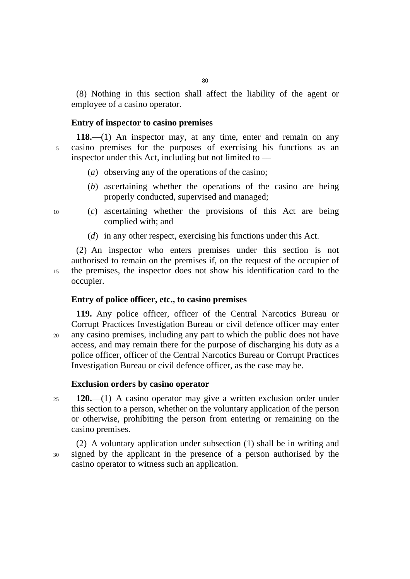(8) Nothing in this section shall affect the liability of the agent or employee of a casino operator.

## **Entry of inspector to casino premises**

**118.**—(1) An inspector may, at any time, enter and remain on any 5 casino premises for the purposes of exercising his functions as an inspector under this Act, including but not limited to  $-$ 

- (*a*) observing any of the operations of the casino;
- (*b*) ascertaining whether the operations of the casino are being properly conducted, supervised and managed;

- 10 (*c*) ascertaining whether the provisions of this Act are being complied with; and
	- (*d*) in any other respect, exercising his functions under this Act.

(2) An inspector who enters premises under this section is not authorised to remain on the premises if, on the request of the occupier of 15 the premises, the inspector does not show his identification card to the occupier.

## **Entry of police officer, etc., to casino premises**

**119.** Any police officer, officer of the Central Narcotics Bureau or Corrupt Practices Investigation Bureau or civil defence officer may enter 20 any casino premises, including any part to which the public does not have access, and may remain there for the purpose of discharging his duty as a police officer, officer of the Central Narcotics Bureau or Corrupt Practices Investigation Bureau or civil defence officer, as the case may be.

### **Exclusion orders by casino operator**

<sup>25</sup>**120.**—(1) A casino operator may give a written exclusion order under this section to a person, whether on the voluntary application of the person or otherwise, prohibiting the person from entering or remaining on the casino premises.

(2) A voluntary application under subsection (1) shall be in writing and 30 signed by the applicant in the presence of a person authorised by the casino operator to witness such an application.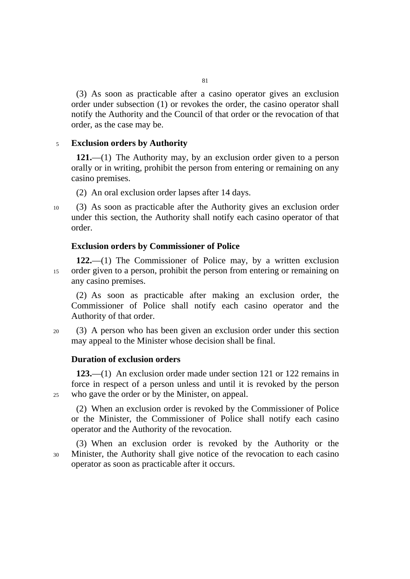(3) As soon as practicable after a casino operator gives an exclusion order under subsection (1) or revokes the order, the casino operator shall notify the Authority and the Council of that order or the revocation of that order, as the case may be.

## <sup>5</sup>**Exclusion orders by Authority**

**121.**—(1) The Authority may, by an exclusion order given to a person orally or in writing, prohibit the person from entering or remaining on any casino premises.

(2) An oral exclusion order lapses after 14 days.

10 (3) As soon as practicable after the Authority gives an exclusion order under this section, the Authority shall notify each casino operator of that order.

## **Exclusion orders by Commissioner of Police**

**122.**—(1) The Commissioner of Police may, by a written exclusion 15 order given to a person, prohibit the person from entering or remaining on any casino premises.

(2) As soon as practicable after making an exclusion order, the Commissioner of Police shall notify each casino operator and the Authority of that order.

20 (3) A person who has been given an exclusion order under this section may appeal to the Minister whose decision shall be final.

### **Duration of exclusion orders**

**123.**—(1) An exclusion order made under section 121 or 122 remains in force in respect of a person unless and until it is revoked by the person 25 who gave the order or by the Minister, on appeal.

(2) When an exclusion order is revoked by the Commissioner of Police or the Minister, the Commissioner of Police shall notify each casino operator and the Authority of the revocation.

(3) When an exclusion order is revoked by the Authority or the 30 Minister, the Authority shall give notice of the revocation to each casino operator as soon as practicable after it occurs.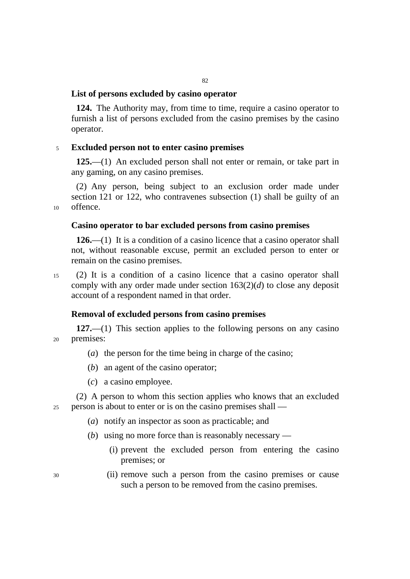# **List of persons excluded by casino operator**

**124.** The Authority may, from time to time, require a casino operator to furnish a list of persons excluded from the casino premises by the casino operator.

## <sup>5</sup>**Excluded person not to enter casino premises**

**125.**—(1) An excluded person shall not enter or remain, or take part in any gaming, on any casino premises.

(2) Any person, being subject to an exclusion order made under section 121 or 122, who contravenes subsection (1) shall be guilty of an 10 offence.

## **Casino operator to bar excluded persons from casino premises**

**126.**—(1) It is a condition of a casino licence that a casino operator shall not, without reasonable excuse, permit an excluded person to enter or remain on the casino premises.

15 (2) It is a condition of a casino licence that a casino operator shall comply with any order made under section 163(2)(*d*) to close any deposit account of a respondent named in that order.

## **Removal of excluded persons from casino premises**

**127.**—(1) This section applies to the following persons on any casino 20 premises:

- (*a*) the person for the time being in charge of the casino;
- (*b*) an agent of the casino operator;
- (*c*) a casino employee.

(2) A person to whom this section applies who knows that an excluded 25 person is about to enter or is on the casino premises shall —

- (*a*) notify an inspector as soon as practicable; and
- (*b*) using no more force than is reasonably necessary
	- (i) prevent the excluded person from entering the casino premises; or
- 30 (ii) remove such a person from the casino premises or cause such a person to be removed from the casino premises.
-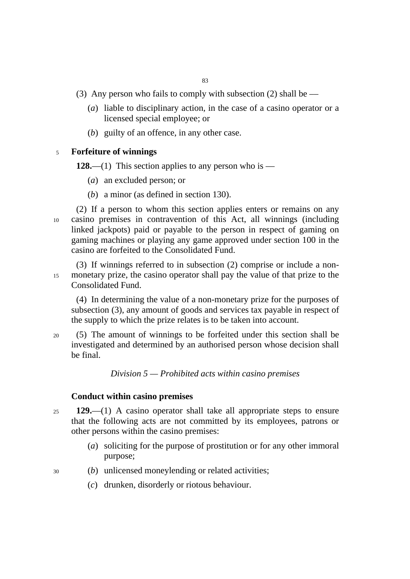(3) Any person who fails to comply with subsection (2) shall be  $-$ 

- (*a*) liable to disciplinary action, in the case of a casino operator or a licensed special employee; or
- (*b*) guilty of an offence, in any other case.

## <sup>5</sup>**Forfeiture of winnings**

**128.**—(1) This section applies to any person who is —

- (*a*) an excluded person; or
- (*b*) a minor (as defined in section 130).

(2) If a person to whom this section applies enters or remains on any 10 casino premises in contravention of this Act, all winnings (including linked jackpots) paid or payable to the person in respect of gaming on gaming machines or playing any game approved under section 100 in the casino are forfeited to the Consolidated Fund.

(3) If winnings referred to in subsection (2) comprise or include a non-15 monetary prize, the casino operator shall pay the value of that prize to the Consolidated Fund.

(4) In determining the value of a non-monetary prize for the purposes of subsection (3), any amount of goods and services tax payable in respect of the supply to which the prize relates is to be taken into account.

20 (5) The amount of winnings to be forfeited under this section shall be investigated and determined by an authorised person whose decision shall be final.

*Division 5 — Prohibited acts within casino premises* 

## **Conduct within casino premises**

- <sup>25</sup>**129.**––(1) A casino operator shall take all appropriate steps to ensure that the following acts are not committed by its employees, patrons or other persons within the casino premises:
	- (*a*) soliciting for the purpose of prostitution or for any other immoral purpose;

30 (*b*) unlicensed moneylending or related activities;

- (*c*) drunken, disorderly or riotous behaviour.
-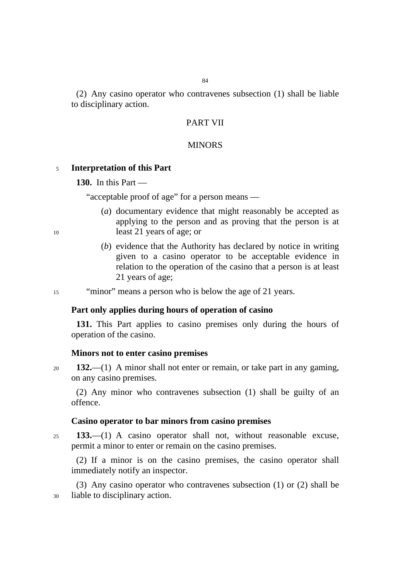(2) Any casino operator who contravenes subsection (1) shall be liable to disciplinary action.

# PART VII

### **MINORS**

### <sup>5</sup>**Interpretation of this Part**

**130.** In this Part —

"acceptable proof of age" for a person means —

- (*a*) documentary evidence that might reasonably be accepted as applying to the person and as proving that the person is at 10 least 21 years of age; or
	- (*b*) evidence that the Authority has declared by notice in writing given to a casino operator to be acceptable evidence in relation to the operation of the casino that a person is at least 21 years of age;

15 "minor" means a person who is below the age of 21 years.

#### **Part only applies during hours of operation of casino**

**131.** This Part applies to casino premises only during the hours of operation of the casino.

#### **Minors not to enter casino premises**

<sup>20</sup>**132.**—(1) A minor shall not enter or remain, or take part in any gaming, on any casino premises.

(2) Any minor who contravenes subsection (1) shall be guilty of an offence.

#### **Casino operator to bar minors from casino premises**

<sup>25</sup>**133.**—(1) A casino operator shall not, without reasonable excuse, permit a minor to enter or remain on the casino premises.

(2) If a minor is on the casino premises, the casino operator shall immediately notify an inspector.

(3) Any casino operator who contravenes subsection (1) or (2) shall be 30 liable to disciplinary action.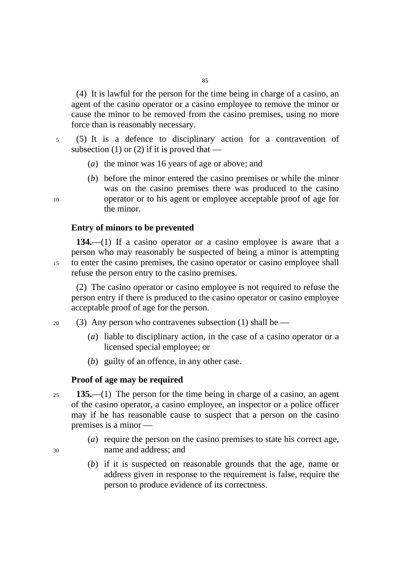(4) It is lawful for the person for the time being in charge of a casino, an agent of the casino operator or a casino employee to remove the minor or cause the minor to be removed from the casino premises, using no more force than is reasonably necessary.

5 (5) It is a defence to disciplinary action for a contravention of subsection (1) or (2) if it is proved that —

- (*a*) the minor was 16 years of age or above; and
- (*b*) before the minor entered the casino premises or while the minor was on the casino premises there was produced to the casino 10 operator or to his agent or employee acceptable proof of age for the minor.

### **Entry of minors to be prevented**

**134.**—(1) If a casino operator or a casino employee is aware that a person who may reasonably be suspected of being a minor is attempting 15 to enter the casino premises, the casino operator or casino employee shall refuse the person entry to the casino premises.

(2) The casino operator or casino employee is not required to refuse the person entry if there is produced to the casino operator or casino employee acceptable proof of age for the person.

- 20 (3) Any person who contravenes subsection (1) shall be  $-$ 
	- (*a*) liable to disciplinary action, in the case of a casino operator or a licensed special employee; or
	- (*b*) guilty of an offence, in any other case.

## **Proof of age may be required**

- <sup>25</sup>**135.**—(1) The person for the time being in charge of a casino, an agent of the casino operator, a casino employee, an inspector or a police officer may if he has reasonable cause to suspect that a person on the casino premises is a minor —
- (*a*) require the person on the casino premises to state his correct age, 30 name and address; and
	- (*b*) if it is suspected on reasonable grounds that the age, name or address given in response to the requirement is false, require the person to produce evidence of its correctness.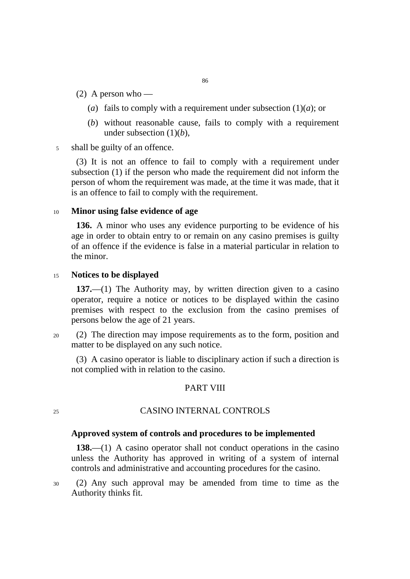- (2) A person who
	- (*a*) fails to comply with a requirement under subsection  $(1)(a)$ ; or
	- (*b*) without reasonable cause, fails to comply with a requirement under subsection (1)(*b*),
- 5 shall be guilty of an offence.

(3) It is not an offence to fail to comply with a requirement under subsection (1) if the person who made the requirement did not inform the person of whom the requirement was made, at the time it was made, that it is an offence to fail to comply with the requirement.

## <sup>10</sup>**Minor using false evidence of age**

**136.** A minor who uses any evidence purporting to be evidence of his age in order to obtain entry to or remain on any casino premises is guilty of an offence if the evidence is false in a material particular in relation to the minor.

## <sup>15</sup>**Notices to be displayed**

**137.**—(1) The Authority may, by written direction given to a casino operator, require a notice or notices to be displayed within the casino premises with respect to the exclusion from the casino premises of persons below the age of 21 years.

20 (2) The direction may impose requirements as to the form, position and matter to be displayed on any such notice.

(3) A casino operator is liable to disciplinary action if such a direction is not complied with in relation to the casino.

# PART VIII

# 25 CASINO INTERNAL CONTROLS

### **Approved system of controls and procedures to be implemented**

**138.**—(1) A casino operator shall not conduct operations in the casino unless the Authority has approved in writing of a system of internal controls and administrative and accounting procedures for the casino.

30 (2) Any such approval may be amended from time to time as the Authority thinks fit.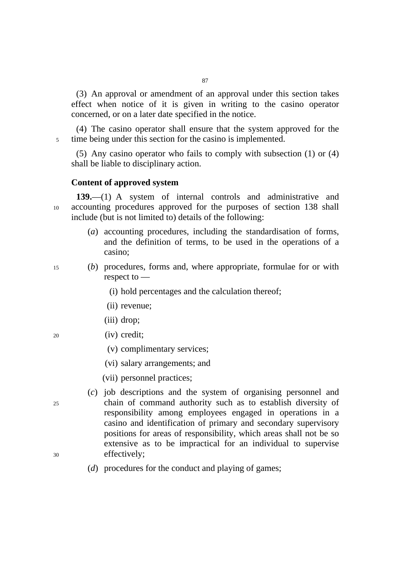(3) An approval or amendment of an approval under this section takes effect when notice of it is given in writing to the casino operator concerned, or on a later date specified in the notice.

(4) The casino operator shall ensure that the system approved for the 5 time being under this section for the casino is implemented.

(5) Any casino operator who fails to comply with subsection (1) or (4) shall be liable to disciplinary action.

## **Content of approved system**

**139.**—(1) A system of internal controls and administrative and 10 accounting procedures approved for the purposes of section 138 shall include (but is not limited to) details of the following:

- (*a*) accounting procedures, including the standardisation of forms, and the definition of terms, to be used in the operations of a casino;
- 15 (*b*) procedures, forms and, where appropriate, formulae for or with respect to —
	- (i) hold percentages and the calculation thereof;
	- (ii) revenue;
	- (iii) drop;
- 20 (iv) credit;
	- (v) complimentary services;
	- (vi) salary arrangements; and
	- (vii) personnel practices;
- (*c*) job descriptions and the system of organising personnel and 25 chain of command authority such as to establish diversity of responsibility among employees engaged in operations in a casino and identification of primary and secondary supervisory positions for areas of responsibility, which areas shall not be so extensive as to be impractical for an individual to supervise 30 effectively;
- 
- (*d*) procedures for the conduct and playing of games;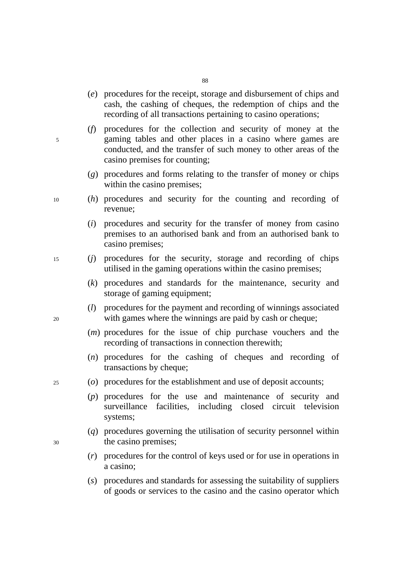- 88
- (*e*) procedures for the receipt, storage and disbursement of chips and cash, the cashing of cheques, the redemption of chips and the recording of all transactions pertaining to casino operations;
- (*f*) procedures for the collection and security of money at the 5 gaming tables and other places in a casino where games are conducted, and the transfer of such money to other areas of the casino premises for counting;
	- (*g*) procedures and forms relating to the transfer of money or chips within the casino premises;
- 10 (*h*) procedures and security for the counting and recording of revenue;
	- (*i*) procedures and security for the transfer of money from casino premises to an authorised bank and from an authorised bank to casino premises;
- 15 (*j*) procedures for the security, storage and recording of chips utilised in the gaming operations within the casino premises;
	- (*k*) procedures and standards for the maintenance, security and storage of gaming equipment;
- (*l*) procedures for the payment and recording of winnings associated 20 with games where the winnings are paid by cash or cheque;
	- (*m*) procedures for the issue of chip purchase vouchers and the recording of transactions in connection therewith;
	- (*n*) procedures for the cashing of cheques and recording of transactions by cheque;
- 25 (*o*) procedures for the establishment and use of deposit accounts;
	- (*p*) procedures for the use and maintenance of security and surveillance facilities, including closed circuit television systems;
- (*q*) procedures governing the utilisation of security personnel within 30 the casino premises;
	- (*r*) procedures for the control of keys used or for use in operations in a casino;
	- (*s*) procedures and standards for assessing the suitability of suppliers of goods or services to the casino and the casino operator which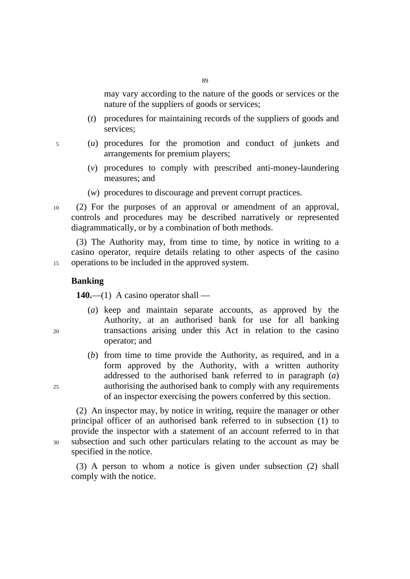may vary according to the nature of the goods or services or the nature of the suppliers of goods or services;

- (*t*) procedures for maintaining records of the suppliers of goods and services;
- 5 (*u*) procedures for the promotion and conduct of junkets and arrangements for premium players;
	- (*v*) procedures to comply with prescribed anti-money-laundering measures; and
	- (*w*) procedures to discourage and prevent corrupt practices.
- 10 (2) For the purposes of an approval or amendment of an approval, controls and procedures may be described narratively or represented diagrammatically, or by a combination of both methods.

(3) The Authority may, from time to time, by notice in writing to a casino operator, require details relating to other aspects of the casino 15 operations to be included in the approved system.

## **Banking**

**140.**—(1) A casino operator shall —

- (*a*) keep and maintain separate accounts, as approved by the Authority, at an authorised bank for use for all banking 20 transactions arising under this Act in relation to the casino operator; and
- (*b*) from time to time provide the Authority, as required, and in a form approved by the Authority, with a written authority addressed to the authorised bank referred to in paragraph (*a*) 25 authorising the authorised bank to comply with any requirements of an inspector exercising the powers conferred by this section.

(2) An inspector may, by notice in writing, require the manager or other principal officer of an authorised bank referred to in subsection (1) to provide the inspector with a statement of an account referred to in that 30 subsection and such other particulars relating to the account as may be specified in the notice.

(3) A person to whom a notice is given under subsection (2) shall comply with the notice.

- 
-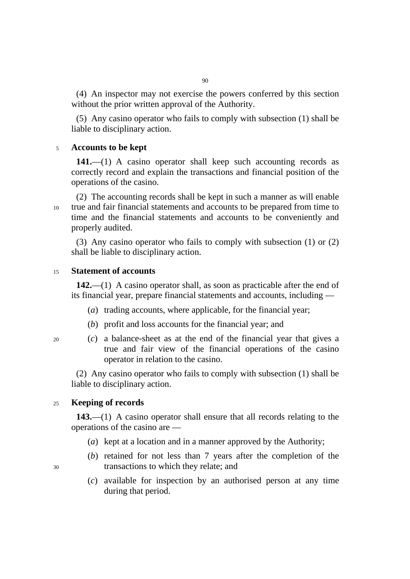(4) An inspector may not exercise the powers conferred by this section without the prior written approval of the Authority.

(5) Any casino operator who fails to comply with subsection (1) shall be liable to disciplinary action.

## <sup>5</sup>**Accounts to be kept**

**141.**—(1) A casino operator shall keep such accounting records as correctly record and explain the transactions and financial position of the operations of the casino.

(2) The accounting records shall be kept in such a manner as will enable 10 true and fair financial statements and accounts to be prepared from time to time and the financial statements and accounts to be conveniently and properly audited.

(3) Any casino operator who fails to comply with subsection (1) or (2) shall be liable to disciplinary action.

## <sup>15</sup>**Statement of accounts**

**142.**—(1) A casino operator shall, as soon as practicable after the end of its financial year, prepare financial statements and accounts, including —

- (*a*) trading accounts, where applicable, for the financial year;
- (*b*) profit and loss accounts for the financial year; and
- 
- 20 (*c*) a balance-sheet as at the end of the financial year that gives a true and fair view of the financial operations of the casino operator in relation to the casino.

(2) Any casino operator who fails to comply with subsection (1) shall be liable to disciplinary action.

# <sup>25</sup>**Keeping of records**

**143.**—(1) A casino operator shall ensure that all records relating to the operations of the casino are —

- (*a*) kept at a location and in a manner approved by the Authority;
- (*b*) retained for not less than 7 years after the completion of the 30 transactions to which they relate; and
	- (*c*) available for inspection by an authorised person at any time during that period.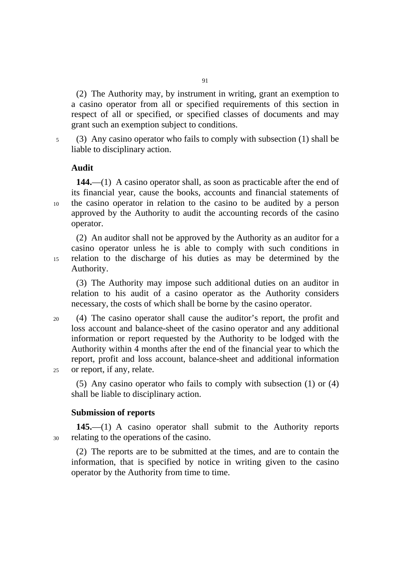(2) The Authority may, by instrument in writing, grant an exemption to a casino operator from all or specified requirements of this section in respect of all or specified, or specified classes of documents and may grant such an exemption subject to conditions.

5 (3) Any casino operator who fails to comply with subsection (1) shall be liable to disciplinary action.

## **Audit**

**144.**—(1) A casino operator shall, as soon as practicable after the end of its financial year, cause the books, accounts and financial statements of 10 the casino operator in relation to the casino to be audited by a person approved by the Authority to audit the accounting records of the casino operator.

(2) An auditor shall not be approved by the Authority as an auditor for a casino operator unless he is able to comply with such conditions in 15 relation to the discharge of his duties as may be determined by the Authority.

(3) The Authority may impose such additional duties on an auditor in relation to his audit of a casino operator as the Authority considers necessary, the costs of which shall be borne by the casino operator.

20 (4) The casino operator shall cause the auditor's report, the profit and loss account and balance-sheet of the casino operator and any additional information or report requested by the Authority to be lodged with the Authority within 4 months after the end of the financial year to which the report, profit and loss account, balance-sheet and additional information 25 or report, if any, relate.

(5) Any casino operator who fails to comply with subsection (1) or (4) shall be liable to disciplinary action.

### **Submission of reports**

**145.**—(1) A casino operator shall submit to the Authority reports 30 relating to the operations of the casino.

(2) The reports are to be submitted at the times, and are to contain the information, that is specified by notice in writing given to the casino operator by the Authority from time to time.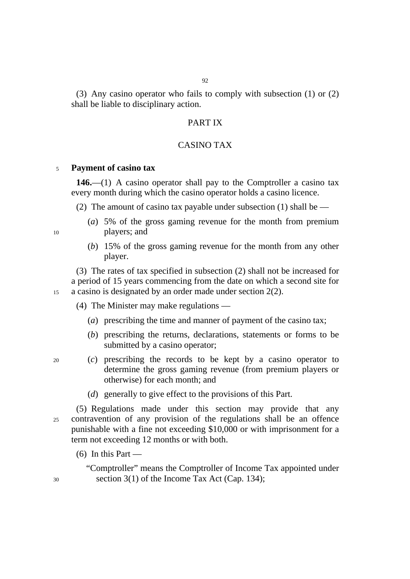(3) Any casino operator who fails to comply with subsection (1) or (2) shall be liable to disciplinary action.

# PART IX

## CASINO TAX

#### <sup>5</sup>**Payment of casino tax**

**146.**—(1) A casino operator shall pay to the Comptroller a casino tax every month during which the casino operator holds a casino licence.

(2) The amount of casino tax payable under subsection (1) shall be  $-$ 

- (*a*) 5% of the gross gaming revenue for the month from premium 10 players; and
	- (*b*) 15% of the gross gaming revenue for the month from any other player.

(3) The rates of tax specified in subsection (2) shall not be increased for a period of 15 years commencing from the date on which a second site for 15 a casino is designated by an order made under section 2(2).

(4) The Minister may make regulations —

- (*a*) prescribing the time and manner of payment of the casino tax;
- (*b*) prescribing the returns, declarations, statements or forms to be submitted by a casino operator;
- 20 (*c*) prescribing the records to be kept by a casino operator to determine the gross gaming revenue (from premium players or otherwise) for each month; and
	- (*d*) generally to give effect to the provisions of this Part.

(5) Regulations made under this section may provide that any 25 contravention of any provision of the regulations shall be an offence punishable with a fine not exceeding \$10,000 or with imprisonment for a term not exceeding 12 months or with both.

 $(6)$  In this Part —

"Comptroller" means the Comptroller of Income Tax appointed under 30 section 3(1) of the Income Tax Act (Cap. 134);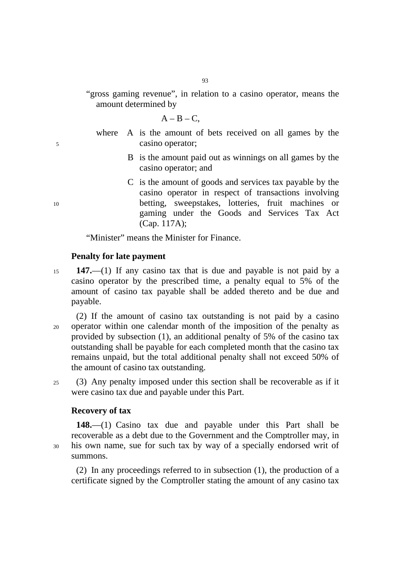"gross gaming revenue", in relation to a casino operator, means the amount determined by

 $A - B - C$ 

- where A is the amount of bets received on all games by the 5 casino operator;
	- B is the amount paid out as winnings on all games by the casino operator; and
- C is the amount of goods and services tax payable by the casino operator in respect of transactions involving 10 betting, sweepstakes, lotteries, fruit machines or gaming under the Goods and Services Tax Act (Cap. 117A);

"Minister" means the Minister for Finance.

### **Penalty for late payment**

<sup>15</sup>**147.**—(1) If any casino tax that is due and payable is not paid by a casino operator by the prescribed time, a penalty equal to 5% of the amount of casino tax payable shall be added thereto and be due and payable.

(2) If the amount of casino tax outstanding is not paid by a casino 20 operator within one calendar month of the imposition of the penalty as provided by subsection (1), an additional penalty of 5% of the casino tax outstanding shall be payable for each completed month that the casino tax remains unpaid, but the total additional penalty shall not exceed 50% of the amount of casino tax outstanding.

25 (3) Any penalty imposed under this section shall be recoverable as if it were casino tax due and payable under this Part.

## **Recovery of tax**

**148.**—(1) Casino tax due and payable under this Part shall be recoverable as a debt due to the Government and the Comptroller may, in 30 his own name, sue for such tax by way of a specially endorsed writ of summons.

(2) In any proceedings referred to in subsection (1), the production of a certificate signed by the Comptroller stating the amount of any casino tax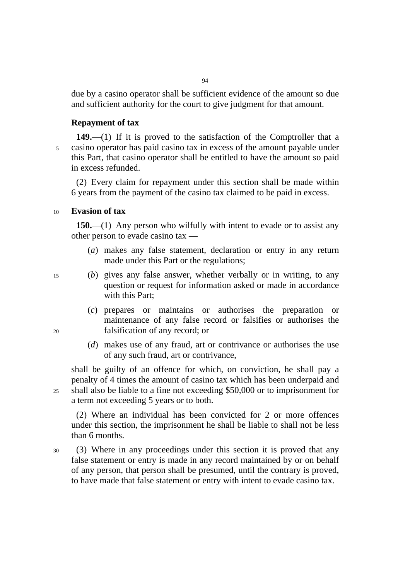due by a casino operator shall be sufficient evidence of the amount so due and sufficient authority for the court to give judgment for that amount.

# **Repayment of tax**

**149.**—(1) If it is proved to the satisfaction of the Comptroller that a 5 casino operator has paid casino tax in excess of the amount payable under this Part, that casino operator shall be entitled to have the amount so paid in excess refunded.

(2) Every claim for repayment under this section shall be made within 6 years from the payment of the casino tax claimed to be paid in excess.

## <sup>10</sup>**Evasion of tax**

**150.**—(1) Any person who wilfully with intent to evade or to assist any other person to evade casino tax —

- (*a*) makes any false statement, declaration or entry in any return made under this Part or the regulations;
- 
- 15 (*b*) gives any false answer, whether verbally or in writing, to any question or request for information asked or made in accordance with this Part;
- (*c*) prepares or maintains or authorises the preparation or maintenance of any false record or falsifies or authorises the 20 falsification of any record; or
	- (*d*) makes use of any fraud, art or contrivance or authorises the use of any such fraud, art or contrivance,

shall be guilty of an offence for which, on conviction, he shall pay a penalty of 4 times the amount of casino tax which has been underpaid and 25 shall also be liable to a fine not exceeding \$50,000 or to imprisonment for a term not exceeding 5 years or to both.

(2) Where an individual has been convicted for 2 or more offences under this section, the imprisonment he shall be liable to shall not be less than 6 months.

30 (3) Where in any proceedings under this section it is proved that any false statement or entry is made in any record maintained by or on behalf of any person, that person shall be presumed, until the contrary is proved, to have made that false statement or entry with intent to evade casino tax.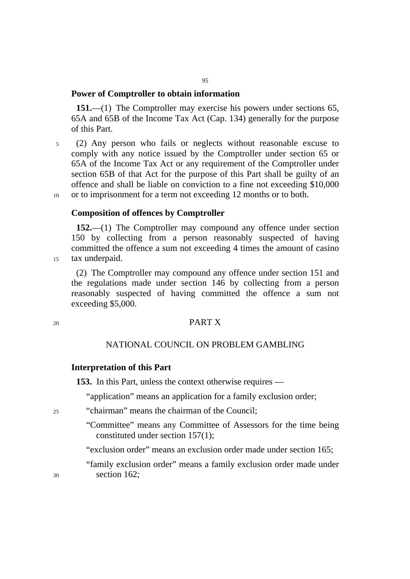# **Power of Comptroller to obtain information**

**151.**—(1) The Comptroller may exercise his powers under sections 65, 65A and 65B of the Income Tax Act (Cap. 134) generally for the purpose of this Part.

5 (2) Any person who fails or neglects without reasonable excuse to comply with any notice issued by the Comptroller under section 65 or 65A of the Income Tax Act or any requirement of the Comptroller under section 65B of that Act for the purpose of this Part shall be guilty of an offence and shall be liable on conviction to a fine not exceeding \$10,000 10 or to imprisonment for a term not exceeding 12 months or to both.

**Composition of offences by Comptroller** 

**152.**—(1) The Comptroller may compound any offence under section 150 by collecting from a person reasonably suspected of having committed the offence a sum not exceeding 4 times the amount of casino 15 tax underpaid.

(2) The Comptroller may compound any offence under section 151 and the regulations made under section 146 by collecting from a person reasonably suspected of having committed the offence a sum not exceeding \$5,000.

## 20 PART X

# NATIONAL COUNCIL ON PROBLEM GAMBLING

# **Interpretation of this Part**

**153.** In this Part, unless the context otherwise requires —

"application" means an application for a family exclusion order;

- 25 "chairman" means the chairman of the Council;
	- "Committee" means any Committee of Assessors for the time being constituted under section 157(1);

"exclusion order" means an exclusion order made under section 165;

"family exclusion order" means a family exclusion order made under 30 section 162;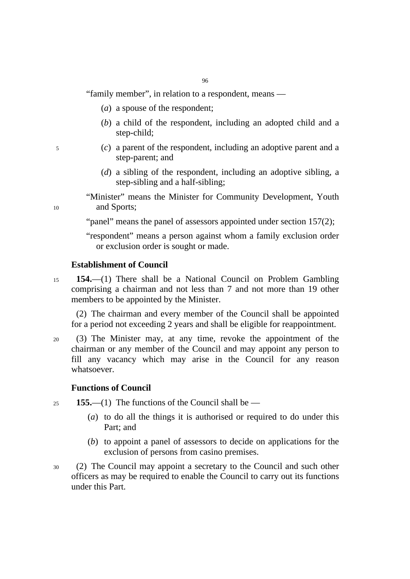"family member", in relation to a respondent, means —

- (*a*) a spouse of the respondent;
- (*b*) a child of the respondent, including an adopted child and a step-child;
- 5 (*c*) a parent of the respondent, including an adoptive parent and a step-parent; and
	- (*d*) a sibling of the respondent, including an adoptive sibling, a step-sibling and a half-sibling;

"Minister" means the Minister for Community Development, Youth 10 and Sports;

"panel" means the panel of assessors appointed under section 157(2);

"respondent" means a person against whom a family exclusion order or exclusion order is sought or made.

# **Establishment of Council**

<sup>15</sup>**154.**—(1) There shall be a National Council on Problem Gambling comprising a chairman and not less than 7 and not more than 19 other members to be appointed by the Minister.

(2) The chairman and every member of the Council shall be appointed for a period not exceeding 2 years and shall be eligible for reappointment.

20 (3) The Minister may, at any time, revoke the appointment of the chairman or any member of the Council and may appoint any person to fill any vacancy which may arise in the Council for any reason whatsoever.

# **Functions of Council**

<sup>25</sup>**155.**—(1) The functions of the Council shall be —

- (*a*) to do all the things it is authorised or required to do under this Part; and
- (*b*) to appoint a panel of assessors to decide on applications for the exclusion of persons from casino premises.
- 30 (2) The Council may appoint a secretary to the Council and such other officers as may be required to enable the Council to carry out its functions under this Part.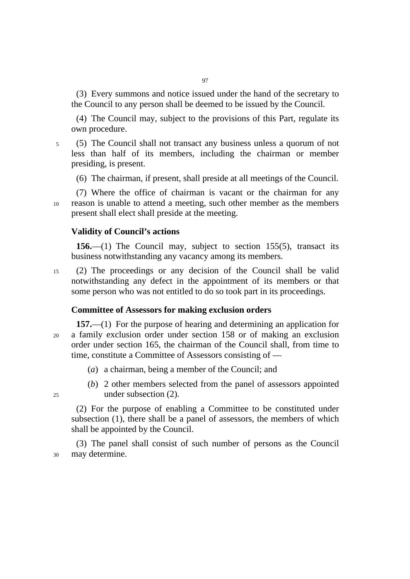(3) Every summons and notice issued under the hand of the secretary to the Council to any person shall be deemed to be issued by the Council.

(4) The Council may, subject to the provisions of this Part, regulate its own procedure.

5 (5) The Council shall not transact any business unless a quorum of not less than half of its members, including the chairman or member presiding, is present.

(6) The chairman, if present, shall preside at all meetings of the Council.

(7) Where the office of chairman is vacant or the chairman for any 10 reason is unable to attend a meeting, such other member as the members present shall elect shall preside at the meeting.

## **Validity of Council's actions**

**156.**—(1) The Council may, subject to section 155(5), transact its business notwithstanding any vacancy among its members.

15 (2) The proceedings or any decision of the Council shall be valid notwithstanding any defect in the appointment of its members or that some person who was not entitled to do so took part in its proceedings.

## **Committee of Assessors for making exclusion orders**

- **157.**—(1) For the purpose of hearing and determining an application for 20 a family exclusion order under section 158 or of making an exclusion order under section 165, the chairman of the Council shall, from time to time, constitute a Committee of Assessors consisting of —
	- (*a*) a chairman, being a member of the Council; and
- (*b*) 2 other members selected from the panel of assessors appointed 25 under subsection (2).

(2) For the purpose of enabling a Committee to be constituted under subsection (1), there shall be a panel of assessors, the members of which shall be appointed by the Council.

(3) The panel shall consist of such number of persons as the Council 30 may determine.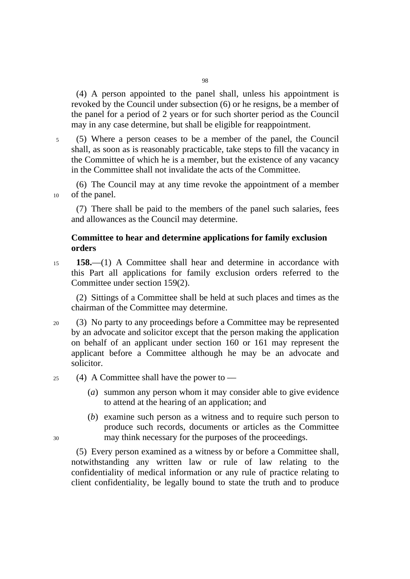(4) A person appointed to the panel shall, unless his appointment is revoked by the Council under subsection (6) or he resigns, be a member of the panel for a period of 2 years or for such shorter period as the Council may in any case determine, but shall be eligible for reappointment.

5 (5) Where a person ceases to be a member of the panel, the Council shall, as soon as is reasonably practicable, take steps to fill the vacancy in the Committee of which he is a member, but the existence of any vacancy in the Committee shall not invalidate the acts of the Committee.

(6) The Council may at any time revoke the appointment of a member 10 of the panel.

(7) There shall be paid to the members of the panel such salaries, fees and allowances as the Council may determine.

# **Committee to hear and determine applications for family exclusion orders**

<sup>15</sup>**158.**—(1) A Committee shall hear and determine in accordance with this Part all applications for family exclusion orders referred to the Committee under section 159(2).

(2) Sittings of a Committee shall be held at such places and times as the chairman of the Committee may determine.

- 20 (3) No party to any proceedings before a Committee may be represented by an advocate and solicitor except that the person making the application on behalf of an applicant under section 160 or 161 may represent the applicant before a Committee although he may be an advocate and solicitor.
- $25$  (4) A Committee shall have the power to  $-$ 
	- (*a*) summon any person whom it may consider able to give evidence to attend at the hearing of an application; and
- (*b*) examine such person as a witness and to require such person to produce such records, documents or articles as the Committee 30 may think necessary for the purposes of the proceedings.

(5) Every person examined as a witness by or before a Committee shall, notwithstanding any written law or rule of law relating to the confidentiality of medical information or any rule of practice relating to client confidentiality, be legally bound to state the truth and to produce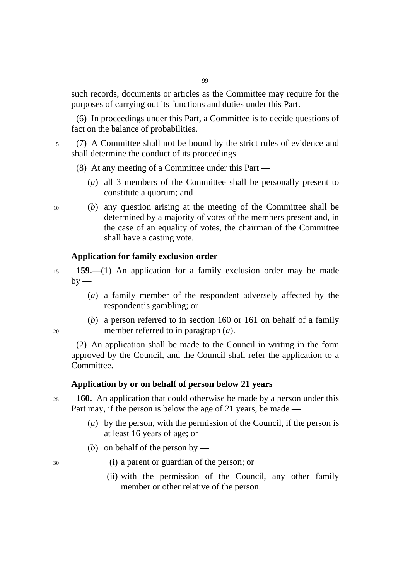such records, documents or articles as the Committee may require for the purposes of carrying out its functions and duties under this Part.

(6) In proceedings under this Part, a Committee is to decide questions of fact on the balance of probabilities.

5 (7) A Committee shall not be bound by the strict rules of evidence and shall determine the conduct of its proceedings.

(8) At any meeting of a Committee under this Part —

- (*a*) all 3 members of the Committee shall be personally present to constitute a quorum; and
- 10 (*b*) any question arising at the meeting of the Committee shall be determined by a majority of votes of the members present and, in the case of an equality of votes, the chairman of the Committee shall have a casting vote.

## **Application for family exclusion order**

<sup>15</sup>**159.**—(1) An application for a family exclusion order may be made  $by -$ 

- (*a*) a family member of the respondent adversely affected by the respondent's gambling; or
- (*b*) a person referred to in section 160 or 161 on behalf of a family 20 member referred to in paragraph (*a*).

(2) An application shall be made to the Council in writing in the form approved by the Council, and the Council shall refer the application to a Committee.

## **Application by or on behalf of person below 21 years**

<sup>25</sup>**160.** An application that could otherwise be made by a person under this Part may, if the person is below the age of 21 years, be made —

- (*a*) by the person, with the permission of the Council, if the person is at least 16 years of age; or
- (*b*) on behalf of the person by —
- 30 (i) a parent or guardian of the person; or
	- (ii) with the permission of the Council, any other family member or other relative of the person.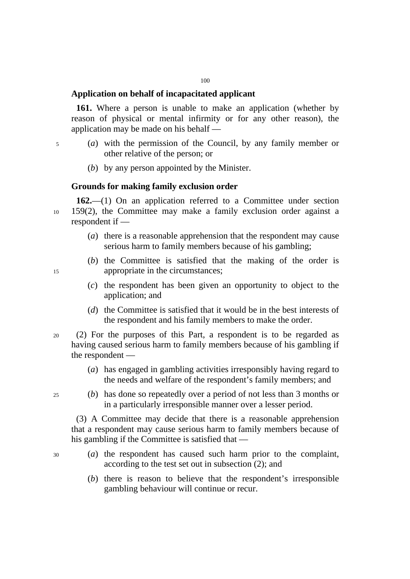# **Application on behalf of incapacitated applicant**

**161.** Where a person is unable to make an application (whether by reason of physical or mental infirmity or for any other reason), the application may be made on his behalf —

- 5 (*a*) with the permission of the Council, by any family member or other relative of the person; or
	- (*b*) by any person appointed by the Minister.

# **Grounds for making family exclusion order**

**162.**—(1) On an application referred to a Committee under section 10 159(2), the Committee may make a family exclusion order against a respondent if —

- (*a*) there is a reasonable apprehension that the respondent may cause serious harm to family members because of his gambling;
- (*b*) the Committee is satisfied that the making of the order is 15 appropriate in the circumstances;

- (*c*) the respondent has been given an opportunity to object to the application; and
- (*d*) the Committee is satisfied that it would be in the best interests of the respondent and his family members to make the order.
- 20 (2) For the purposes of this Part, a respondent is to be regarded as having caused serious harm to family members because of his gambling if the respondent —
	- (*a*) has engaged in gambling activities irresponsibly having regard to the needs and welfare of the respondent's family members; and
- 25 (*b*) has done so repeatedly over a period of not less than 3 months or in a particularly irresponsible manner over a lesser period.

(3) A Committee may decide that there is a reasonable apprehension that a respondent may cause serious harm to family members because of his gambling if the Committee is satisfied that —

- 30 (*a*) the respondent has caused such harm prior to the complaint, according to the test set out in subsection (2); and
	- (*b*) there is reason to believe that the respondent's irresponsible gambling behaviour will continue or recur.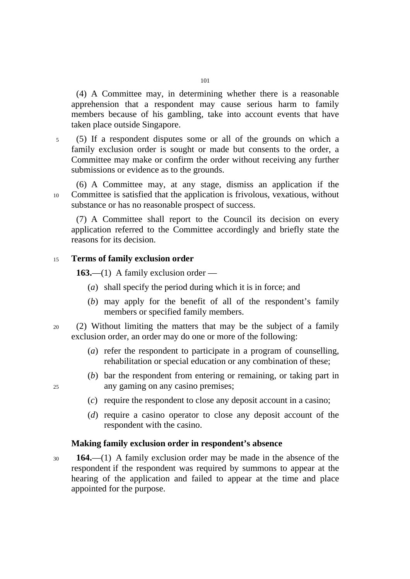(4) A Committee may, in determining whether there is a reasonable apprehension that a respondent may cause serious harm to family members because of his gambling, take into account events that have taken place outside Singapore.

5 (5) If a respondent disputes some or all of the grounds on which a family exclusion order is sought or made but consents to the order, a Committee may make or confirm the order without receiving any further submissions or evidence as to the grounds.

(6) A Committee may, at any stage, dismiss an application if the 10 Committee is satisfied that the application is frivolous, vexatious, without substance or has no reasonable prospect of success.

(7) A Committee shall report to the Council its decision on every application referred to the Committee accordingly and briefly state the reasons for its decision.

# <sup>15</sup>**Terms of family exclusion order**

**163.**—(1) A family exclusion order —

- (*a*) shall specify the period during which it is in force; and
- (*b*) may apply for the benefit of all of the respondent's family members or specified family members.
- 20 (2) Without limiting the matters that may be the subject of a family exclusion order, an order may do one or more of the following:
	- (*a*) refer the respondent to participate in a program of counselling, rehabilitation or special education or any combination of these;
- (*b*) bar the respondent from entering or remaining, or taking part in 25 any gaming on any casino premises;

- (*c*) require the respondent to close any deposit account in a casino;
- (*d*) require a casino operator to close any deposit account of the respondent with the casino.

## **Making family exclusion order in respondent's absence**

<sup>30</sup>**164.**—(1) A family exclusion order may be made in the absence of the respondent if the respondent was required by summons to appear at the hearing of the application and failed to appear at the time and place appointed for the purpose.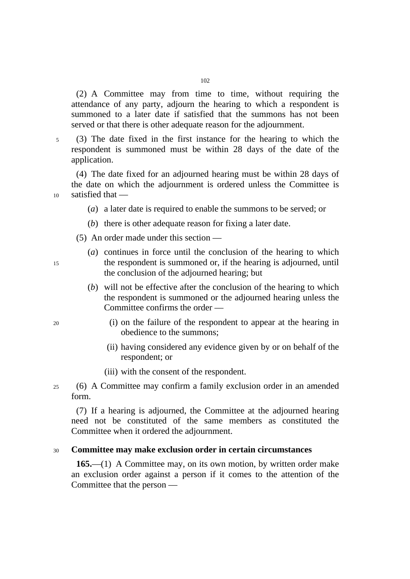(2) A Committee may from time to time, without requiring the attendance of any party, adjourn the hearing to which a respondent is summoned to a later date if satisfied that the summons has not been served or that there is other adequate reason for the adjournment.

5 (3) The date fixed in the first instance for the hearing to which the respondent is summoned must be within 28 days of the date of the application.

(4) The date fixed for an adjourned hearing must be within 28 days of the date on which the adjournment is ordered unless the Committee is 10 satisfied that —

- (*a*) a later date is required to enable the summons to be served; or
- (*b*) there is other adequate reason for fixing a later date.
- (5) An order made under this section —
- (*a*) continues in force until the conclusion of the hearing to which 15 the respondent is summoned or, if the hearing is adjourned, until the conclusion of the adjourned hearing; but
	- (*b*) will not be effective after the conclusion of the hearing to which the respondent is summoned or the adjourned hearing unless the Committee confirms the order —
- 20 (i) on the failure of the respondent to appear at the hearing in obedience to the summons;
	- (ii) having considered any evidence given by or on behalf of the respondent; or
	- (iii) with the consent of the respondent.
- 25 (6) A Committee may confirm a family exclusion order in an amended form.

(7) If a hearing is adjourned, the Committee at the adjourned hearing need not be constituted of the same members as constituted the Committee when it ordered the adjournment.

# <sup>30</sup>**Committee may make exclusion order in certain circumstances**

**165.**—(1) A Committee may, on its own motion, by written order make an exclusion order against a person if it comes to the attention of the Committee that the person ––

- 
-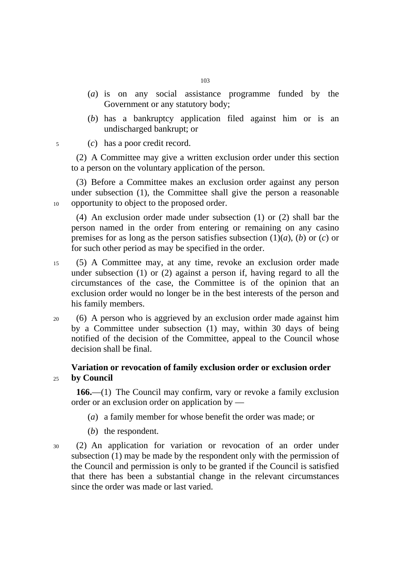- (*a*) is on any social assistance programme funded by the Government or any statutory body;
- (*b*) has a bankruptcy application filed against him or is an undischarged bankrupt; or
- 5 (*c*) has a poor credit record.

(2) A Committee may give a written exclusion order under this section to a person on the voluntary application of the person.

(3) Before a Committee makes an exclusion order against any person under subsection (1), the Committee shall give the person a reasonable 10 opportunity to object to the proposed order.

(4) An exclusion order made under subsection (1) or (2) shall bar the person named in the order from entering or remaining on any casino premises for as long as the person satisfies subsection  $(1)(a)$ ,  $(b)$  or  $(c)$  or for such other period as may be specified in the order.

- 15 (5) A Committee may, at any time, revoke an exclusion order made under subsection (1) or (2) against a person if, having regard to all the circumstances of the case, the Committee is of the opinion that an exclusion order would no longer be in the best interests of the person and his family members.
- 20 (6) A person who is aggrieved by an exclusion order made against him by a Committee under subsection (1) may, within 30 days of being notified of the decision of the Committee, appeal to the Council whose decision shall be final.

# **Variation or revocation of family exclusion order or exclusion order**  <sup>25</sup>**by Council**

**166.**—(1) The Council may confirm, vary or revoke a family exclusion order or an exclusion order on application by —

- (*a*) a family member for whose benefit the order was made; or
- (*b*) the respondent.
- 30 (2) An application for variation or revocation of an order under subsection (1) may be made by the respondent only with the permission of the Council and permission is only to be granted if the Council is satisfied that there has been a substantial change in the relevant circumstances since the order was made or last varied.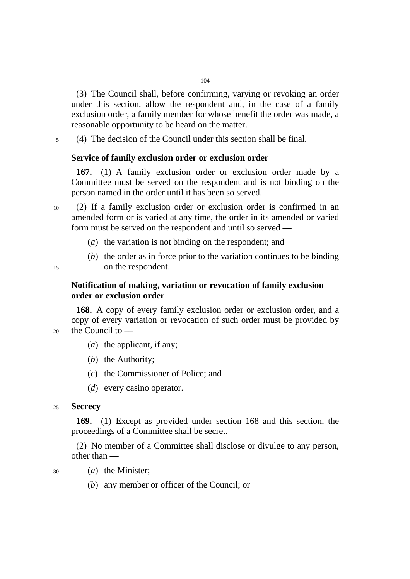(3) The Council shall, before confirming, varying or revoking an order under this section, allow the respondent and, in the case of a family exclusion order, a family member for whose benefit the order was made, a reasonable opportunity to be heard on the matter.

5 (4) The decision of the Council under this section shall be final.

### **Service of family exclusion order or exclusion order**

**167.**—(1) A family exclusion order or exclusion order made by a Committee must be served on the respondent and is not binding on the person named in the order until it has been so served.

10 (2) If a family exclusion order or exclusion order is confirmed in an amended form or is varied at any time, the order in its amended or varied form must be served on the respondent and until so served —

- (*a*) the variation is not binding on the respondent; and
- (*b*) the order as in force prior to the variation continues to be binding 15 on the respondent.

# **Notification of making, variation or revocation of family exclusion order or exclusion order**

**168.** A copy of every family exclusion order or exclusion order, and a copy of every variation or revocation of such order must be provided by 20 the Council to ––

- (*a*) the applicant, if any;
- (*b*) the Authority;
- (*c*) the Commissioner of Police; and
- (*d*) every casino operator.

### <sup>25</sup>**Secrecy**

**169.**—(1) Except as provided under section 168 and this section, the proceedings of a Committee shall be secret.

(2) No member of a Committee shall disclose or divulge to any person, other than ––

- 
- 30 (*a*) the Minister;
	- (*b*) any member or officer of the Council; or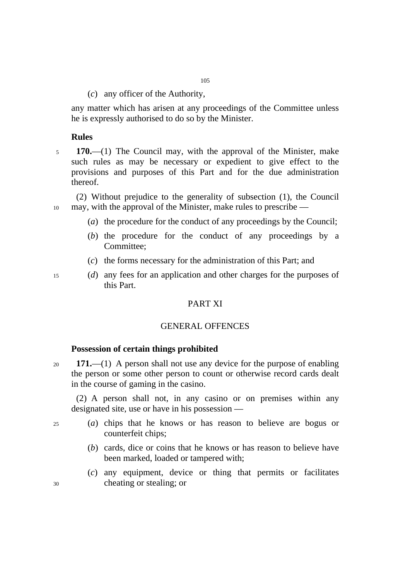(*c*) any officer of the Authority,

any matter which has arisen at any proceedings of the Committee unless he is expressly authorised to do so by the Minister.

### **Rules**

<sup>5</sup>**170.**––(1) The Council may, with the approval of the Minister, make such rules as may be necessary or expedient to give effect to the provisions and purposes of this Part and for the due administration thereof.

(2) Without prejudice to the generality of subsection (1), the Council 10 may, with the approval of the Minister, make rules to prescribe —

- (*a*) the procedure for the conduct of any proceedings by the Council;
- (*b*) the procedure for the conduct of any proceedings by a Committee;
- (*c*) the forms necessary for the administration of this Part; and

15 (*d*) any fees for an application and other charges for the purposes of this Part.

# PART XI

### GENERAL OFFENCES

# **Possession of certain things prohibited**

<sup>20</sup>**171.**—(1) A person shall not use any device for the purpose of enabling the person or some other person to count or otherwise record cards dealt in the course of gaming in the casino.

(2) A person shall not, in any casino or on premises within any designated site, use or have in his possession —

- 25 (*a*) chips that he knows or has reason to believe are bogus or counterfeit chips;
	- (*b*) cards, dice or coins that he knows or has reason to believe have been marked, loaded or tampered with;
- (*c*) any equipment, device or thing that permits or facilitates 30 cheating or stealing; or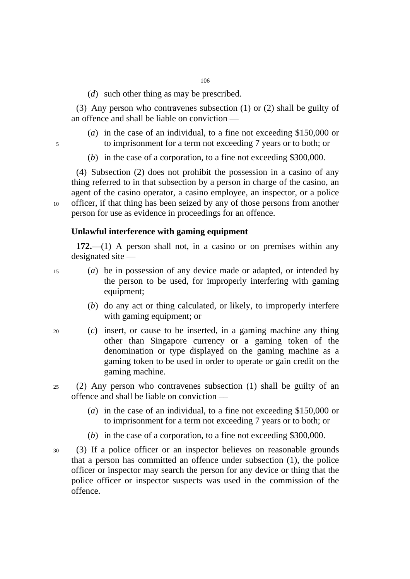(*d*) such other thing as may be prescribed.

(3) Any person who contravenes subsection (1) or (2) shall be guilty of an offence and shall be liable on conviction ––

- (*a*) in the case of an individual, to a fine not exceeding \$150,000 or 5 to imprisonment for a term not exceeding 7 years or to both; or
- 
- (*b*) in the case of a corporation, to a fine not exceeding \$300,000.

(4) Subsection (2) does not prohibit the possession in a casino of any thing referred to in that subsection by a person in charge of the casino, an agent of the casino operator, a casino employee, an inspector, or a police 10 officer, if that thing has been seized by any of those persons from another person for use as evidence in proceedings for an offence.

## **Unlawful interference with gaming equipment**

**172.**—(1) A person shall not, in a casino or on premises within any designated site —

- 15 (*a*) be in possession of any device made or adapted, or intended by the person to be used, for improperly interfering with gaming equipment;
	- (*b*) do any act or thing calculated, or likely, to improperly interfere with gaming equipment; or
- 20 (*c*) insert, or cause to be inserted, in a gaming machine any thing other than Singapore currency or a gaming token of the denomination or type displayed on the gaming machine as a gaming token to be used in order to operate or gain credit on the gaming machine.
- 25 (2) Any person who contravenes subsection (1) shall be guilty of an offence and shall be liable on conviction ––
	- (*a*) in the case of an individual, to a fine not exceeding \$150,000 or to imprisonment for a term not exceeding 7 years or to both; or
	- (*b*) in the case of a corporation, to a fine not exceeding \$300,000.
- 30 (3) If a police officer or an inspector believes on reasonable grounds that a person has committed an offence under subsection (1), the police officer or inspector may search the person for any device or thing that the police officer or inspector suspects was used in the commission of the offence.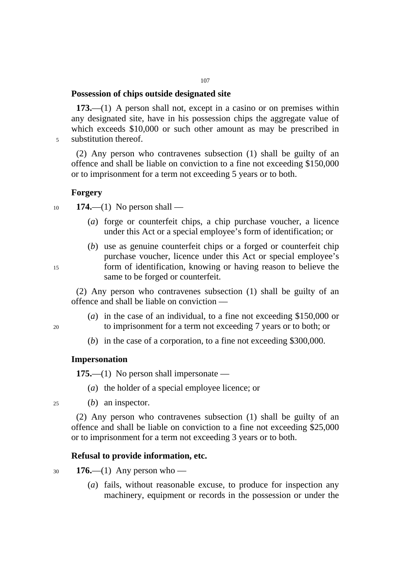# **Possession of chips outside designated site**

**173.**—(1) A person shall not, except in a casino or on premises within any designated site, have in his possession chips the aggregate value of which exceeds \$10,000 or such other amount as may be prescribed in 5 substitution thereof.

(2) Any person who contravenes subsection (1) shall be guilty of an offence and shall be liable on conviction to a fine not exceeding \$150,000 or to imprisonment for a term not exceeding 5 years or to both.

### **Forgery**

<sup>10</sup>**174.**—(1) No person shall —

- (*a*) forge or counterfeit chips, a chip purchase voucher, a licence under this Act or a special employee's form of identification; or
- (*b*) use as genuine counterfeit chips or a forged or counterfeit chip purchase voucher, licence under this Act or special employee's 15 form of identification, knowing or having reason to believe the same to be forged or counterfeit.

(2) Any person who contravenes subsection (1) shall be guilty of an offence and shall be liable on conviction ––

- (*a*) in the case of an individual, to a fine not exceeding \$150,000 or 20 to imprisonment for a term not exceeding 7 years or to both; or
	- (*b*) in the case of a corporation, to a fine not exceeding \$300,000.

# **Impersonation**

**175.**—(1) No person shall impersonate —

(*a*) the holder of a special employee licence; or

25 (*b*) an inspector.

(2) Any person who contravenes subsection (1) shall be guilty of an offence and shall be liable on conviction to a fine not exceeding \$25,000 or to imprisonment for a term not exceeding 3 years or to both.

# **Refusal to provide information, etc.**

<sup>30</sup>**176.**—(1) Any person who ––

(*a*) fails, without reasonable excuse, to produce for inspection any machinery, equipment or records in the possession or under the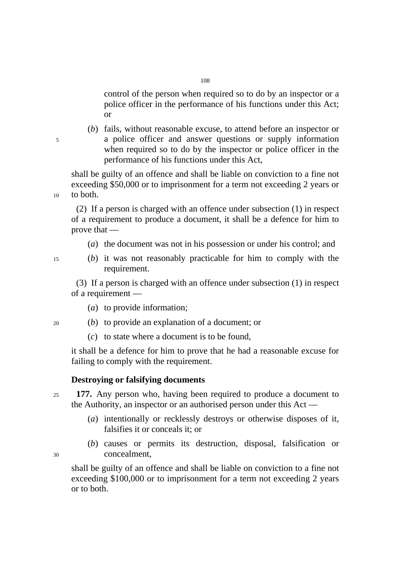control of the person when required so to do by an inspector or a police officer in the performance of his functions under this Act; or

(*b*) fails, without reasonable excuse, to attend before an inspector or 5 a police officer and answer questions or supply information when required so to do by the inspector or police officer in the performance of his functions under this Act,

shall be guilty of an offence and shall be liable on conviction to a fine not exceeding \$50,000 or to imprisonment for a term not exceeding 2 years or 10 to both.

(2) If a person is charged with an offence under subsection (1) in respect of a requirement to produce a document, it shall be a defence for him to prove that —

- (*a*) the document was not in his possession or under his control; and
- 
- 15 (*b*) it was not reasonably practicable for him to comply with the requirement.

(3) If a person is charged with an offence under subsection (1) in respect of a requirement —

- (*a*) to provide information;
- 20 (*b*) to provide an explanation of a document; or
	- (*c*) to state where a document is to be found,

it shall be a defence for him to prove that he had a reasonable excuse for failing to comply with the requirement.

## **Destroying or falsifying documents**

- <sup>25</sup>**177.** Any person who, having been required to produce a document to the Authority, an inspector or an authorised person under this Act —
	- (*a*) intentionally or recklessly destroys or otherwise disposes of it, falsifies it or conceals it; or
- (*b*) causes or permits its destruction, disposal, falsification or 30 concealment,

shall be guilty of an offence and shall be liable on conviction to a fine not exceeding \$100,000 or to imprisonment for a term not exceeding 2 years or to both.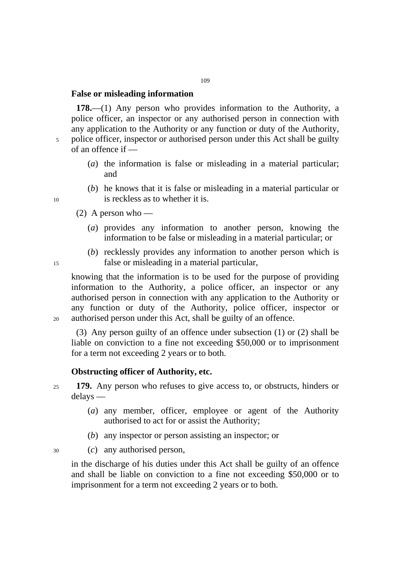# **False or misleading information**

**178.**—(1) Any person who provides information to the Authority, a police officer, an inspector or any authorised person in connection with any application to the Authority or any function or duty of the Authority, 5 police officer, inspector or authorised person under this Act shall be guilty of an offence if —

- (*a*) the information is false or misleading in a material particular; and
- (*b*) he knows that it is false or misleading in a material particular or 10 is reckless as to whether it is.
	- (2) A person who
		- (*a*) provides any information to another person, knowing the information to be false or misleading in a material particular; or
- (*b*) recklessly provides any information to another person which is 15 false or misleading in a material particular,

knowing that the information is to be used for the purpose of providing information to the Authority, a police officer, an inspector or any authorised person in connection with any application to the Authority or any function or duty of the Authority, police officer, inspector or 20 authorised person under this Act, shall be guilty of an offence.

(3) Any person guilty of an offence under subsection (1) or (2) shall be liable on conviction to a fine not exceeding \$50,000 or to imprisonment for a term not exceeding 2 years or to both.

### **Obstructing officer of Authority, etc.**

- <sup>25</sup>**179.** Any person who refuses to give access to, or obstructs, hinders or delays ––
	- (*a*) any member, officer, employee or agent of the Authority authorised to act for or assist the Authority;
	- (*b*) any inspector or person assisting an inspector; or

30 (*c*) any authorised person,

in the discharge of his duties under this Act shall be guilty of an offence and shall be liable on conviction to a fine not exceeding \$50,000 or to imprisonment for a term not exceeding 2 years or to both.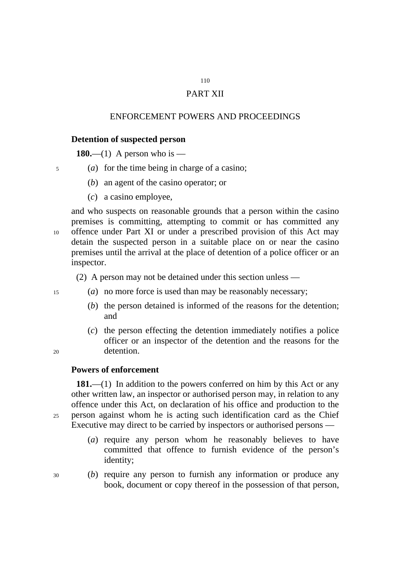# 110 PART XII

# ENFORCEMENT POWERS AND PROCEEDINGS

# **Detention of suspected person**

**180.—(1)** A person who is —

- 5 (*a*) for the time being in charge of a casino;
	- (*b*) an agent of the casino operator; or
	- (*c*) a casino employee,

and who suspects on reasonable grounds that a person within the casino premises is committing, attempting to commit or has committed any 10 offence under Part XI or under a prescribed provision of this Act may detain the suspected person in a suitable place on or near the casino premises until the arrival at the place of detention of a police officer or an inspector.

(2) A person may not be detained under this section unless —

- 
- 15 (*a*) no more force is used than may be reasonably necessary;
	- (*b*) the person detained is informed of the reasons for the detention; and
- (*c*) the person effecting the detention immediately notifies a police officer or an inspector of the detention and the reasons for the 20 detention.

### **Powers of enforcement**

**181.**—(1) In addition to the powers conferred on him by this Act or any other written law, an inspector or authorised person may, in relation to any offence under this Act, on declaration of his office and production to the 25 person against whom he is acting such identification card as the Chief Executive may direct to be carried by inspectors or authorised persons —

> (*a*) require any person whom he reasonably believes to have committed that offence to furnish evidence of the person's identity;

30 (*b*) require any person to furnish any information or produce any book, document or copy thereof in the possession of that person,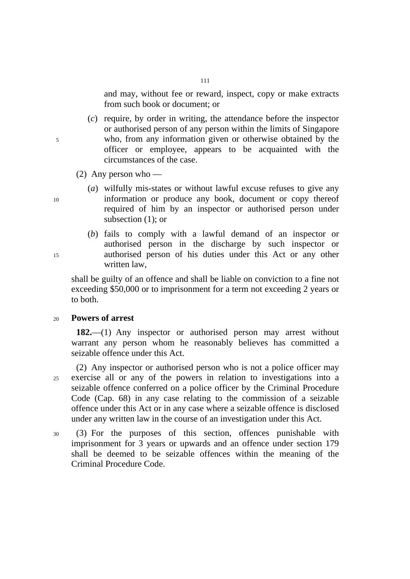and may, without fee or reward, inspect, copy or make extracts from such book or document; or

(*c*) require, by order in writing, the attendance before the inspector or authorised person of any person within the limits of Singapore 5 who, from any information given or otherwise obtained by the officer or employee, appears to be acquainted with the circumstances of the case.

- (2) Any person who —
- (*a*) wilfully mis-states or without lawful excuse refuses to give any 10 information or produce any book, document or copy thereof required of him by an inspector or authorised person under subsection (1); or
- (*b*) fails to comply with a lawful demand of an inspector or authorised person in the discharge by such inspector or 15 authorised person of his duties under this Act or any other written law,

shall be guilty of an offence and shall be liable on conviction to a fine not exceeding \$50,000 or to imprisonment for a term not exceeding 2 years or to both.

# <sup>20</sup>**Powers of arrest**

**182.**—(1) Any inspector or authorised person may arrest without warrant any person whom he reasonably believes has committed a seizable offence under this Act.

(2) Any inspector or authorised person who is not a police officer may 25 exercise all or any of the powers in relation to investigations into a seizable offence conferred on a police officer by the Criminal Procedure Code (Cap. 68) in any case relating to the commission of a seizable offence under this Act or in any case where a seizable offence is disclosed under any written law in the course of an investigation under this Act.

30 (3) For the purposes of this section, offences punishable with imprisonment for 3 years or upwards and an offence under section 179 shall be deemed to be seizable offences within the meaning of the Criminal Procedure Code.

111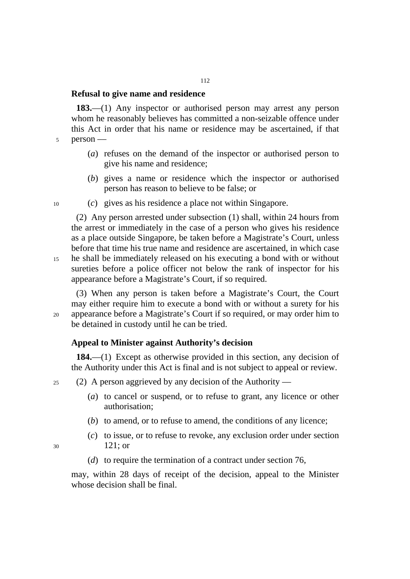### **Refusal to give name and residence**

**183.**—(1) Any inspector or authorised person may arrest any person whom he reasonably believes has committed a non-seizable offence under this Act in order that his name or residence may be ascertained, if that 5 person ––

- (*a*) refuses on the demand of the inspector or authorised person to give his name and residence;
- (*b*) gives a name or residence which the inspector or authorised person has reason to believe to be false; or
- 10 (*c*) gives as his residence a place not within Singapore.

(2) Any person arrested under subsection (1) shall, within 24 hours from the arrest or immediately in the case of a person who gives his residence as a place outside Singapore, be taken before a Magistrate's Court, unless before that time his true name and residence are ascertained, in which case 15 he shall be immediately released on his executing a bond with or without sureties before a police officer not below the rank of inspector for his

(3) When any person is taken before a Magistrate's Court, the Court may either require him to execute a bond with or without a surety for his 20 appearance before a Magistrate's Court if so required, or may order him to be detained in custody until he can be tried.

### **Appeal to Minister against Authority's decision**

appearance before a Magistrate's Court, if so required.

**184.**—(1) Except as otherwise provided in this section, any decision of the Authority under this Act is final and is not subject to appeal or review.

 $25$  (2) A person aggrieved by any decision of the Authority —

- (*a*) to cancel or suspend, or to refuse to grant, any licence or other authorisation;
- (*b*) to amend, or to refuse to amend, the conditions of any licence;
- (*c*) to issue, or to refuse to revoke, any exclusion order under section 30 121; or
- 
- (*d*) to require the termination of a contract under section 76,

may, within 28 days of receipt of the decision, appeal to the Minister whose decision shall be final.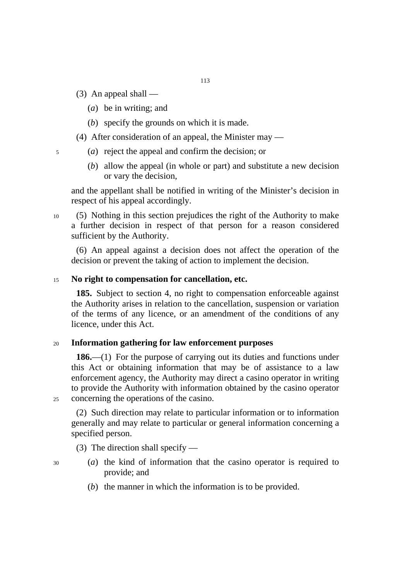- $(3)$  An appeal shall
	- (*a*) be in writing; and
	- (*b*) specify the grounds on which it is made.
- (4) After consideration of an appeal, the Minister may —
- 5 (*a*) reject the appeal and confirm the decision; or
	- (*b*) allow the appeal (in whole or part) and substitute a new decision or vary the decision,

and the appellant shall be notified in writing of the Minister's decision in respect of his appeal accordingly.

10 (5) Nothing in this section prejudices the right of the Authority to make a further decision in respect of that person for a reason considered sufficient by the Authority.

(6) An appeal against a decision does not affect the operation of the decision or prevent the taking of action to implement the decision.

### <sup>15</sup>**No right to compensation for cancellation, etc.**

**185.** Subject to section 4, no right to compensation enforceable against the Authority arises in relation to the cancellation, suspension or variation of the terms of any licence, or an amendment of the conditions of any licence, under this Act.

### <sup>20</sup>**Information gathering for law enforcement purposes**

**186.**—(1) For the purpose of carrying out its duties and functions under this Act or obtaining information that may be of assistance to a law enforcement agency, the Authority may direct a casino operator in writing to provide the Authority with information obtained by the casino operator 25 concerning the operations of the casino.

(2) Such direction may relate to particular information or to information generally and may relate to particular or general information concerning a specified person.

(3) The direction shall specify —

- 
- 30 (*a*) the kind of information that the casino operator is required to provide; and
	- (*b*) the manner in which the information is to be provided.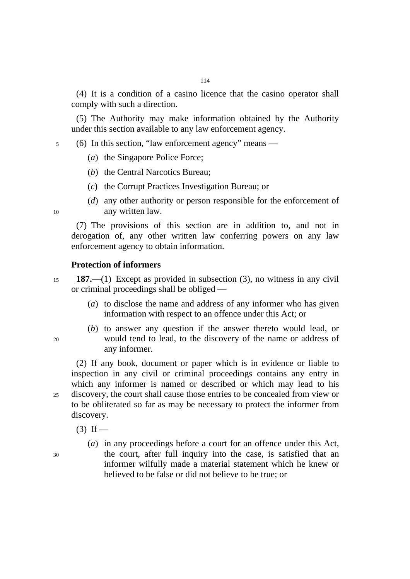(4) It is a condition of a casino licence that the casino operator shall comply with such a direction.

(5) The Authority may make information obtained by the Authority under this section available to any law enforcement agency.

- 5 (6) In this section, "law enforcement agency" means
	- (*a*) the Singapore Police Force;
	- (*b*) the Central Narcotics Bureau;
	- (*c*) the Corrupt Practices Investigation Bureau; or
- (*d*) any other authority or person responsible for the enforcement of 10 any written law.

(7) The provisions of this section are in addition to, and not in derogation of, any other written law conferring powers on any law enforcement agency to obtain information.

### **Protection of informers**

- <sup>15</sup>**187.**—(1) Except as provided in subsection (3), no witness in any civil or criminal proceedings shall be obliged —
	- (*a*) to disclose the name and address of any informer who has given information with respect to an offence under this Act; or
- (*b*) to answer any question if the answer thereto would lead, or 20 would tend to lead, to the discovery of the name or address of any informer.

(2) If any book, document or paper which is in evidence or liable to inspection in any civil or criminal proceedings contains any entry in which any informer is named or described or which may lead to his 25 discovery, the court shall cause those entries to be concealed from view or to be obliterated so far as may be necessary to protect the informer from discovery.

 $(3)$  If —

(*a*) in any proceedings before a court for an offence under this Act, 30 the court, after full inquiry into the case, is satisfied that an informer wilfully made a material statement which he knew or believed to be false or did not believe to be true; or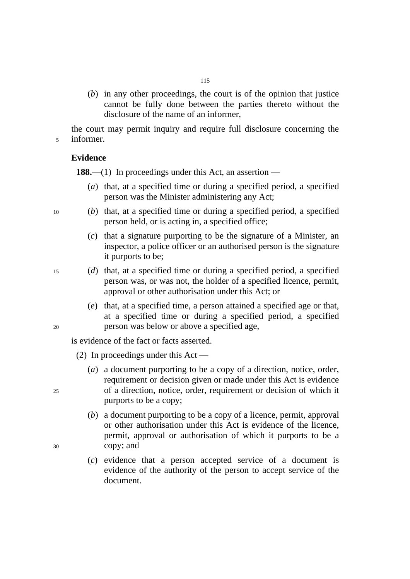(*b*) in any other proceedings, the court is of the opinion that justice cannot be fully done between the parties thereto without the disclosure of the name of an informer,

the court may permit inquiry and require full disclosure concerning the 5 informer.

# **Evidence**

**188.—(1)** In proceedings under this Act, an assertion —

- (*a*) that, at a specified time or during a specified period, a specified person was the Minister administering any Act;
- 10 (*b*) that, at a specified time or during a specified period, a specified person held, or is acting in, a specified office;
	- (*c*) that a signature purporting to be the signature of a Minister, an inspector, a police officer or an authorised person is the signature it purports to be;
- 15 (*d*) that, at a specified time or during a specified period, a specified person was, or was not, the holder of a specified licence, permit, approval or other authorisation under this Act; or
- (*e*) that, at a specified time, a person attained a specified age or that, at a specified time or during a specified period, a specified 20 person was below or above a specified age,

is evidence of the fact or facts asserted.

- (2) In proceedings under this Act —
- (*a*) a document purporting to be a copy of a direction, notice, order, requirement or decision given or made under this Act is evidence 25 of a direction, notice, order, requirement or decision of which it purports to be a copy;
- (*b*) a document purporting to be a copy of a licence, permit, approval or other authorisation under this Act is evidence of the licence, permit, approval or authorisation of which it purports to be a 30 copy; and
	- (*c*) evidence that a person accepted service of a document is evidence of the authority of the person to accept service of the document.
- 
-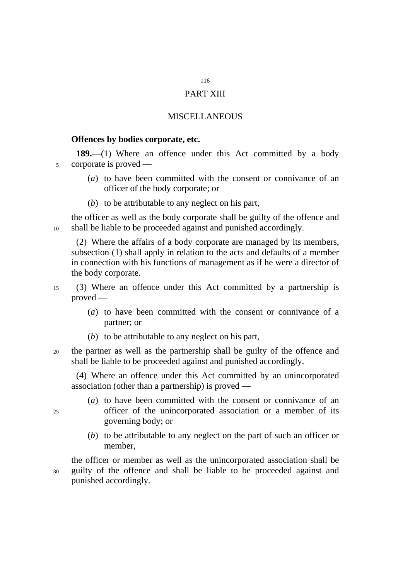# PART XIII

# MISCELLANEOUS

### **Offences by bodies corporate, etc.**

**189.**—(1) Where an offence under this Act committed by a body 5 corporate is proved —

- (*a*) to have been committed with the consent or connivance of an officer of the body corporate; or
- (*b*) to be attributable to any neglect on his part,

the officer as well as the body corporate shall be guilty of the offence and 10 shall be liable to be proceeded against and punished accordingly.

(2) Where the affairs of a body corporate are managed by its members, subsection (1) shall apply in relation to the acts and defaults of a member in connection with his functions of management as if he were a director of the body corporate.

15 (3) Where an offence under this Act committed by a partnership is proved —

- (*a*) to have been committed with the consent or connivance of a partner; or
- (*b*) to be attributable to any neglect on his part,
- 20 the partner as well as the partnership shall be guilty of the offence and shall be liable to be proceeded against and punished accordingly.

(4) Where an offence under this Act committed by an unincorporated association (other than a partnership) is proved —

- (*a*) to have been committed with the consent or connivance of an 25 officer of the unincorporated association or a member of its governing body; or
	- (*b*) to be attributable to any neglect on the part of such an officer or member,

the officer or member as well as the unincorporated association shall be 30 guilty of the offence and shall be liable to be proceeded against and punished accordingly.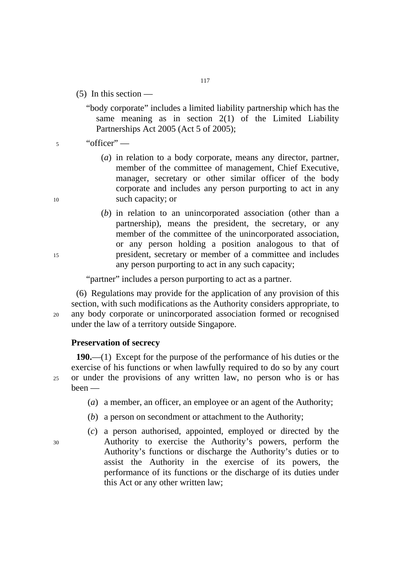$(5)$  In this section —

"body corporate" includes a limited liability partnership which has the same meaning as in section  $2(1)$  of the Limited Liability Partnerships Act 2005 (Act 5 of 2005);

# 5 "officer" —

- (*a*) in relation to a body corporate, means any director, partner, member of the committee of management, Chief Executive, manager, secretary or other similar officer of the body corporate and includes any person purporting to act in any 10 such capacity; or
- (*b*) in relation to an unincorporated association (other than a partnership), means the president, the secretary, or any member of the committee of the unincorporated association, or any person holding a position analogous to that of 15 president, secretary or member of a committee and includes any person purporting to act in any such capacity;

"partner" includes a person purporting to act as a partner.

(6) Regulations may provide for the application of any provision of this section, with such modifications as the Authority considers appropriate, to 20 any body corporate or unincorporated association formed or recognised under the law of a territory outside Singapore.

### **Preservation of secrecy**

**190.**—(1) Except for the purpose of the performance of his duties or the exercise of his functions or when lawfully required to do so by any court 25 or under the provisions of any written law, no person who is or has been —

- (*a*) a member, an officer, an employee or an agent of the Authority;
- (*b*) a person on secondment or attachment to the Authority;
- (*c*) a person authorised, appointed, employed or directed by the 30 Authority to exercise the Authority's powers, perform the Authority's functions or discharge the Authority's duties or to assist the Authority in the exercise of its powers, the performance of its functions or the discharge of its duties under this Act or any other written law;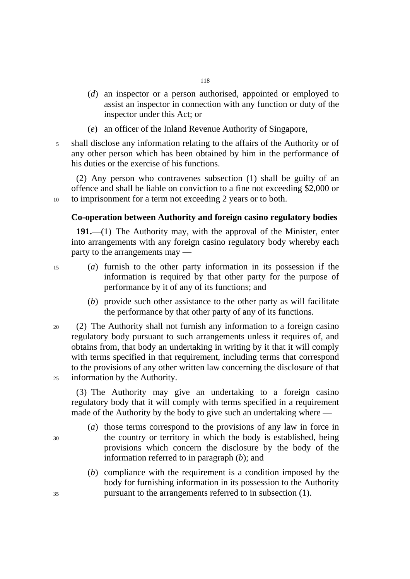- (*d*) an inspector or a person authorised, appointed or employed to assist an inspector in connection with any function or duty of the inspector under this Act; or
- (*e*) an officer of the Inland Revenue Authority of Singapore,
- 5 shall disclose any information relating to the affairs of the Authority or of any other person which has been obtained by him in the performance of his duties or the exercise of his functions.

(2) Any person who contravenes subsection (1) shall be guilty of an offence and shall be liable on conviction to a fine not exceeding \$2,000 or 10 to imprisonment for a term not exceeding 2 years or to both.

# **Co-operation between Authority and foreign casino regulatory bodies**

**191.**—(1) The Authority may, with the approval of the Minister, enter into arrangements with any foreign casino regulatory body whereby each party to the arrangements may —

- 
- 15 (*a*) furnish to the other party information in its possession if the information is required by that other party for the purpose of performance by it of any of its functions; and
	- (*b*) provide such other assistance to the other party as will facilitate the performance by that other party of any of its functions.
- 20 (2) The Authority shall not furnish any information to a foreign casino regulatory body pursuant to such arrangements unless it requires of, and obtains from, that body an undertaking in writing by it that it will comply with terms specified in that requirement, including terms that correspond to the provisions of any other written law concerning the disclosure of that 25 information by the Authority.

(3) The Authority may give an undertaking to a foreign casino regulatory body that it will comply with terms specified in a requirement made of the Authority by the body to give such an undertaking where —

- (*a*) those terms correspond to the provisions of any law in force in 30 the country or territory in which the body is established, being provisions which concern the disclosure by the body of the information referred to in paragraph (*b*); and
- (*b*) compliance with the requirement is a condition imposed by the body for furnishing information in its possession to the Authority 35 pursuant to the arrangements referred to in subsection (1).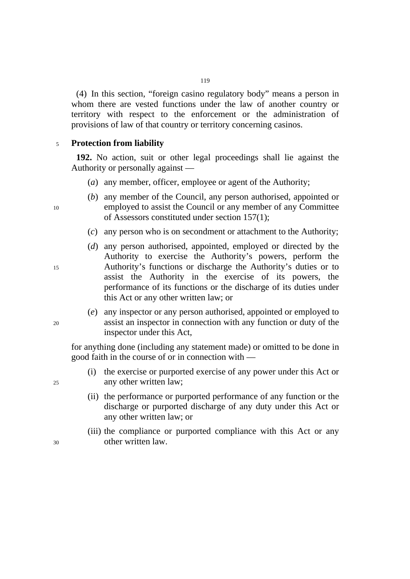(4) In this section, "foreign casino regulatory body" means a person in whom there are vested functions under the law of another country or territory with respect to the enforcement or the administration of provisions of law of that country or territory concerning casinos.

# <sup>5</sup>**Protection from liability**

**192.** No action, suit or other legal proceedings shall lie against the Authority or personally against —

- (*a*) any member, officer, employee or agent of the Authority;
- (*b*) any member of the Council, any person authorised, appointed or 10 employed to assist the Council or any member of any Committee of Assessors constituted under section 157(1);
	- (*c*) any person who is on secondment or attachment to the Authority;
- (*d*) any person authorised, appointed, employed or directed by the Authority to exercise the Authority's powers, perform the 15 Authority's functions or discharge the Authority's duties or to assist the Authority in the exercise of its powers, the performance of its functions or the discharge of its duties under this Act or any other written law; or
- (*e*) any inspector or any person authorised, appointed or employed to 20 assist an inspector in connection with any function or duty of the inspector under this Act,

for anything done (including any statement made) or omitted to be done in good faith in the course of or in connection with —

- (i) the exercise or purported exercise of any power under this Act or 25 any other written law;
	- (ii) the performance or purported performance of any function or the discharge or purported discharge of any duty under this Act or any other written law; or
- (iii) the compliance or purported compliance with this Act or any 30 other written law.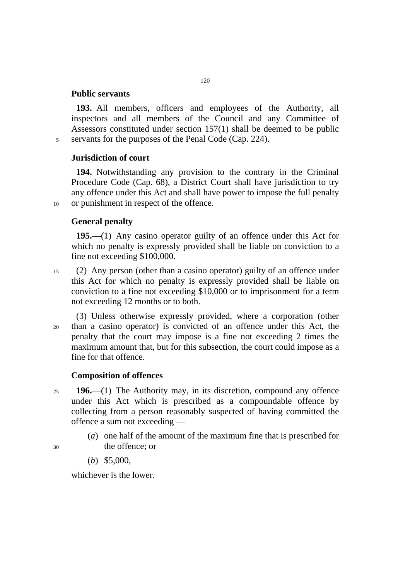# **Public servants**

**193.** All members, officers and employees of the Authority, all inspectors and all members of the Council and any Committee of Assessors constituted under section 157(1) shall be deemed to be public 5 servants for the purposes of the Penal Code (Cap. 224).

# **Jurisdiction of court**

**194.** Notwithstanding any provision to the contrary in the Criminal Procedure Code (Cap. 68), a District Court shall have jurisdiction to try any offence under this Act and shall have power to impose the full penalty 10 or punishment in respect of the offence.

# **General penalty**

**195.**—(1) Any casino operator guilty of an offence under this Act for which no penalty is expressly provided shall be liable on conviction to a fine not exceeding \$100,000.

- 15 (2) Any person (other than a casino operator) guilty of an offence under this Act for which no penalty is expressly provided shall be liable on conviction to a fine not exceeding \$10,000 or to imprisonment for a term not exceeding 12 months or to both.
- (3) Unless otherwise expressly provided, where a corporation (other 20 than a casino operator) is convicted of an offence under this Act, the penalty that the court may impose is a fine not exceeding 2 times the maximum amount that, but for this subsection, the court could impose as a fine for that offence.

# **Composition of offences**

- <sup>25</sup>**196.**⎯(1) The Authority may, in its discretion, compound any offence under this Act which is prescribed as a compoundable offence by collecting from a person reasonably suspected of having committed the offence a sum not exceeding ––
- (*a*) one half of the amount of the maximum fine that is prescribed for 30 the offence; or
- 

(*b*) \$5,000,

whichever is the lower.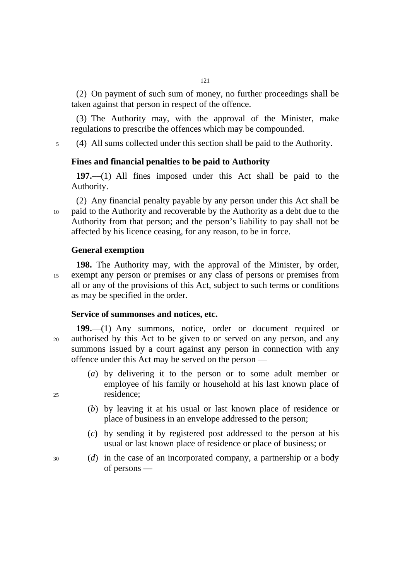(2) On payment of such sum of money, no further proceedings shall be taken against that person in respect of the offence.

121

(3) The Authority may, with the approval of the Minister, make regulations to prescribe the offences which may be compounded.

5 (4) All sums collected under this section shall be paid to the Authority.

# **Fines and financial penalties to be paid to Authority**

**197.**—(1) All fines imposed under this Act shall be paid to the Authority.

(2) Any financial penalty payable by any person under this Act shall be 10 paid to the Authority and recoverable by the Authority as a debt due to the Authority from that person; and the person's liability to pay shall not be affected by his licence ceasing, for any reason, to be in force.

### **General exemption**

**198.** The Authority may, with the approval of the Minister, by order, 15 exempt any person or premises or any class of persons or premises from all or any of the provisions of this Act, subject to such terms or conditions as may be specified in the order.

### **Service of summonses and notices, etc.**

- **199.**—(1) Any summons, notice, order or document required or 20 authorised by this Act to be given to or served on any person, and any summons issued by a court against any person in connection with any offence under this Act may be served on the person —
- (*a*) by delivering it to the person or to some adult member or employee of his family or household at his last known place of 25 residence;
	- (*b*) by leaving it at his usual or last known place of residence or place of business in an envelope addressed to the person;
	- (*c*) by sending it by registered post addressed to the person at his usual or last known place of residence or place of business; or
- 30 (*d*) in the case of an incorporated company, a partnership or a body of persons —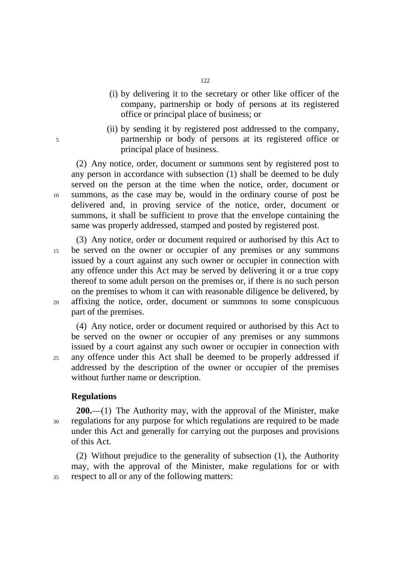- (i) by delivering it to the secretary or other like officer of the company, partnership or body of persons at its registered office or principal place of business; or
- (ii) by sending it by registered post addressed to the company, 5 partnership or body of persons at its registered office or principal place of business.

(2) Any notice, order, document or summons sent by registered post to any person in accordance with subsection (1) shall be deemed to be duly served on the person at the time when the notice, order, document or 10 summons, as the case may be, would in the ordinary course of post be delivered and, in proving service of the notice, order, document or summons, it shall be sufficient to prove that the envelope containing the same was properly addressed, stamped and posted by registered post.

(3) Any notice, order or document required or authorised by this Act to 15 be served on the owner or occupier of any premises or any summons issued by a court against any such owner or occupier in connection with any offence under this Act may be served by delivering it or a true copy thereof to some adult person on the premises or, if there is no such person on the premises to whom it can with reasonable diligence be delivered, by 20 affixing the notice, order, document or summons to some conspicuous part of the premises.

(4) Any notice, order or document required or authorised by this Act to be served on the owner or occupier of any premises or any summons issued by a court against any such owner or occupier in connection with 25 any offence under this Act shall be deemed to be properly addressed if addressed by the description of the owner or occupier of the premises without further name or description.

# **Regulations**

**200.**—(1) The Authority may, with the approval of the Minister, make 30 regulations for any purpose for which regulations are required to be made under this Act and generally for carrying out the purposes and provisions of this Act.

(2) Without prejudice to the generality of subsection (1), the Authority may, with the approval of the Minister, make regulations for or with 35 respect to all or any of the following matters: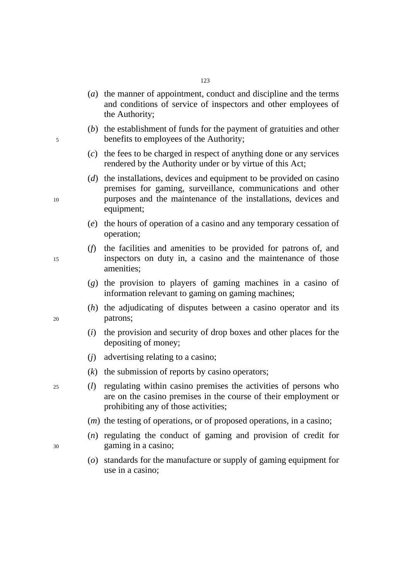- (*a*) the manner of appointment, conduct and discipline and the terms and conditions of service of inspectors and other employees of the Authority;
- (*b*) the establishment of funds for the payment of gratuities and other 5 benefits to employees of the Authority;
	- (*c*) the fees to be charged in respect of anything done or any services rendered by the Authority under or by virtue of this Act;
- (*d*) the installations, devices and equipment to be provided on casino premises for gaming, surveillance, communications and other 10 purposes and the maintenance of the installations, devices and equipment;
	- (*e*) the hours of operation of a casino and any temporary cessation of operation;
- (*f*) the facilities and amenities to be provided for patrons of, and 15 inspectors on duty in, a casino and the maintenance of those amenities;
	- (*g*) the provision to players of gaming machines in a casino of information relevant to gaming on gaming machines;
- (*h*) the adjudicating of disputes between a casino operator and its 20 patrons;
	- (*i*) the provision and security of drop boxes and other places for the depositing of money;
	- (*j*) advertising relating to a casino;
	- (*k*) the submission of reports by casino operators;
- 25 (*l*) regulating within casino premises the activities of persons who are on the casino premises in the course of their employment or prohibiting any of those activities;
	- (*m*) the testing of operations, or of proposed operations, in a casino;
- (*n*) regulating the conduct of gaming and provision of credit for 30 gaming in a casino;
	- (*o*) standards for the manufacture or supply of gaming equipment for use in a casino;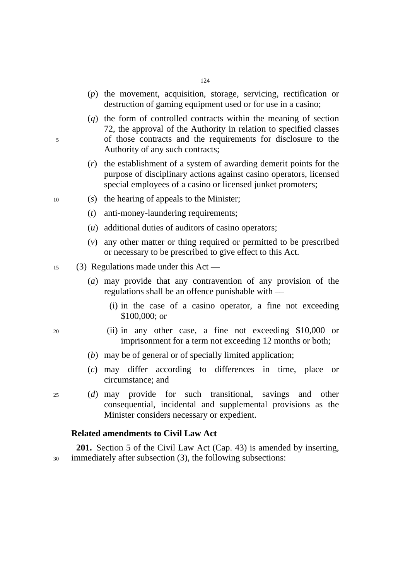- (*p*) the movement, acquisition, storage, servicing, rectification or destruction of gaming equipment used or for use in a casino;
- (*q*) the form of controlled contracts within the meaning of section 72, the approval of the Authority in relation to specified classes 5 of those contracts and the requirements for disclosure to the Authority of any such contracts;
	- (*r*) the establishment of a system of awarding demerit points for the purpose of disciplinary actions against casino operators, licensed special employees of a casino or licensed junket promoters;
- 10 (*s*) the hearing of appeals to the Minister;
	- (*t*) anti-money-laundering requirements;
	- (*u*) additional duties of auditors of casino operators;
	- (*v*) any other matter or thing required or permitted to be prescribed or necessary to be prescribed to give effect to this Act.
- 15 (3) Regulations made under this Act
	- (*a*) may provide that any contravention of any provision of the regulations shall be an offence punishable with ––
		- (i) in the case of a casino operator, a fine not exceeding \$100,000; or
- 20 (ii) in any other case, a fine not exceeding \$10,000 or imprisonment for a term not exceeding 12 months or both;
	- (*b*) may be of general or of specially limited application;
	- (*c*) may differ according to differences in time, place or circumstance; and
- 25 (*d*) may provide for such transitional, savings and other consequential, incidental and supplemental provisions as the Minister considers necessary or expedient.

# **Related amendments to Civil Law Act**

**201.** Section 5 of the Civil Law Act (Cap. 43) is amended by inserting, 30 immediately after subsection (3), the following subsections: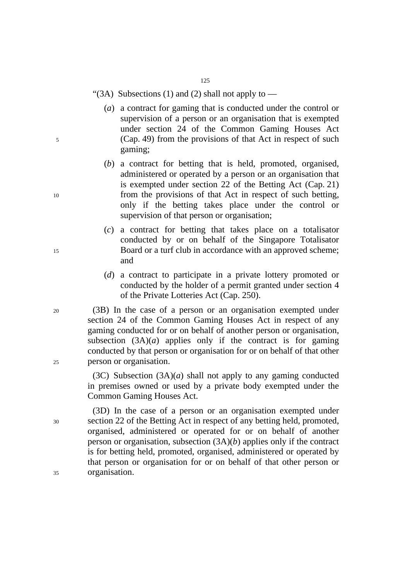125

"(3A) Subsections (1) and (2) shall not apply to  $-$ 

- (*a*) a contract for gaming that is conducted under the control or supervision of a person or an organisation that is exempted under section 24 of the Common Gaming Houses Act 5 (Cap. 49) from the provisions of that Act in respect of such gaming;
- (*b*) a contract for betting that is held, promoted, organised, administered or operated by a person or an organisation that is exempted under section 22 of the Betting Act (Cap. 21) 10 from the provisions of that Act in respect of such betting, only if the betting takes place under the control or supervision of that person or organisation;
- (*c*) a contract for betting that takes place on a totalisator conducted by or on behalf of the Singapore Totalisator 15 Board or a turf club in accordance with an approved scheme; and
	- (*d*) a contract to participate in a private lottery promoted or conducted by the holder of a permit granted under section 4 of the Private Lotteries Act (Cap. 250).

20 (3B) In the case of a person or an organisation exempted under section 24 of the Common Gaming Houses Act in respect of any gaming conducted for or on behalf of another person or organisation, subsection  $(3A)(a)$  applies only if the contract is for gaming conducted by that person or organisation for or on behalf of that other 25 person or organisation.

> (3C) Subsection (3A)(*a*) shall not apply to any gaming conducted in premises owned or used by a private body exempted under the Common Gaming Houses Act.

(3D) In the case of a person or an organisation exempted under 30 section 22 of the Betting Act in respect of any betting held, promoted, organised, administered or operated for or on behalf of another person or organisation, subsection (3A)(*b*) applies only if the contract is for betting held, promoted, organised, administered or operated by that person or organisation for or on behalf of that other person or 35 organisation.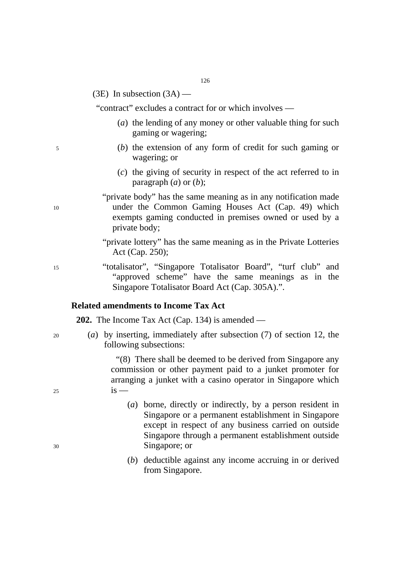(3E) In subsection  $(3A)$  —

"contract" excludes a contract for or which involves —

- (*a*) the lending of any money or other valuable thing for such gaming or wagering;
- 5 (*b*) the extension of any form of credit for such gaming or wagering; or
	- (*c*) the giving of security in respect of the act referred to in paragraph (*a*) or (*b*);

"private body" has the same meaning as in any notification made 10 under the Common Gaming Houses Act (Cap. 49) which exempts gaming conducted in premises owned or used by a private body;

> "private lottery" has the same meaning as in the Private Lotteries Act (Cap. 250);

15 "totalisator", "Singapore Totalisator Board", "turf club" and "approved scheme" have the same meanings as in the Singapore Totalisator Board Act (Cap. 305A).".

# **Related amendments to Income Tax Act**

**202.** The Income Tax Act (Cap. 134) is amended —

- 
- 20 (*a*) by inserting, immediately after subsection (7) of section 12, the following subsections:

"(8) There shall be deemed to be derived from Singapore any commission or other payment paid to a junket promoter for arranging a junket with a casino operator in Singapore which  $25$  is —

- (*a*) borne, directly or indirectly, by a person resident in Singapore or a permanent establishment in Singapore except in respect of any business carried on outside Singapore through a permanent establishment outside 30 Singapore; or
	- (*b*) deductible against any income accruing in or derived from Singapore.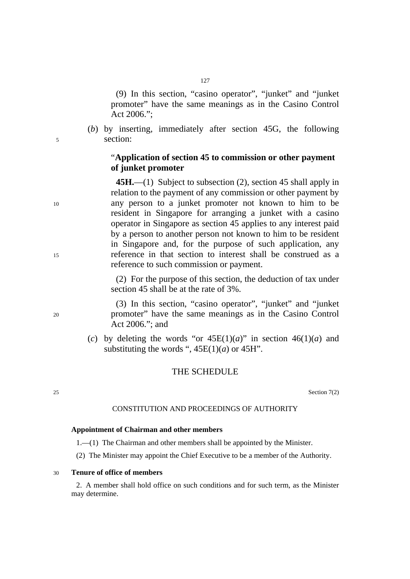(9) In this section, "casino operator", "junket" and "junket promoter" have the same meanings as in the Casino Control Act 2006.";

(*b*) by inserting, immediately after section 45G, the following 5 section:

# "**Application of section 45 to commission or other payment of junket promoter**

**45H.**—(1) Subject to subsection (2), section 45 shall apply in relation to the payment of any commission or other payment by 10 any person to a junket promoter not known to him to be resident in Singapore for arranging a junket with a casino operator in Singapore as section 45 applies to any interest paid by a person to another person not known to him to be resident in Singapore and, for the purpose of such application, any 15 reference in that section to interest shall be construed as a reference to such commission or payment.

> (2) For the purpose of this section, the deduction of tax under section 45 shall be at the rate of 3%.

(3) In this section, "casino operator", "junket" and "junket 20 promoter" have the same meanings as in the Casino Control Act 2006."; and

> (*c*) by deleting the words "or  $45E(1)(a)$ " in section  $46(1)(a)$  and substituting the words ",  $45E(1)(a)$  or  $45H$ ".

# THE SCHEDULE

25 Section 7(2)

### CONSTITUTION AND PROCEEDINGS OF AUTHORITY

#### **Appointment of Chairman and other members**

- 1.—(1) The Chairman and other members shall be appointed by the Minister.
- (2) The Minister may appoint the Chief Executive to be a member of the Authority.

### 30 **Tenure of office of members**

2. A member shall hold office on such conditions and for such term, as the Minister may determine.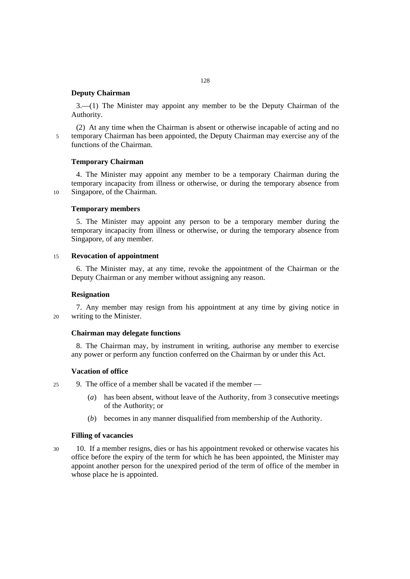### **Deputy Chairman**

3.—(1) The Minister may appoint any member to be the Deputy Chairman of the Authority.

(2) At any time when the Chairman is absent or otherwise incapable of acting and no 5 temporary Chairman has been appointed, the Deputy Chairman may exercise any of the functions of the Chairman.

### **Temporary Chairman**

4. The Minister may appoint any member to be a temporary Chairman during the temporary incapacity from illness or otherwise, or during the temporary absence from 10 Singapore, of the Chairman.

### **Temporary members**

5. The Minister may appoint any person to be a temporary member during the temporary incapacity from illness or otherwise, or during the temporary absence from Singapore, of any member.

#### 15 **Revocation of appointment**

6. The Minister may, at any time, revoke the appointment of the Chairman or the Deputy Chairman or any member without assigning any reason.

#### **Resignation**

7. Any member may resign from his appointment at any time by giving notice in 20 writing to the Minister.

#### **Chairman may delegate functions**

8. The Chairman may, by instrument in writing, authorise any member to exercise any power or perform any function conferred on the Chairman by or under this Act.

#### **Vacation of office**

- 25 9. The office of a member shall be vacated if the member
	- (*a*) has been absent, without leave of the Authority, from 3 consecutive meetings of the Authority; or
	- (*b*) becomes in any manner disqualified from membership of the Authority.

#### **Filling of vacancies**

30 10. If a member resigns, dies or has his appointment revoked or otherwise vacates his office before the expiry of the term for which he has been appointed, the Minister may appoint another person for the unexpired period of the term of office of the member in whose place he is appointed.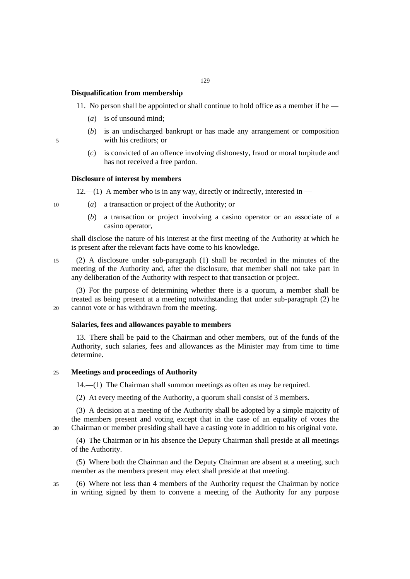### **Disqualification from membership**

- 11. No person shall be appointed or shall continue to hold office as a member if he
	- (*a*) is of unsound mind;
- (*b*) is an undischarged bankrupt or has made any arrangement or composition 5 with his creditors; or
	- (*c*) is convicted of an offence involving dishonesty, fraud or moral turpitude and has not received a free pardon.

### **Disclosure of interest by members**

 $12.-(1)$  A member who is in any way, directly or indirectly, interested in —

- 10 (*a*) a transaction or project of the Authority; or
	- (*b*) a transaction or project involving a casino operator or an associate of a casino operator,

shall disclose the nature of his interest at the first meeting of the Authority at which he is present after the relevant facts have come to his knowledge.

15 (2) A disclosure under sub-paragraph (1) shall be recorded in the minutes of the meeting of the Authority and, after the disclosure, that member shall not take part in any deliberation of the Authority with respect to that transaction or project.

(3) For the purpose of determining whether there is a quorum, a member shall be treated as being present at a meeting notwithstanding that under sub-paragraph (2) he 20 cannot vote or has withdrawn from the meeting.

#### **Salaries, fees and allowances payable to members**

13. There shall be paid to the Chairman and other members, out of the funds of the Authority, such salaries, fees and allowances as the Minister may from time to time determine.

### 25 **Meetings and proceedings of Authority**

14.—(1) The Chairman shall summon meetings as often as may be required.

(2) At every meeting of the Authority, a quorum shall consist of 3 members.

(3) A decision at a meeting of the Authority shall be adopted by a simple majority of the members present and voting except that in the case of an equality of votes the 30 Chairman or member presiding shall have a casting vote in addition to his original vote.

(4) The Chairman or in his absence the Deputy Chairman shall preside at all meetings of the Authority.

(5) Where both the Chairman and the Deputy Chairman are absent at a meeting, such member as the members present may elect shall preside at that meeting.

35 (6) Where not less than 4 members of the Authority request the Chairman by notice in writing signed by them to convene a meeting of the Authority for any purpose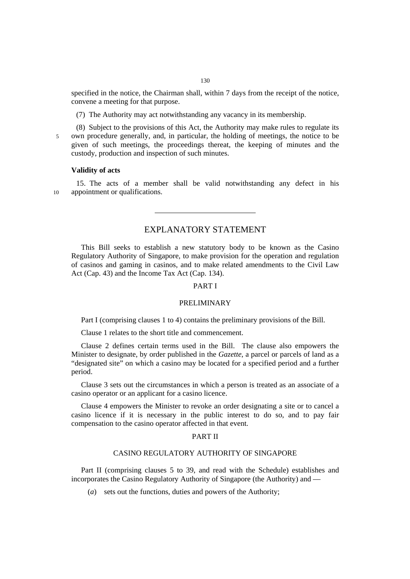specified in the notice, the Chairman shall, within 7 days from the receipt of the notice, convene a meeting for that purpose.

(7) The Authority may act notwithstanding any vacancy in its membership.

(8) Subject to the provisions of this Act, the Authority may make rules to regulate its 5 own procedure generally, and, in particular, the holding of meetings, the notice to be given of such meetings, the proceedings thereat, the keeping of minutes and the custody, production and inspection of such minutes.

### **Validity of acts**

15. The acts of a member shall be valid notwithstanding any defect in his 10 appointment or qualifications.

# EXPLANATORY STATEMENT

This Bill seeks to establish a new statutory body to be known as the Casino Regulatory Authority of Singapore, to make provision for the operation and regulation of casinos and gaming in casinos, and to make related amendments to the Civil Law Act (Cap. 43) and the Income Tax Act (Cap. 134).

#### PART I

#### PRELIMINARY

Part I (comprising clauses 1 to 4) contains the preliminary provisions of the Bill.

Clause 1 relates to the short title and commencement.

Clause 2 defines certain terms used in the Bill. The clause also empowers the Minister to designate, by order published in the *Gazette*, a parcel or parcels of land as a "designated site" on which a casino may be located for a specified period and a further period.

Clause 3 sets out the circumstances in which a person is treated as an associate of a casino operator or an applicant for a casino licence.

Clause 4 empowers the Minister to revoke an order designating a site or to cancel a casino licence if it is necessary in the public interest to do so, and to pay fair compensation to the casino operator affected in that event.

#### PART II

#### CASINO REGULATORY AUTHORITY OF SINGAPORE

Part II (comprising clauses 5 to 39, and read with the Schedule) establishes and incorporates the Casino Regulatory Authority of Singapore (the Authority) and ––

(*a*) sets out the functions, duties and powers of the Authority;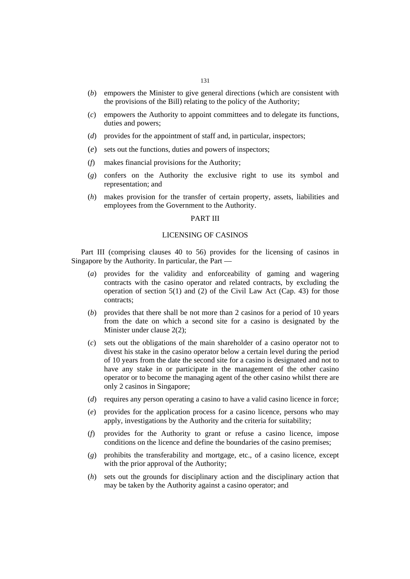- (*b*) empowers the Minister to give general directions (which are consistent with the provisions of the Bill) relating to the policy of the Authority;
- (*c*) empowers the Authority to appoint committees and to delegate its functions, duties and powers;
- (*d*) provides for the appointment of staff and, in particular, inspectors;
- (*e*) sets out the functions, duties and powers of inspectors;
- (*f*) makes financial provisions for the Authority;
- (*g*) confers on the Authority the exclusive right to use its symbol and representation; and
- (*h*) makes provision for the transfer of certain property, assets, liabilities and employees from the Government to the Authority.

### PART III

#### LICENSING OF CASINOS

Part III (comprising clauses 40 to 56) provides for the licensing of casinos in Singapore by the Authority. In particular, the Part ––

- (*a*) provides for the validity and enforceability of gaming and wagering contracts with the casino operator and related contracts, by excluding the operation of section  $5(1)$  and (2) of the Civil Law Act (Cap. 43) for those contracts;
- (*b*) provides that there shall be not more than 2 casinos for a period of 10 years from the date on which a second site for a casino is designated by the Minister under clause 2(2);
- (*c*) sets out the obligations of the main shareholder of a casino operator not to divest his stake in the casino operator below a certain level during the period of 10 years from the date the second site for a casino is designated and not to have any stake in or participate in the management of the other casino operator or to become the managing agent of the other casino whilst there are only 2 casinos in Singapore;
- (*d*) requires any person operating a casino to have a valid casino licence in force;
- (*e*) provides for the application process for a casino licence, persons who may apply, investigations by the Authority and the criteria for suitability;
- (*f*) provides for the Authority to grant or refuse a casino licence, impose conditions on the licence and define the boundaries of the casino premises;
- (*g*) prohibits the transferability and mortgage, etc., of a casino licence, except with the prior approval of the Authority;
- (*h*) sets out the grounds for disciplinary action and the disciplinary action that may be taken by the Authority against a casino operator; and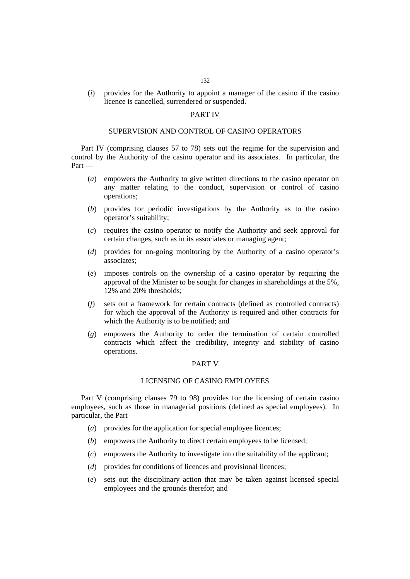- 132
- (*i*) provides for the Authority to appoint a manager of the casino if the casino licence is cancelled, surrendered or suspended.

### PART IV

### SUPERVISION AND CONTROL OF CASINO OPERATORS

Part IV (comprising clauses 57 to 78) sets out the regime for the supervision and control by the Authority of the casino operator and its associates. In particular, the Part ––

- (*a*) empowers the Authority to give written directions to the casino operator on any matter relating to the conduct, supervision or control of casino operations;
- (*b*) provides for periodic investigations by the Authority as to the casino operator's suitability;
- (*c*) requires the casino operator to notify the Authority and seek approval for certain changes, such as in its associates or managing agent;
- (*d*) provides for on-going monitoring by the Authority of a casino operator's associates;
- (*e*) imposes controls on the ownership of a casino operator by requiring the approval of the Minister to be sought for changes in shareholdings at the 5%, 12% and 20% thresholds;
- (*f*) sets out a framework for certain contracts (defined as controlled contracts) for which the approval of the Authority is required and other contracts for which the Authority is to be notified; and
- (*g*) empowers the Authority to order the termination of certain controlled contracts which affect the credibility, integrity and stability of casino operations.

### PART V

### LICENSING OF CASINO EMPLOYEES

Part V (comprising clauses 79 to 98) provides for the licensing of certain casino employees, such as those in managerial positions (defined as special employees). In particular, the Part ––

- (*a*) provides for the application for special employee licences;
- (*b*) empowers the Authority to direct certain employees to be licensed;
- (*c*) empowers the Authority to investigate into the suitability of the applicant;
- (*d*) provides for conditions of licences and provisional licences;
- (*e*) sets out the disciplinary action that may be taken against licensed special employees and the grounds therefor; and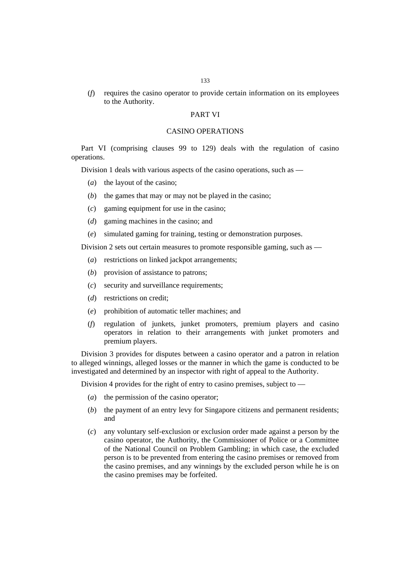(*f*) requires the casino operator to provide certain information on its employees to the Authority.

### PART VI

### CASINO OPERATIONS

Part VI (comprising clauses 99 to 129) deals with the regulation of casino operations.

Division 1 deals with various aspects of the casino operations, such as —

- (*a*) the layout of the casino;
- (*b*) the games that may or may not be played in the casino;
- (*c*) gaming equipment for use in the casino;
- (*d*) gaming machines in the casino; and
- (*e*) simulated gaming for training, testing or demonstration purposes.

Division 2 sets out certain measures to promote responsible gaming, such as —

- (*a*) restrictions on linked jackpot arrangements;
- (*b*) provision of assistance to patrons;
- (*c*) security and surveillance requirements;
- (*d*) restrictions on credit;
- (*e*) prohibition of automatic teller machines; and
- (*f*) regulation of junkets, junket promoters, premium players and casino operators in relation to their arrangements with junket promoters and premium players.

Division 3 provides for disputes between a casino operator and a patron in relation to alleged winnings, alleged losses or the manner in which the game is conducted to be investigated and determined by an inspector with right of appeal to the Authority.

Division 4 provides for the right of entry to casino premises, subject to —

- (*a*) the permission of the casino operator;
- (*b*) the payment of an entry levy for Singapore citizens and permanent residents; and
- (*c*) any voluntary self-exclusion or exclusion order made against a person by the casino operator, the Authority, the Commissioner of Police or a Committee of the National Council on Problem Gambling; in which case, the excluded person is to be prevented from entering the casino premises or removed from the casino premises, and any winnings by the excluded person while he is on the casino premises may be forfeited.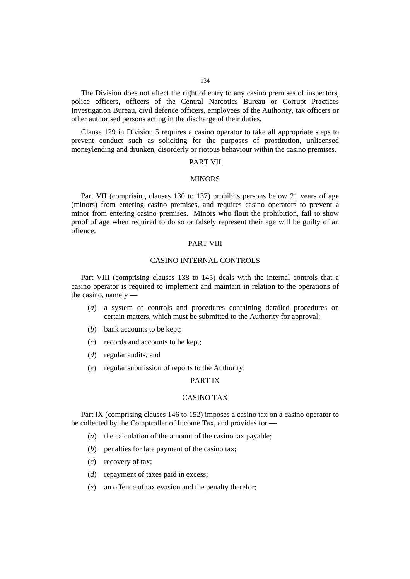The Division does not affect the right of entry to any casino premises of inspectors, police officers, officers of the Central Narcotics Bureau or Corrupt Practices Investigation Bureau, civil defence officers, employees of the Authority, tax officers or other authorised persons acting in the discharge of their duties.

Clause 129 in Division 5 requires a casino operator to take all appropriate steps to prevent conduct such as soliciting for the purposes of prostitution, unlicensed moneylending and drunken, disorderly or riotous behaviour within the casino premises.

#### PART VII

#### **MINORS**

Part VII (comprising clauses 130 to 137) prohibits persons below 21 years of age (minors) from entering casino premises, and requires casino operators to prevent a minor from entering casino premises. Minors who flout the prohibition, fail to show proof of age when required to do so or falsely represent their age will be guilty of an offence.

#### PART VIII

### CASINO INTERNAL CONTROLS

Part VIII (comprising clauses 138 to 145) deals with the internal controls that a casino operator is required to implement and maintain in relation to the operations of the casino, namely ––

- (*a*) a system of controls and procedures containing detailed procedures on certain matters, which must be submitted to the Authority for approval;
- (*b*) bank accounts to be kept;
- (*c*) records and accounts to be kept;
- (*d*) regular audits; and
- (*e*) regular submission of reports to the Authority.

### PART IX

### CASINO TAX

Part IX (comprising clauses 146 to 152) imposes a casino tax on a casino operator to be collected by the Comptroller of Income Tax, and provides for —

- (*a*) the calculation of the amount of the casino tax payable;
- (*b*) penalties for late payment of the casino tax;
- (*c*) recovery of tax;
- (*d*) repayment of taxes paid in excess;
- (*e*) an offence of tax evasion and the penalty therefor;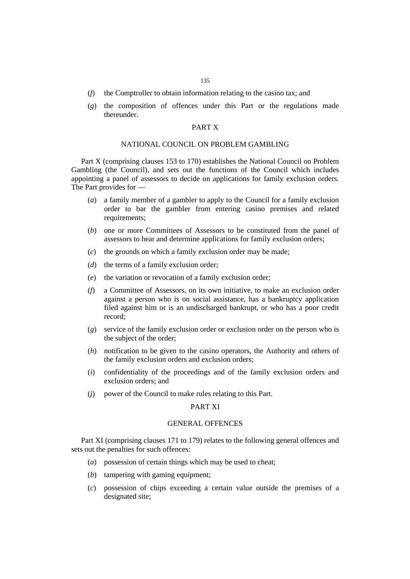- (*f*) the Comptroller to obtain information relating to the casino tax; and
- (*g*) the composition of offences under this Part or the regulations made thereunder.

### PART X

#### NATIONAL COUNCIL ON PROBLEM GAMBLING

Part X (comprising clauses 153 to 170) establishes the National Council on Problem Gambling (the Council), and sets out the functions of the Council which includes appointing a panel of assessors to decide on applications for family exclusion orders. The Part provides for —

- (*a*) a family member of a gambler to apply to the Council for a family exclusion order to bar the gambler from entering casino premises and related requirements;
- (*b*) one or more Committees of Assessors to be constituted from the panel of assessors to hear and determine applications for family exclusion orders;
- (*c*) the grounds on which a family exclusion order may be made;
- (*d*) the terms of a family exclusion order;
- (*e*) the variation or revocation of a family exclusion order;
- (*f*) a Committee of Assessors, on its own initiative, to make an exclusion order against a person who is on social assistance, has a bankruptcy application filed against him or is an undischarged bankrupt, or who has a poor credit record;
- (*g*) service of the family exclusion order or exclusion order on the person who is the subject of the order;
- (*h*) notification to be given to the casino operators, the Authority and others of the family exclusion orders and exclusion orders;
- (*i*) confidentiality of the proceedings and of the family exclusion orders and exclusion orders; and
- (*j*) power of the Council to make rules relating to this Part.

#### PART XI

#### GENERAL OFFENCES

Part XI (comprising clauses 171 to 179) relates to the following general offences and sets out the penalties for such offences:

- (*a*) possession of certain things which may be used to cheat;
- (*b*) tampering with gaming equipment;
- (*c*) possession of chips exceeding a certain value outside the premises of a designated site;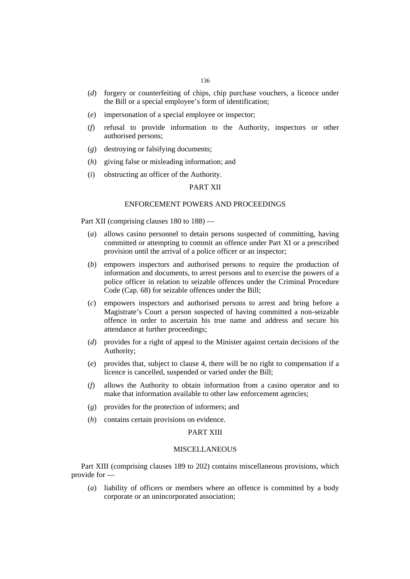- (*d*) forgery or counterfeiting of chips, chip purchase vouchers, a licence under the Bill or a special employee's form of identification;
- (*e*) impersonation of a special employee or inspector;
- (*f*) refusal to provide information to the Authority, inspectors or other authorised persons;
- (*g*) destroying or falsifying documents;
- (*h*) giving false or misleading information; and
- (*i*) obstructing an officer of the Authority.

### PART XII

### ENFORCEMENT POWERS AND PROCEEDINGS

Part XII (comprising clauses 180 to 188) ––

- (*a*) allows casino personnel to detain persons suspected of committing, having committed or attempting to commit an offence under Part XI or a prescribed provision until the arrival of a police officer or an inspector;
- (*b*) empowers inspectors and authorised persons to require the production of information and documents, to arrest persons and to exercise the powers of a police officer in relation to seizable offences under the Criminal Procedure Code (Cap. 68) for seizable offences under the Bill;
- (*c*) empowers inspectors and authorised persons to arrest and bring before a Magistrate's Court a person suspected of having committed a non-seizable offence in order to ascertain his true name and address and secure his attendance at further proceedings;
- (*d*) provides for a right of appeal to the Minister against certain decisions of the Authority;
- (*e*) provides that, subject to clause 4, there will be no right to compensation if a licence is cancelled, suspended or varied under the Bill;
- (*f*) allows the Authority to obtain information from a casino operator and to make that information available to other law enforcement agencies;
- (*g*) provides for the protection of informers; and
- (*h*) contains certain provisions on evidence.

### PART XIII

### MISCELLANEOUS

Part XIII (comprising clauses 189 to 202) contains miscellaneous provisions, which provide for ––

(*a*) liability of officers or members where an offence is committed by a body corporate or an unincorporated association;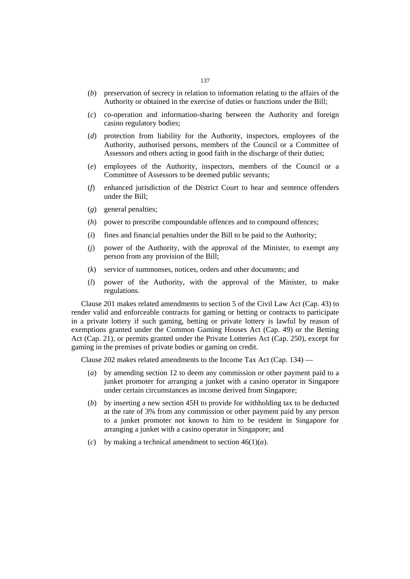- (*b*) preservation of secrecy in relation to information relating to the affairs of the Authority or obtained in the exercise of duties or functions under the Bill;
- (*c*) co-operation and information-sharing between the Authority and foreign casino regulatory bodies;
- (*d*) protection from liability for the Authority, inspectors, employees of the Authority, authorised persons, members of the Council or a Committee of Assessors and others acting in good faith in the discharge of their duties;
- (*e*) employees of the Authority, inspectors, members of the Council or a Committee of Assessors to be deemed public servants;
- (*f*) enhanced jurisdiction of the District Court to hear and sentence offenders under the Bill;
- (*g*) general penalties;
- (*h*) power to prescribe compoundable offences and to compound offences;
- (*i*) fines and financial penalties under the Bill to be paid to the Authority;
- (*j*) power of the Authority, with the approval of the Minister, to exempt any person from any provision of the Bill;
- (*k*) service of summonses, notices, orders and other documents; and
- (*l*) power of the Authority, with the approval of the Minister, to make regulations.

Clause 201 makes related amendments to section 5 of the Civil Law Act (Cap. 43) to render valid and enforceable contracts for gaming or betting or contracts to participate in a private lottery if such gaming, betting or private lottery is lawful by reason of exemptions granted under the Common Gaming Houses Act (Cap. 49) or the Betting Act (Cap. 21), or permits granted under the Private Lotteries Act (Cap. 250), except for gaming in the premises of private bodies or gaming on credit.

Clause 202 makes related amendments to the Income Tax Act (Cap. 134) —

- (*a*) by amending section 12 to deem any commission or other payment paid to a junket promoter for arranging a junket with a casino operator in Singapore under certain circumstances as income derived from Singapore;
- (*b*) by inserting a new section 45H to provide for withholding tax to be deducted at the rate of 3% from any commission or other payment paid by any person to a junket promoter not known to him to be resident in Singapore for arranging a junket with a casino operator in Singapore; and
- (*c*) by making a technical amendment to section  $46(1)(a)$ .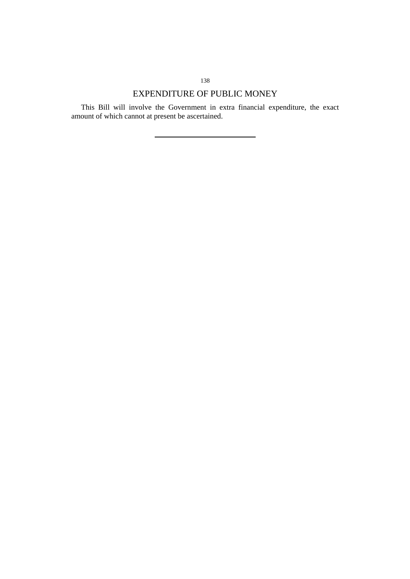## EXPENDITURE OF PUBLIC MONEY

This Bill will involve the Government in extra financial expenditure, the exact amount of which cannot at present be ascertained.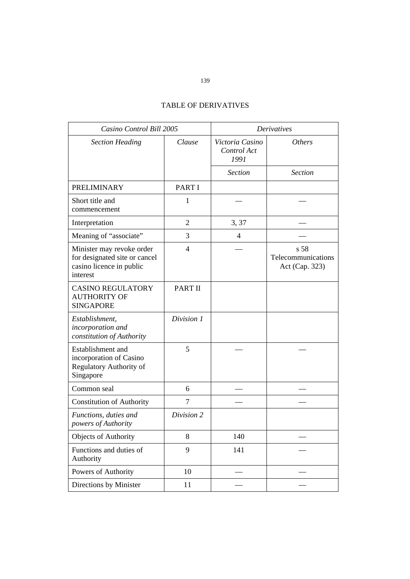## TABLE OF DERIVATIVES

| Casino Control Bill 2005                                                                           |                | <b>Derivatives</b>                     |                                              |  |
|----------------------------------------------------------------------------------------------------|----------------|----------------------------------------|----------------------------------------------|--|
| <b>Section Heading</b>                                                                             | Clause         | Victoria Casino<br>Control Act<br>1991 | <b>Others</b>                                |  |
|                                                                                                    |                | <b>Section</b>                         | <b>Section</b>                               |  |
| <b>PRELIMINARY</b>                                                                                 | PART I         |                                        |                                              |  |
| Short title and<br>commencement                                                                    | 1              |                                        |                                              |  |
| Interpretation                                                                                     | $\overline{2}$ | 3, 37                                  |                                              |  |
| Meaning of "associate"                                                                             | 3              | $\overline{4}$                         |                                              |  |
| Minister may revoke order<br>for designated site or cancel<br>casino licence in public<br>interest | $\overline{4}$ |                                        | s 58<br>Telecommunications<br>Act (Cap. 323) |  |
| <b>CASINO REGULATORY</b><br><b>AUTHORITY OF</b><br><b>SINGAPORE</b>                                | <b>PART II</b> |                                        |                                              |  |
| Establishment,<br>incorporation and<br>constitution of Authority                                   | Division 1     |                                        |                                              |  |
| Establishment and<br>incorporation of Casino<br>Regulatory Authority of<br>Singapore               | 5              |                                        |                                              |  |
| Common seal                                                                                        | 6              |                                        |                                              |  |
| <b>Constitution of Authority</b>                                                                   | 7              |                                        |                                              |  |
| Functions, duties and<br>powers of Authority                                                       | Division 2     |                                        |                                              |  |
| Objects of Authority                                                                               | 8              | 140                                    |                                              |  |
| Functions and duties of<br>Authority                                                               | 9              | 141                                    |                                              |  |
| Powers of Authority                                                                                | 10             |                                        |                                              |  |
| Directions by Minister                                                                             | 11             |                                        |                                              |  |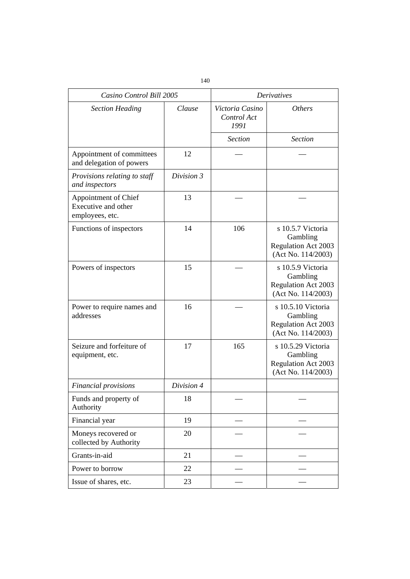| Casino Control Bill 2005                                       |                                          | <b>Derivatives</b> |                                                                                    |  |
|----------------------------------------------------------------|------------------------------------------|--------------------|------------------------------------------------------------------------------------|--|
| <b>Section Heading</b>                                         | Clause<br>Victoria Casino<br>Control Act |                    | <i><b>Others</b></i>                                                               |  |
|                                                                |                                          | <b>Section</b>     | <b>Section</b>                                                                     |  |
| Appointment of committees<br>and delegation of powers          | 12                                       |                    |                                                                                    |  |
| Provisions relating to staff<br>and inspectors                 | Division 3                               |                    |                                                                                    |  |
| Appointment of Chief<br>Executive and other<br>employees, etc. | 13                                       |                    |                                                                                    |  |
| Functions of inspectors                                        | 14                                       | 106                | s 10.5.7 Victoria<br>Gambling<br><b>Regulation Act 2003</b><br>(Act No. 114/2003)  |  |
| Powers of inspectors                                           | 15                                       |                    | s 10.5.9 Victoria<br>Gambling<br><b>Regulation Act 2003</b><br>(Act No. 114/2003)  |  |
| Power to require names and<br>addresses                        | 16                                       |                    | s 10.5.10 Victoria<br>Gambling<br><b>Regulation Act 2003</b><br>(Act No. 114/2003) |  |
| Seizure and forfeiture of<br>equipment, etc.                   | 17                                       | 165                | s 10.5.29 Victoria<br>Gambling<br><b>Regulation Act 2003</b><br>(Act No. 114/2003) |  |
| <b>Financial provisions</b>                                    | Division 4                               |                    |                                                                                    |  |
| Funds and property of<br>Authority                             | 18                                       |                    |                                                                                    |  |
| Financial year                                                 | 19                                       |                    |                                                                                    |  |
| Moneys recovered or<br>collected by Authority                  | 20                                       |                    |                                                                                    |  |
| Grants-in-aid                                                  | 21                                       |                    |                                                                                    |  |
| Power to borrow                                                | 22                                       |                    |                                                                                    |  |
| Issue of shares, etc.                                          | 23                                       |                    |                                                                                    |  |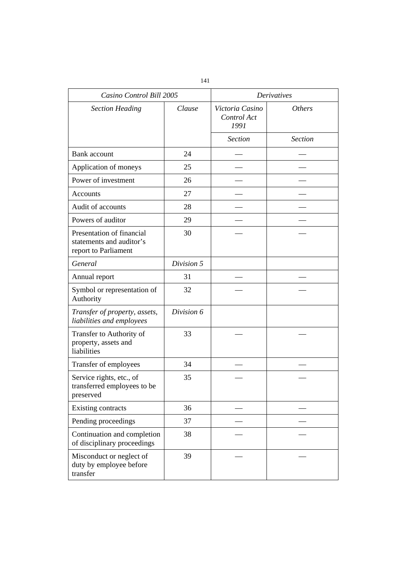| Casino Control Bill 2005                                                      |            | <b>Derivatives</b>                     |                |  |
|-------------------------------------------------------------------------------|------------|----------------------------------------|----------------|--|
| <b>Section Heading</b>                                                        | Clause     | Victoria Casino<br>Control Act<br>1991 | <i>Others</i>  |  |
|                                                                               |            | <b>Section</b>                         | <b>Section</b> |  |
| <b>Bank</b> account                                                           | 24         |                                        |                |  |
| Application of moneys                                                         | 25         |                                        |                |  |
| Power of investment                                                           | 26         |                                        |                |  |
| Accounts                                                                      | 27         |                                        |                |  |
| Audit of accounts                                                             | 28         |                                        |                |  |
| Powers of auditor                                                             | 29         |                                        |                |  |
| Presentation of financial<br>statements and auditor's<br>report to Parliament | 30         |                                        |                |  |
| General                                                                       | Division 5 |                                        |                |  |
| Annual report                                                                 | 31         |                                        |                |  |
| Symbol or representation of<br>Authority                                      | 32         |                                        |                |  |
| Transfer of property, assets,<br>liabilities and employees                    | Division 6 |                                        |                |  |
| Transfer to Authority of<br>property, assets and<br>liabilities               | 33         |                                        |                |  |
| Transfer of employees                                                         | 34         |                                        |                |  |
| Service rights, etc., of<br>transferred employees to be<br>preserved          | 35         |                                        |                |  |
| Existing contracts                                                            | 36         |                                        |                |  |
| Pending proceedings                                                           | 37         |                                        |                |  |
| Continuation and completion<br>of disciplinary proceedings                    | 38         |                                        |                |  |
| Misconduct or neglect of<br>duty by employee before<br>transfer               | 39         |                                        |                |  |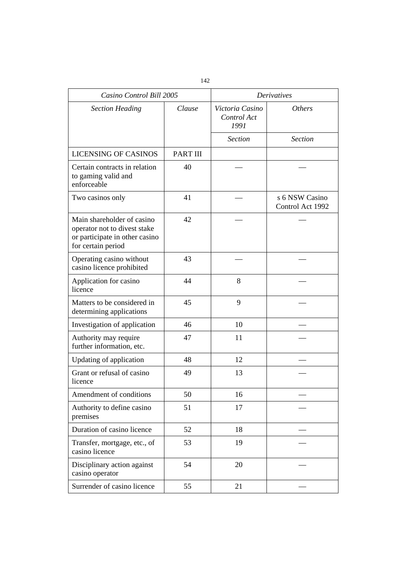| Casino Control Bill 2005                                                                                           |                 | <b>Derivatives</b>                     |                                    |  |
|--------------------------------------------------------------------------------------------------------------------|-----------------|----------------------------------------|------------------------------------|--|
| <b>Section Heading</b>                                                                                             | Clause          | Victoria Casino<br>Control Act<br>1991 | <i>Others</i>                      |  |
|                                                                                                                    |                 | <b>Section</b>                         | <b>Section</b>                     |  |
| <b>LICENSING OF CASINOS</b>                                                                                        | <b>PART III</b> |                                        |                                    |  |
| Certain contracts in relation<br>to gaming valid and<br>enforceable                                                | 40              |                                        |                                    |  |
| Two casinos only                                                                                                   | 41              |                                        | s 6 NSW Casino<br>Control Act 1992 |  |
| Main shareholder of casino<br>operator not to divest stake<br>or participate in other casino<br>for certain period | 42              |                                        |                                    |  |
| Operating casino without<br>casino licence prohibited                                                              | 43              |                                        |                                    |  |
| Application for casino<br>licence                                                                                  | 44              | 8                                      |                                    |  |
| Matters to be considered in<br>determining applications                                                            | 45              | 9                                      |                                    |  |
| Investigation of application                                                                                       | 46              | 10                                     |                                    |  |
| Authority may require<br>further information, etc.                                                                 | 47              | 11                                     |                                    |  |
| Updating of application                                                                                            | 48              | 12                                     |                                    |  |
| Grant or refusal of casino<br>licence                                                                              | 49              | 13                                     |                                    |  |
| Amendment of conditions                                                                                            | 50              | 16                                     |                                    |  |
| Authority to define casino<br>premises                                                                             | 51              | 17                                     |                                    |  |
| Duration of casino licence                                                                                         | 52              | 18                                     |                                    |  |
| Transfer, mortgage, etc., of<br>casino licence                                                                     | 53              | 19                                     |                                    |  |
| Disciplinary action against<br>casino operator                                                                     | 54              | 20                                     |                                    |  |
| Surrender of casino licence                                                                                        | 55              | 21                                     |                                    |  |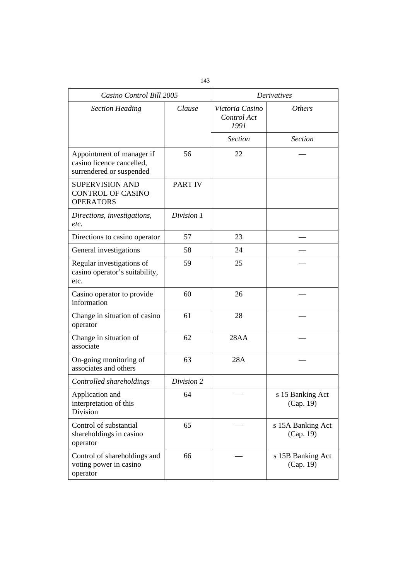| Casino Control Bill 2005                                                           |                | <b>Derivatives</b> |                                |  |
|------------------------------------------------------------------------------------|----------------|--------------------|--------------------------------|--|
| <b>Section Heading</b>                                                             | Clause         |                    | <i>Others</i>                  |  |
|                                                                                    |                | <b>Section</b>     | <b>Section</b>                 |  |
| Appointment of manager if<br>casino licence cancelled,<br>surrendered or suspended | 56             | 22                 |                                |  |
| <b>SUPERVISION AND</b><br><b>CONTROL OF CASINO</b><br><b>OPERATORS</b>             | <b>PART IV</b> |                    |                                |  |
| Directions, investigations,<br>etc.                                                | Division 1     |                    |                                |  |
| Directions to casino operator                                                      | 57             | 23                 |                                |  |
| General investigations                                                             | 58             | 24                 |                                |  |
| Regular investigations of<br>casino operator's suitability,<br>etc.                | 59             | 25                 |                                |  |
| Casino operator to provide<br>information                                          | 60             | 26                 |                                |  |
| Change in situation of casino<br>operator                                          | 61             | 28                 |                                |  |
| Change in situation of<br>associate                                                | 62             | 28AA               |                                |  |
| On-going monitoring of<br>associates and others                                    | 63             | 28A                |                                |  |
| Controlled shareholdings                                                           | Division 2     |                    |                                |  |
| Application and<br>interpretation of this<br>Division                              | 64             |                    | s 15 Banking Act<br>(Cap. 19)  |  |
| Control of substantial<br>shareholdings in casino<br>operator                      | 65             |                    | s 15A Banking Act<br>(Cap. 19) |  |
| Control of shareholdings and<br>voting power in casino<br>operator                 | 66             |                    | s 15B Banking Act<br>(Cap. 19) |  |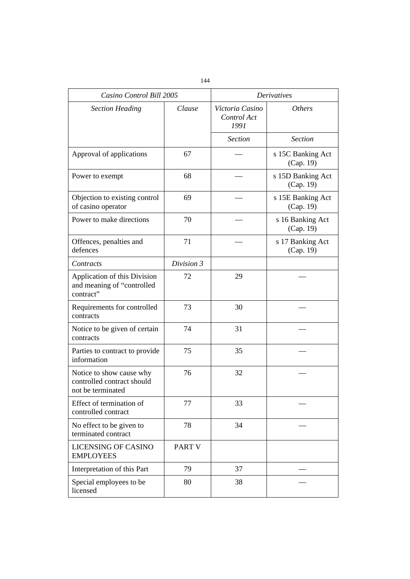| Casino Control Bill 2005                                                    |            | <b>Derivatives</b>                     |                                |  |
|-----------------------------------------------------------------------------|------------|----------------------------------------|--------------------------------|--|
| <b>Section Heading</b>                                                      | Clause     | Victoria Casino<br>Control Act<br>1991 | <i>Others</i>                  |  |
|                                                                             |            | <b>Section</b>                         | <b>Section</b>                 |  |
| Approval of applications                                                    | 67         |                                        | s 15C Banking Act<br>(Cap. 19) |  |
| Power to exempt                                                             | 68         |                                        | s 15D Banking Act<br>(Cap. 19) |  |
| Objection to existing control<br>of casino operator                         | 69         |                                        | s 15E Banking Act<br>(Cap. 19) |  |
| Power to make directions                                                    | 70         |                                        | s 16 Banking Act<br>(Cap. 19)  |  |
| Offences, penalties and<br>defences                                         | 71         |                                        | s 17 Banking Act<br>(Cap. 19)  |  |
| Contracts                                                                   | Division 3 |                                        |                                |  |
| Application of this Division<br>and meaning of "controlled<br>contract"     | 72         | 29                                     |                                |  |
| Requirements for controlled<br>contracts                                    | 73         | 30                                     |                                |  |
| Notice to be given of certain<br>contracts                                  | 74         | 31                                     |                                |  |
| Parties to contract to provide<br>information                               | 75         | 35                                     |                                |  |
| Notice to show cause why<br>controlled contract should<br>not be terminated | 76         | 32                                     |                                |  |
| Effect of termination of<br>controlled contract                             | 77         | 33                                     |                                |  |
| No effect to be given to<br>terminated contract                             | 78         | 34                                     |                                |  |
| <b>LICENSING OF CASINO</b><br><b>EMPLOYEES</b>                              | PART V     |                                        |                                |  |
| Interpretation of this Part                                                 | 79         | 37                                     |                                |  |
| Special employees to be<br>licensed                                         | 80         | 38                                     |                                |  |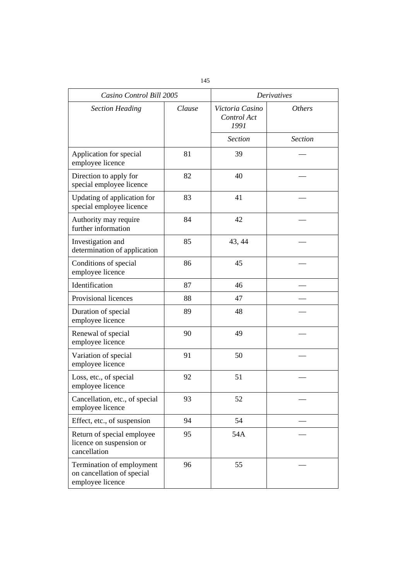| Casino Control Bill 2005                                                    |        | <b>Derivatives</b>                     |                      |  |
|-----------------------------------------------------------------------------|--------|----------------------------------------|----------------------|--|
| <b>Section Heading</b>                                                      | Clause | Victoria Casino<br>Control Act<br>1991 | <i><b>Others</b></i> |  |
|                                                                             |        | <b>Section</b>                         | <b>Section</b>       |  |
| Application for special<br>employee licence                                 | 81     | 39                                     |                      |  |
| Direction to apply for<br>special employee licence                          | 82     | 40                                     |                      |  |
| Updating of application for<br>special employee licence                     | 83     | 41                                     |                      |  |
| Authority may require<br>further information                                | 84     | 42                                     |                      |  |
| Investigation and<br>determination of application                           | 85     | 43, 44                                 |                      |  |
| Conditions of special<br>employee licence                                   | 86     | 45                                     |                      |  |
| Identification                                                              | 87     | 46                                     |                      |  |
| Provisional licences                                                        | 88     | 47                                     |                      |  |
| Duration of special<br>employee licence                                     | 89     | 48                                     |                      |  |
| Renewal of special<br>employee licence                                      | 90     | 49                                     |                      |  |
| Variation of special<br>employee licence                                    | 91     | 50                                     |                      |  |
| Loss, etc., of special<br>employee licence                                  | 92     | 51                                     |                      |  |
| Cancellation, etc., of special<br>employee licence                          | 93     | 52                                     |                      |  |
| Effect, etc., of suspension                                                 | 94     | 54                                     |                      |  |
| Return of special employee<br>licence on suspension or<br>cancellation      | 95     | 54A                                    |                      |  |
| Termination of employment<br>on cancellation of special<br>employee licence | 96     | 55                                     |                      |  |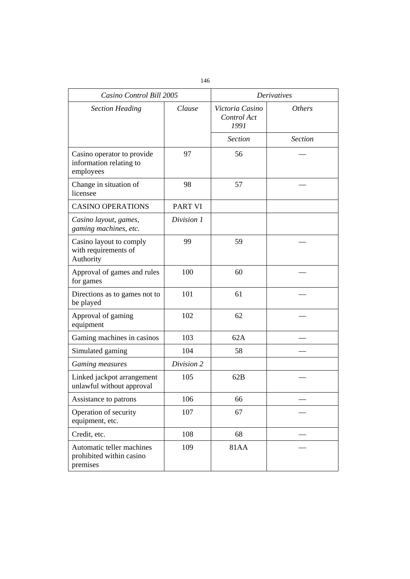| Casino Control Bill 2005                                           |                | <b>Derivatives</b>                     |                |
|--------------------------------------------------------------------|----------------|----------------------------------------|----------------|
| <b>Section Heading</b>                                             | Clause         | Victoria Casino<br>Control Act<br>1991 | <i>Others</i>  |
|                                                                    |                | <b>Section</b>                         | <b>Section</b> |
| Casino operator to provide<br>information relating to<br>employees | 97             | 56                                     |                |
| Change in situation of<br>licensee                                 | 98             | 57                                     |                |
| <b>CASINO OPERATIONS</b>                                           | <b>PART VI</b> |                                        |                |
| Casino layout, games,<br>gaming machines, etc.                     | Division 1     |                                        |                |
| Casino layout to comply<br>with requirements of<br>Authority       | 99             | 59                                     |                |
| Approval of games and rules<br>for games                           | 100            | 60                                     |                |
| Directions as to games not to<br>be played                         | 101            | 61                                     |                |
| Approval of gaming<br>equipment                                    | 102            | 62                                     |                |
| Gaming machines in casinos                                         | 103            | 62A                                    |                |
| Simulated gaming                                                   | 104            | 58                                     |                |
| Gaming measures                                                    | Division 2     |                                        |                |
| Linked jackpot arrangement<br>unlawful without approval            | 105            | 62B                                    |                |
| Assistance to patrons                                              | 106            | 66                                     |                |
| Operation of security<br>equipment, etc.                           | 107            | 67                                     |                |
| Credit, etc.                                                       | 108            | 68                                     |                |
| Automatic teller machines<br>prohibited within casino<br>premises  | 109            | 81AA                                   |                |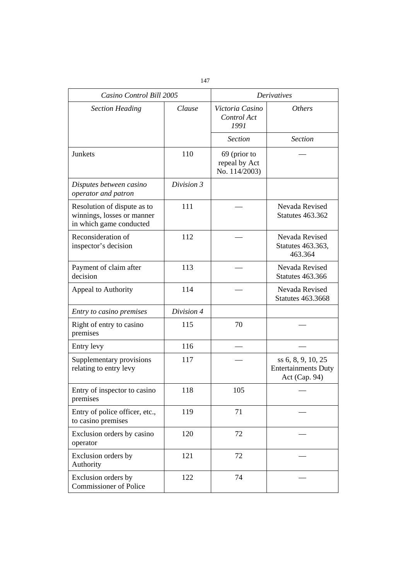| Casino Control Bill 2005                                                             |            | <b>Derivatives</b>                             |                                                                   |  |
|--------------------------------------------------------------------------------------|------------|------------------------------------------------|-------------------------------------------------------------------|--|
| <b>Section Heading</b>                                                               | Clause     | Victoria Casino<br>Control Act<br>1991         | <i><b>Others</b></i>                                              |  |
|                                                                                      |            | <b>Section</b>                                 | <b>Section</b>                                                    |  |
| Junkets                                                                              | 110        | 69 (prior to<br>repeal by Act<br>No. 114/2003) |                                                                   |  |
| Disputes between casino<br>operator and patron                                       | Division 3 |                                                |                                                                   |  |
| Resolution of dispute as to<br>winnings, losses or manner<br>in which game conducted | 111        |                                                | Nevada Revised<br><b>Statutes 463.362</b>                         |  |
| Reconsideration of<br>inspector's decision                                           | 112        |                                                | Nevada Revised<br>Statutes 463.363,<br>463.364                    |  |
| Payment of claim after<br>decision                                                   | 113        |                                                | Nevada Revised<br><b>Statutes 463.366</b>                         |  |
| Appeal to Authority                                                                  | 114        |                                                | Nevada Revised<br><b>Statutes 463.3668</b>                        |  |
| Entry to casino premises                                                             | Division 4 |                                                |                                                                   |  |
| Right of entry to casino<br>premises                                                 | 115        | 70                                             |                                                                   |  |
| Entry levy                                                                           | 116        |                                                |                                                                   |  |
| Supplementary provisions<br>relating to entry levy                                   | 117        |                                                | ss 6, 8, 9, 10, 25<br><b>Entertainments Duty</b><br>Act (Cap. 94) |  |
| Entry of inspector to casino<br>premises                                             | 118        | 105                                            |                                                                   |  |
| Entry of police officer, etc.,<br>to casino premises                                 | 119        | 71                                             |                                                                   |  |
| Exclusion orders by casino<br>operator                                               | 120        | 72                                             |                                                                   |  |
| Exclusion orders by<br>Authority                                                     | 121        | 72                                             |                                                                   |  |
| Exclusion orders by<br><b>Commissioner of Police</b>                                 | 122        | 74                                             |                                                                   |  |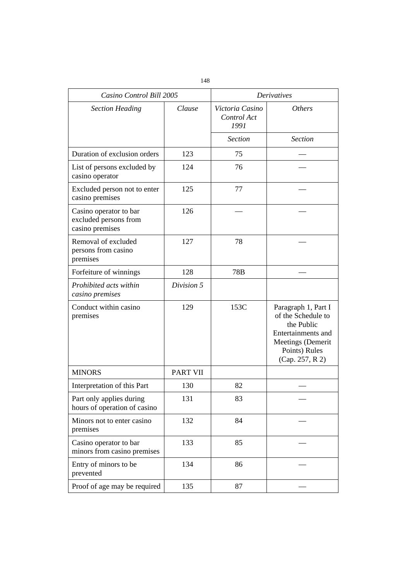| Casino Control Bill 2005                                           |                 | <b>Derivatives</b>                     |                                                                                                                                        |  |
|--------------------------------------------------------------------|-----------------|----------------------------------------|----------------------------------------------------------------------------------------------------------------------------------------|--|
| <b>Section Heading</b>                                             | Clause          | Victoria Casino<br>Control Act<br>1991 | <i><b>Others</b></i>                                                                                                                   |  |
|                                                                    |                 | <b>Section</b>                         | <b>Section</b>                                                                                                                         |  |
| Duration of exclusion orders                                       | 123             | 75                                     |                                                                                                                                        |  |
| List of persons excluded by<br>casino operator                     | 124             | 76                                     |                                                                                                                                        |  |
| Excluded person not to enter<br>casino premises                    | 125             | 77                                     |                                                                                                                                        |  |
| Casino operator to bar<br>excluded persons from<br>casino premises | 126             |                                        |                                                                                                                                        |  |
| Removal of excluded<br>persons from casino<br>premises             | 127             | 78                                     |                                                                                                                                        |  |
| Forfeiture of winnings                                             | 128             | 78B                                    |                                                                                                                                        |  |
| Prohibited acts within<br>casino premises                          | Division 5      |                                        |                                                                                                                                        |  |
| Conduct within casino<br>premises                                  | 129             | 153C                                   | Paragraph 1, Part I<br>of the Schedule to<br>the Public<br>Entertainments and<br>Meetings (Demerit<br>Points) Rules<br>(Cap. 257, R 2) |  |
| <b>MINORS</b>                                                      | <b>PART VII</b> |                                        |                                                                                                                                        |  |
| Interpretation of this Part                                        | 130             | 82                                     |                                                                                                                                        |  |
| Part only applies during<br>hours of operation of casino           | 131             | 83                                     |                                                                                                                                        |  |
| Minors not to enter casino<br>premises                             | 132             | 84                                     |                                                                                                                                        |  |
| Casino operator to bar<br>minors from casino premises              | 133             | 85                                     |                                                                                                                                        |  |
| Entry of minors to be<br>prevented                                 | 134             | 86                                     |                                                                                                                                        |  |
| Proof of age may be required                                       | 135             | 87                                     |                                                                                                                                        |  |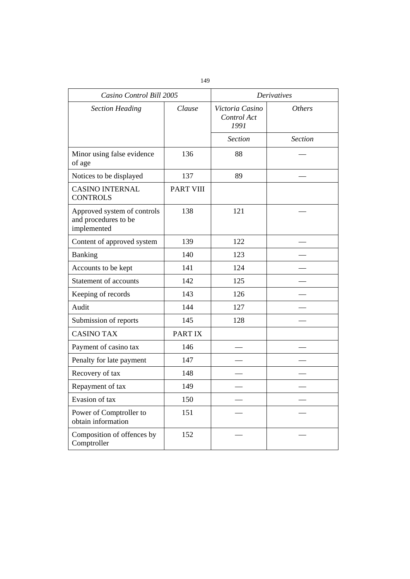| Casino Control Bill 2005                                           |                  | <b>Derivatives</b>                     |                |
|--------------------------------------------------------------------|------------------|----------------------------------------|----------------|
| <b>Section Heading</b>                                             | Clause           | Victoria Casino<br>Control Act<br>1991 | <b>Others</b>  |
|                                                                    |                  | <b>Section</b>                         | <b>Section</b> |
| Minor using false evidence<br>of age                               | 136              | 88                                     |                |
| Notices to be displayed                                            | 137              | 89                                     |                |
| <b>CASINO INTERNAL</b><br><b>CONTROLS</b>                          | <b>PART VIII</b> |                                        |                |
| Approved system of controls<br>and procedures to be<br>implemented | 138              | 121                                    |                |
| Content of approved system                                         | 139              | 122                                    |                |
| Banking                                                            | 140              | 123                                    |                |
| Accounts to be kept                                                | 141              | 124                                    |                |
| <b>Statement of accounts</b>                                       | 142              | 125                                    |                |
| Keeping of records                                                 | 143              | 126                                    |                |
| Audit                                                              | 144              | 127                                    |                |
| Submission of reports                                              | 145              | 128                                    |                |
| <b>CASINO TAX</b>                                                  | PART IX          |                                        |                |
| Payment of casino tax                                              | 146              |                                        |                |
| Penalty for late payment                                           | 147              |                                        |                |
| Recovery of tax                                                    | 148              |                                        |                |
| Repayment of tax                                                   | 149              |                                        |                |
| Evasion of tax                                                     | 150              |                                        |                |
| Power of Comptroller to<br>obtain information                      | 151              |                                        |                |
| Composition of offences by<br>Comptroller                          | 152              |                                        |                |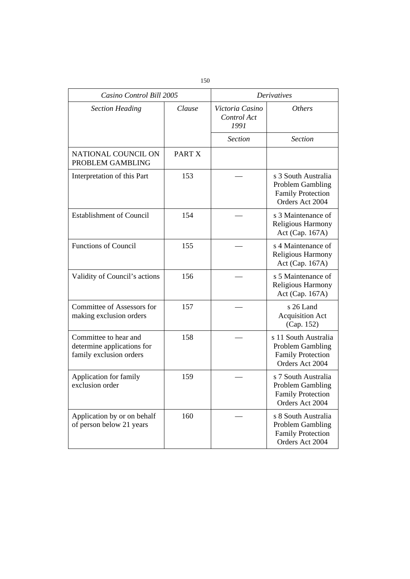| Casino Control Bill 2005                                                       |        |                                        | <b>Derivatives</b>                                                                             |
|--------------------------------------------------------------------------------|--------|----------------------------------------|------------------------------------------------------------------------------------------------|
| <b>Section Heading</b>                                                         | Clause | Victoria Casino<br>Control Act<br>1991 | <i>Others</i>                                                                                  |
|                                                                                |        | <b>Section</b>                         | <b>Section</b>                                                                                 |
| NATIONAL COUNCIL ON<br>PROBLEM GAMBLING                                        | PART X |                                        |                                                                                                |
| Interpretation of this Part                                                    | 153    |                                        | s 3 South Australia<br><b>Problem Gambling</b><br><b>Family Protection</b><br>Orders Act 2004  |
| <b>Establishment of Council</b>                                                | 154    |                                        | s 3 Maintenance of<br>Religious Harmony<br>Act (Cap. 167A)                                     |
| <b>Functions of Council</b>                                                    | 155    |                                        | s 4 Maintenance of<br>Religious Harmony<br>Act (Cap. 167A)                                     |
| Validity of Council's actions                                                  | 156    |                                        | s 5 Maintenance of<br>Religious Harmony<br>Act (Cap. 167A)                                     |
| Committee of Assessors for<br>making exclusion orders                          | 157    |                                        | s 26 Land<br><b>Acquisition Act</b><br>(Cap. 152)                                              |
| Committee to hear and<br>determine applications for<br>family exclusion orders | 158    |                                        | s 11 South Australia<br><b>Problem Gambling</b><br><b>Family Protection</b><br>Orders Act 2004 |
| Application for family<br>exclusion order                                      | 159    |                                        | s 7 South Australia<br>Problem Gambling<br><b>Family Protection</b><br>Orders Act 2004         |
| Application by or on behalf<br>of person below 21 years                        | 160    |                                        | s 8 South Australia<br><b>Problem Gambling</b><br><b>Family Protection</b><br>Orders Act 2004  |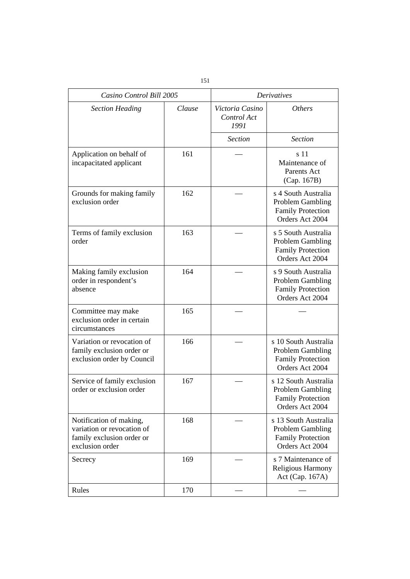| Casino Control Bill 2005                                                                              |        | <b>Derivatives</b>                     |                                                                                                |
|-------------------------------------------------------------------------------------------------------|--------|----------------------------------------|------------------------------------------------------------------------------------------------|
| <b>Section Heading</b>                                                                                | Clause | Victoria Casino<br>Control Act<br>1991 | <i>Others</i>                                                                                  |
|                                                                                                       |        | <b>Section</b>                         | <b>Section</b>                                                                                 |
| Application on behalf of<br>incapacitated applicant                                                   | 161    |                                        | s 11<br>Maintenance of<br>Parents Act<br>(Cap. 167B)                                           |
| Grounds for making family<br>exclusion order                                                          | 162    |                                        | s 4 South Australia<br><b>Problem Gambling</b><br><b>Family Protection</b><br>Orders Act 2004  |
| Terms of family exclusion<br>order                                                                    | 163    |                                        | s 5 South Australia<br><b>Problem Gambling</b><br><b>Family Protection</b><br>Orders Act 2004  |
| Making family exclusion<br>order in respondent's<br>absence                                           | 164    |                                        | s 9 South Australia<br><b>Problem Gambling</b><br><b>Family Protection</b><br>Orders Act 2004  |
| Committee may make<br>exclusion order in certain<br>circumstances                                     | 165    |                                        |                                                                                                |
| Variation or revocation of<br>family exclusion order or<br>exclusion order by Council                 | 166    |                                        | s 10 South Australia<br><b>Problem Gambling</b><br><b>Family Protection</b><br>Orders Act 2004 |
| Service of family exclusion<br>order or exclusion order                                               | 167    |                                        | s 12 South Australia<br><b>Problem Gambling</b><br><b>Family Protection</b><br>Orders Act 2004 |
| Notification of making,<br>variation or revocation of<br>family exclusion order or<br>exclusion order | 168    |                                        | s 13 South Australia<br><b>Problem Gambling</b><br><b>Family Protection</b><br>Orders Act 2004 |
| Secrecy                                                                                               | 169    |                                        | s 7 Maintenance of<br>Religious Harmony<br>Act (Cap. 167A)                                     |
| Rules                                                                                                 | 170    |                                        |                                                                                                |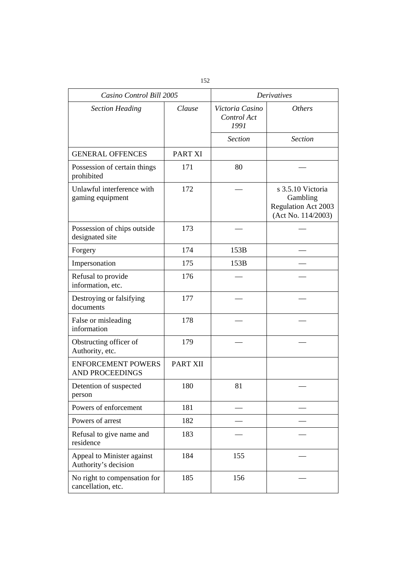| Casino Control Bill 2005                            |          | <b>Derivatives</b>                     |                                                                                   |  |
|-----------------------------------------------------|----------|----------------------------------------|-----------------------------------------------------------------------------------|--|
| <b>Section Heading</b>                              | Clause   | Victoria Casino<br>Control Act<br>1991 | <i>Others</i>                                                                     |  |
|                                                     |          | <b>Section</b>                         | <b>Section</b>                                                                    |  |
| <b>GENERAL OFFENCES</b>                             | PART XI  |                                        |                                                                                   |  |
| Possession of certain things<br>prohibited          | 171      | 80                                     |                                                                                   |  |
| Unlawful interference with<br>gaming equipment      | 172      |                                        | s 3.5.10 Victoria<br>Gambling<br><b>Regulation Act 2003</b><br>(Act No. 114/2003) |  |
| Possession of chips outside<br>designated site      | 173      |                                        |                                                                                   |  |
| Forgery                                             | 174      | 153B                                   |                                                                                   |  |
| Impersonation                                       | 175      | 153B                                   |                                                                                   |  |
| Refusal to provide<br>information, etc.             | 176      |                                        |                                                                                   |  |
| Destroying or falsifying<br>documents               | 177      |                                        |                                                                                   |  |
| False or misleading<br>information                  | 178      |                                        |                                                                                   |  |
| Obstructing officer of<br>Authority, etc.           | 179      |                                        |                                                                                   |  |
| <b>ENFORCEMENT POWERS</b><br><b>AND PROCEEDINGS</b> | PART XII |                                        |                                                                                   |  |
| Detention of suspected<br>person                    | 180      | 81                                     |                                                                                   |  |
| Powers of enforcement                               | 181      |                                        |                                                                                   |  |
| Powers of arrest                                    | 182      |                                        |                                                                                   |  |
| Refusal to give name and<br>residence               | 183      |                                        |                                                                                   |  |
| Appeal to Minister against<br>Authority's decision  | 184      | 155                                    |                                                                                   |  |
| No right to compensation for<br>cancellation, etc.  | 185      | 156                                    |                                                                                   |  |